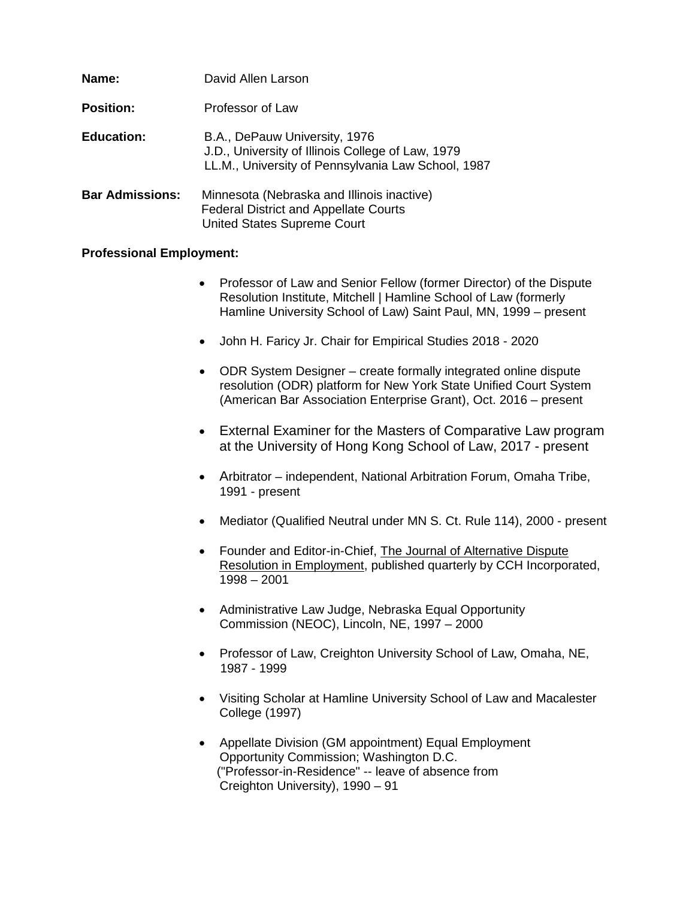| Name:                  | David Allen Larson                                                                                                                       |
|------------------------|------------------------------------------------------------------------------------------------------------------------------------------|
| <b>Position:</b>       | Professor of Law                                                                                                                         |
| <b>Education:</b>      | B.A., DePauw University, 1976<br>J.D., University of Illinois College of Law, 1979<br>LL.M., University of Pennsylvania Law School, 1987 |
| <b>Bar Admissions:</b> | Minnesota (Nebraska and Illinois inactive)<br><b>Federal District and Appellate Courts</b><br><b>United States Supreme Court</b>         |

# **Professional Employment:**

- Professor of Law and Senior Fellow (former Director) of the Dispute Resolution Institute, Mitchell | Hamline School of Law (formerly Hamline University School of Law) Saint Paul, MN, 1999 – present
- John H. Faricy Jr. Chair for Empirical Studies 2018 2020
- ODR System Designer create formally integrated online dispute resolution (ODR) platform for New York State Unified Court System (American Bar Association Enterprise Grant), Oct. 2016 – present
- External Examiner for the Masters of Comparative Law program at the University of Hong Kong School of Law, 2017 - present
- Arbitrator independent, National Arbitration Forum, Omaha Tribe, 1991 - present
- Mediator (Qualified Neutral under MN S. Ct. Rule 114), 2000 present
- Founder and Editor-in-Chief, The Journal of Alternative Dispute Resolution in Employment, published quarterly by CCH Incorporated, 1998 – 2001
- Administrative Law Judge, Nebraska Equal Opportunity Commission (NEOC), Lincoln, NE, 1997 – 2000
- Professor of Law, Creighton University School of Law, Omaha, NE, 1987 - 1999
- Visiting Scholar at Hamline University School of Law and Macalester College (1997)
- Appellate Division (GM appointment) Equal Employment Opportunity Commission; Washington D.C. ("Professor-in-Residence" -- leave of absence from Creighton University), 1990 – 91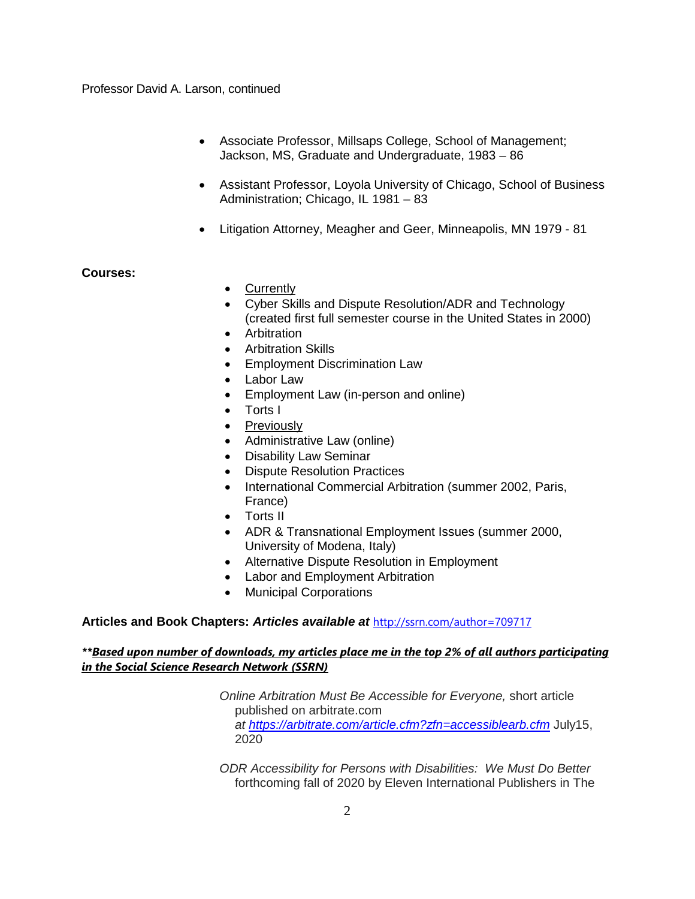- Associate Professor, Millsaps College, School of Management; Jackson, MS, Graduate and Undergraduate, 1983 – 86
- Assistant Professor, Loyola University of Chicago, School of Business Administration; Chicago, IL 1981 – 83
- Litigation Attorney, Meagher and Geer, Minneapolis, MN 1979 81

## **Courses:**

- Currently
- Cyber Skills and Dispute Resolution/ADR and Technology (created first full semester course in the United States in 2000)
- Arbitration
- Arbitration Skills
- Employment Discrimination Law
- Labor Law
- Employment Law (in-person and online)
- Torts I
- Previously
- Administrative Law (online)
- Disability Law Seminar
- Dispute Resolution Practices
- International Commercial Arbitration (summer 2002, Paris, France)
- Torts II
- ADR & Transnational Employment Issues (summer 2000, University of Modena, Italy)
- Alternative Dispute Resolution in Employment
- Labor and Employment Arbitration
- Municipal Corporations

# **Articles and Book Chapters:** *Articles available at* <http://ssrn.com/author=709717>

## *\*\*Based upon number of downloads, my articles place me in the top 2% of all authors participating in the Social Science Research Network (SSRN)*

*Online Arbitration Must Be Accessible for Everyone,* short article published on arbitrate.com *at <https://arbitrate.com/article.cfm?zfn=accessiblearb.cfm>* July15, 2020

*ODR Accessibility for Persons with Disabilities: We Must Do Better* forthcoming fall of 2020 by Eleven International Publishers in The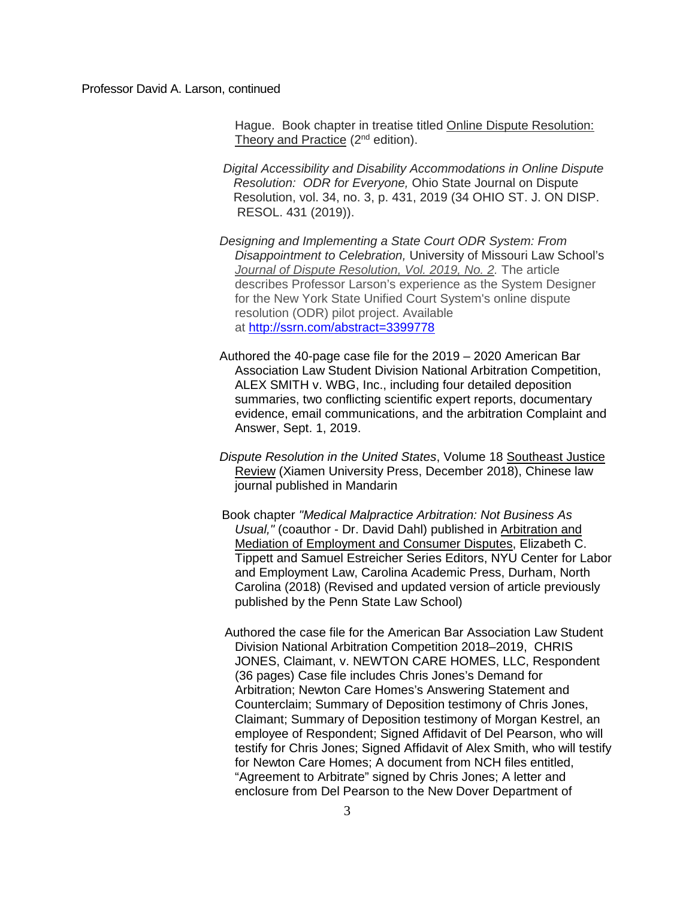Hague. Book chapter in treatise titled Online Dispute Resolution: Theory and Practice  $(2^{nd}$  edition).

- *Digital Accessibility and Disability Accommodations in Online Dispute Resolution: ODR for Everyone,* Ohio State Journal on Dispute Resolution, vol. 34, no. 3, p. 431, 2019 (34 OHIO ST. J. ON DISP. RESOL. 431 (2019)).
- *Designing and Implementing a State Court ODR System: From Disappointment to Celebration,* University of Missouri Law School's *[Journal of Dispute Resolution, Vol. 2019, No. 2.](https://papers.ssrn.com/sol3/papers.cfm?abstract_id=3399778##)* The article describes Professor Larson's experience as the System Designer for the New York State Unified Court System's online dispute resolution (ODR) pilot project. Available at <http://ssrn.com/abstract=3399778>
- Authored the 40-page case file for the 2019 2020 American Bar Association Law Student Division National Arbitration Competition, ALEX SMITH v. WBG, Inc., including four detailed deposition summaries, two conflicting scientific expert reports, documentary evidence, email communications, and the arbitration Complaint and Answer, Sept. 1, 2019.
- *Dispute Resolution in the United States*, Volume 18 Southeast Justice Review (Xiamen University Press, December 2018), Chinese law journal published in Mandarin
- Book chapter *"Medical Malpractice Arbitration: Not Business As Usual,"* (coauthor - Dr. David Dahl) published in Arbitration and Mediation of Employment and Consumer Disputes, Elizabeth C. Tippett and Samuel Estreicher Series Editors, NYU Center for Labor and Employment Law, Carolina Academic Press, Durham, North Carolina (2018) (Revised and updated version of article previously published by the Penn State Law School)
- Authored the case file for the American Bar Association Law Student Division National Arbitration Competition 2018–2019, CHRIS JONES, Claimant, v. NEWTON CARE HOMES, LLC, Respondent (36 pages) Case file includes Chris Jones's Demand for Arbitration; Newton Care Homes's Answering Statement and Counterclaim; Summary of Deposition testimony of Chris Jones, Claimant; Summary of Deposition testimony of Morgan Kestrel, an employee of Respondent; Signed Affidavit of Del Pearson, who will testify for Chris Jones; Signed Affidavit of Alex Smith, who will testify for Newton Care Homes; A document from NCH files entitled, "Agreement to Arbitrate" signed by Chris Jones; A letter and enclosure from Del Pearson to the New Dover Department of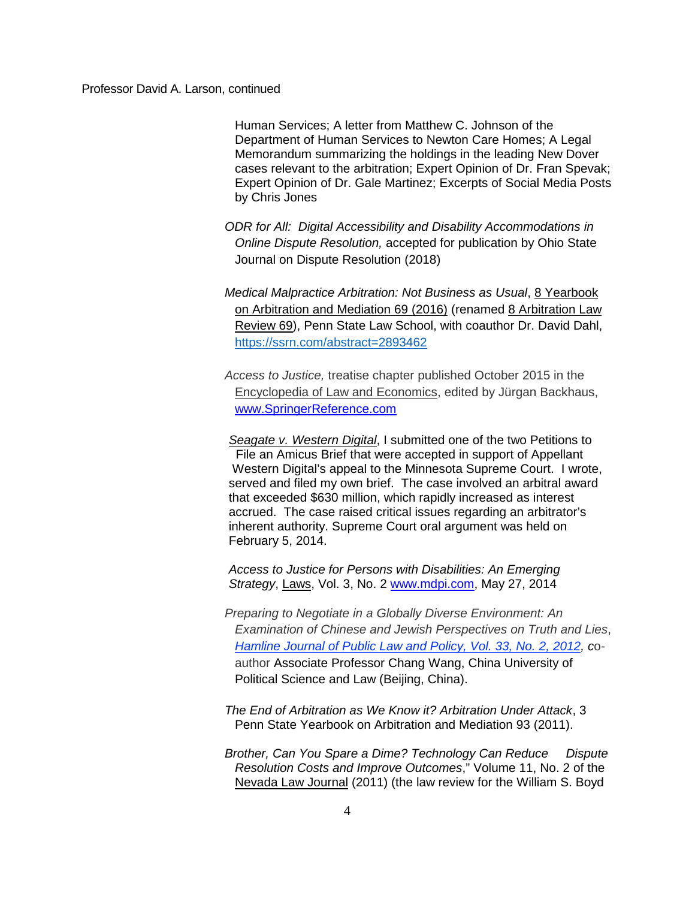Human Services; A letter from Matthew C. Johnson of the Department of Human Services to Newton Care Homes; A Legal Memorandum summarizing the holdings in the leading New Dover cases relevant to the arbitration; Expert Opinion of Dr. Fran Spevak; Expert Opinion of Dr. Gale Martinez; Excerpts of Social Media Posts by Chris Jones

*ODR for All: Digital Accessibility and Disability Accommodations in Online Dispute Resolution,* accepted for publication by Ohio State Journal on Dispute Resolution (2018)

*Medical Malpractice Arbitration: Not Business as Usual*, 8 Yearbook on Arbitration and Mediation 69 (2016) (renamed 8 Arbitration Law Review 69), Penn State Law School, with coauthor Dr. David Dahl, <https://ssrn.com/abstract=2893462>

*Access to Justice,* treatise chapter published October 2015 in the Encyclopedia of Law and Economics, edited by Jürgan Backhaus, [www.SpringerReference.com](http://www.springerreference.com/)

*Seagate v. Western Digital*, I submitted one of the two Petitions to File an Amicus Brief that were accepted in support of Appellant Western Digital's appeal to the Minnesota Supreme Court. I wrote, served and filed my own brief. The case involved an arbitral award that exceeded \$630 million, which rapidly increased as interest accrued. The case raised critical issues regarding an arbitrator's inherent authority. Supreme Court oral argument was held on February 5, 2014.

*Access to Justice for Persons with Disabilities: An Emerging Strategy*, Laws, Vol. 3, No. 2 [www.mdpi.com,](http://www.mdpi.com/) May 27, 2014

*Preparing to Negotiate in a Globally Diverse Environment: An Examination of Chinese and Jewish Perspectives on Truth and Lies*, *[Hamline Journal of Public Law and Policy, Vol. 33, No. 2, 2012,](http://papers.ssrn.com/sol3/papers.cfm?abstract_id=2155156##) c*oauthor Associate Professor Chang Wang, China University of Political Science and Law (Beijing, China).

*The End of Arbitration as We Know it? Arbitration Under Attack*, 3 Penn State Yearbook on Arbitration and Mediation 93 (2011).

*Brother, Can You Spare a Dime? Technology Can Reduce Dispute Resolution Costs and Improve Outcomes*," Volume 11, No. 2 of the Nevada Law Journal (2011) (the law review for the William S. Boyd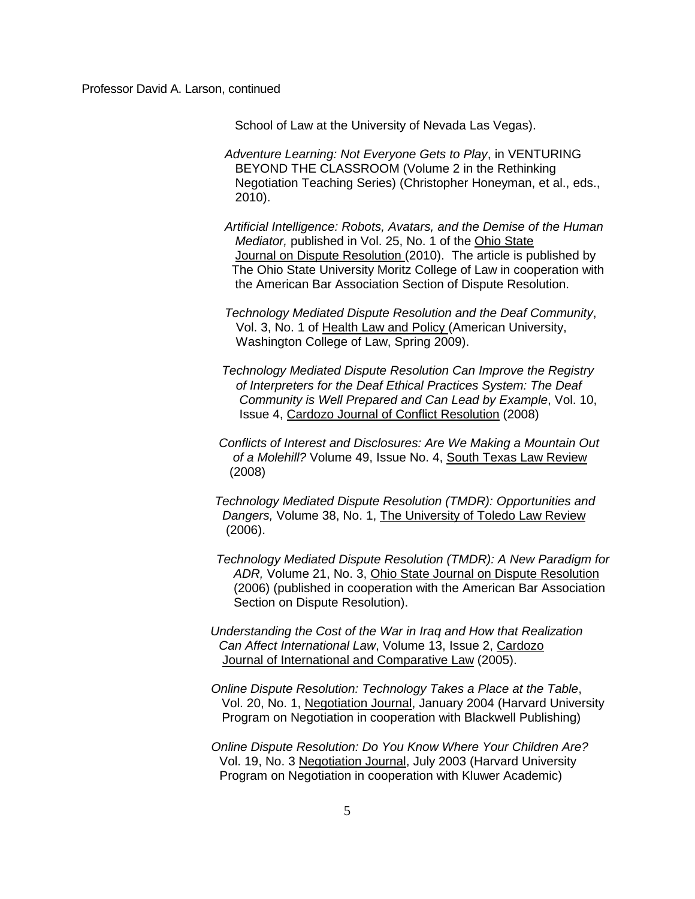School of Law at the University of Nevada Las Vegas).

- *Adventure Learning: Not Everyone Gets to Play*, in VENTURING BEYOND THE CLASSROOM (Volume 2 in the Rethinking Negotiation Teaching Series) (Christopher Honeyman, et al., eds., 2010).
- *Artificial Intelligence: Robots, Avatars, and the Demise of the Human Mediator,* published in Vol. 25, No. 1 of the Ohio State Journal on Dispute Resolution (2010). The article is published by The Ohio State University Moritz College of Law in cooperation with the American Bar Association Section of Dispute Resolution.
- *Technology Mediated Dispute Resolution and the Deaf Community*, Vol. 3, No. 1 of Health Law and Policy (American University, Washington College of Law, Spring 2009).
- *Technology Mediated Dispute Resolution Can Improve the Registry of Interpreters for the Deaf Ethical Practices System: The Deaf Community is Well Prepared and Can Lead by Example*, Vol. 10, Issue 4, Cardozo Journal of Conflict Resolution (2008)
- *Conflicts of Interest and Disclosures: Are We Making a Mountain Out of a Molehill?* Volume 49, Issue No. 4, South Texas Law Review (2008)
- *Technology Mediated Dispute Resolution (TMDR): Opportunities and Dangers,* Volume 38, No. 1, The University of Toledo Law Review (2006).
- *Technology Mediated Dispute Resolution (TMDR): A New Paradigm for ADR,* Volume 21, No. 3, Ohio State Journal on Dispute Resolution (2006) (published in cooperation with the American Bar Association Section on Dispute Resolution).
- *Understanding the Cost of the War in Iraq and How that Realization Can Affect International Law*, Volume 13, Issue 2, Cardozo Journal of International and Comparative Law (2005).
- *Online Dispute Resolution: Technology Takes a Place at the Table*, Vol. 20, No. 1, Negotiation Journal, January 2004 (Harvard University Program on Negotiation in cooperation with Blackwell Publishing)
- *Online Dispute Resolution: Do You Know Where Your Children Are?* Vol. 19, No. 3 Negotiation Journal, July 2003 (Harvard University Program on Negotiation in cooperation with Kluwer Academic)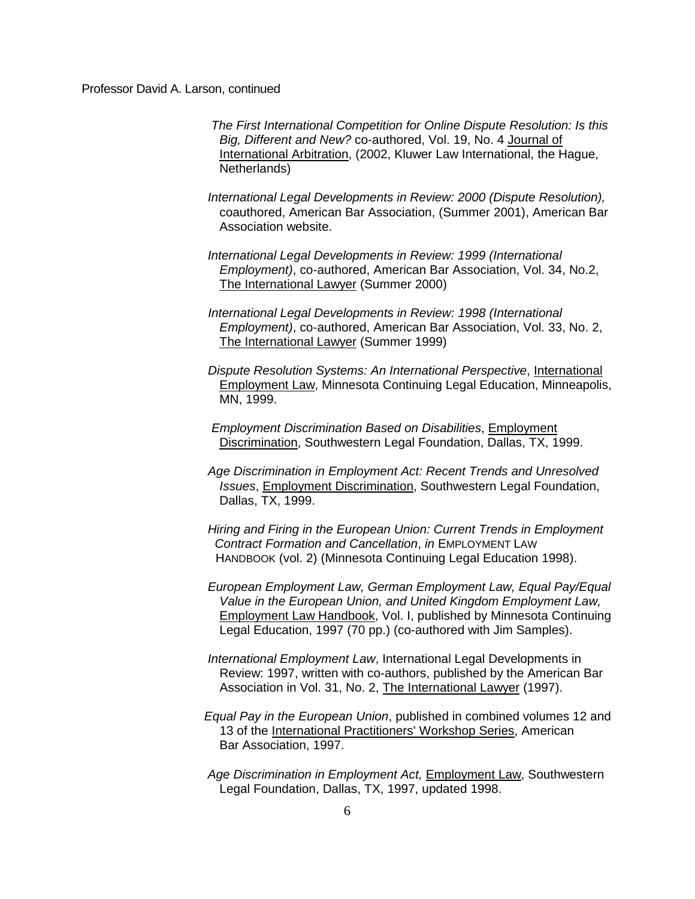*The First International Competition for Online Dispute Resolution: Is this Big, Different and New?* co-authored, Vol. 19, No. 4 Journal of International Arbitration, (2002, Kluwer Law International, the Hague, Netherlands)

*International Legal Developments in Review: 2000 (Dispute Resolution),* coauthored, American Bar Association, (Summer 2001), American Bar Association website.

- *International Legal Developments in Review: 1999 (International Employment)*, co-authored, American Bar Association, Vol. 34, No.2, The International Lawyer (Summer 2000)
- *International Legal Developments in Review: 1998 (International Employment)*, co-authored, American Bar Association, Vol. 33, No. 2, The International Lawyer (Summer 1999)
- *Dispute Resolution Systems: An International Perspective*, International Employment Law, Minnesota Continuing Legal Education, Minneapolis, MN, 1999.
- *Employment Discrimination Based on Disabilities*, Employment Discrimination, Southwestern Legal Foundation, Dallas, TX, 1999.
- *Age Discrimination in Employment Act: Recent Trends and Unresolved Issues*, Employment Discrimination, Southwestern Legal Foundation, Dallas, TX, 1999.
- *Hiring and Firing in the European Union: Current Trends in Employment Contract Formation and Cancellation*, *in* EMPLOYMENT LAW HANDBOOK (vol. 2) (Minnesota Continuing Legal Education 1998).
- *European Employment Law, German Employment Law, Equal Pay/Equal Value in the European Union, and United Kingdom Employment Law,* Employment Law Handbook, Vol. I, published by Minnesota Continuing Legal Education, 1997 (70 pp.) (co-authored with Jim Samples).
- *International Employment Law*, International Legal Developments in Review: 1997, written with co-authors, published by the American Bar Association in Vol. 31, No. 2, The International Lawyer (1997).
- *Equal Pay in the European Union*, published in combined volumes 12 and 13 of the International Practitioners' Workshop Series, American Bar Association, 1997.
- *Age Discrimination in Employment Act,* Employment Law, Southwestern Legal Foundation, Dallas, TX, 1997, updated 1998.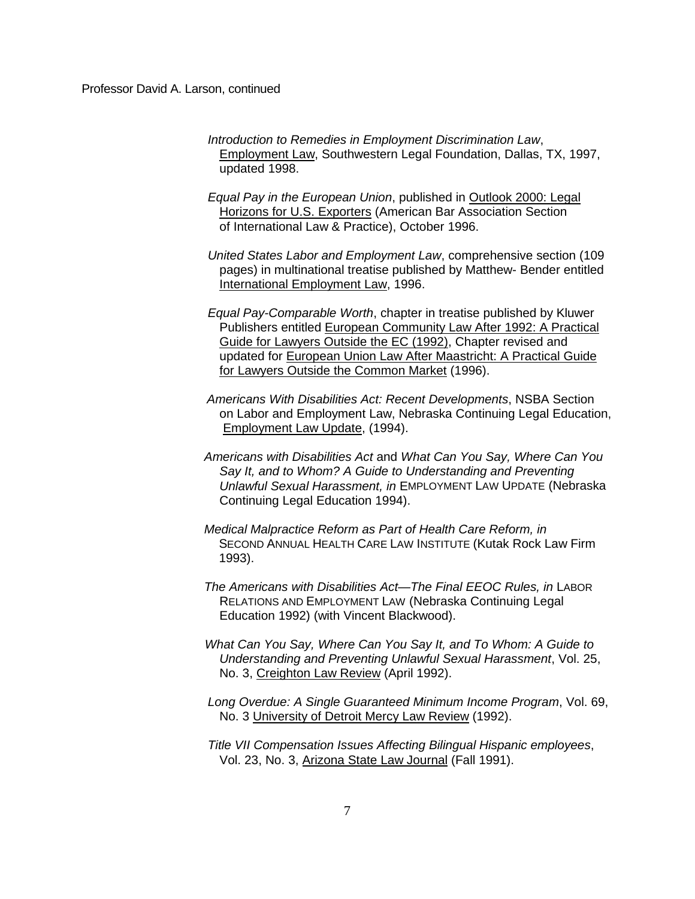- *Introduction to Remedies in Employment Discrimination Law*, Employment Law, Southwestern Legal Foundation, Dallas, TX, 1997, updated 1998.
- *Equal Pay in the European Union*, published in Outlook 2000: Legal Horizons for U.S. Exporters (American Bar Association Section of International Law & Practice), October 1996.
- *United States Labor and Employment Law*, comprehensive section (109 pages) in multinational treatise published by Matthew- Bender entitled International Employment Law, 1996.
- *Equal Pay-Comparable Worth*, chapter in treatise published by Kluwer Publishers entitled European Community Law After 1992: A Practical Guide for Lawyers Outside the EC (1992), Chapter revised and updated for European Union Law After Maastricht: A Practical Guide for Lawyers Outside the Common Market (1996).
- *Americans With Disabilities Act: Recent Developments*, NSBA Section on Labor and Employment Law, Nebraska Continuing Legal Education, Employment Law Update, (1994).
- *Americans with Disabilities Act* and *What Can You Say, Where Can You Say It, and to Whom? A Guide to Understanding and Preventing Unlawful Sexual Harassment, in* EMPLOYMENT LAW UPDATE (Nebraska Continuing Legal Education 1994).
- *Medical Malpractice Reform as Part of Health Care Reform, in*  SECOND ANNUAL HEALTH CARE LAW INSTITUTE (Kutak Rock Law Firm 1993).
- *The Americans with Disabilities Act—The Final EEOC Rules, in* LABOR RELATIONS AND EMPLOYMENT LAW (Nebraska Continuing Legal Education 1992) (with Vincent Blackwood).
- *What Can You Say, Where Can You Say It, and To Whom: A Guide to Understanding and Preventing Unlawful Sexual Harassment*, Vol. 25, No. 3, Creighton Law Review (April 1992).
- *Long Overdue: A Single Guaranteed Minimum Income Program*, Vol. 69, No. 3 University of Detroit Mercy Law Review (1992).
- *Title VII Compensation Issues Affecting Bilingual Hispanic employees*, Vol. 23, No. 3, Arizona State Law Journal (Fall 1991).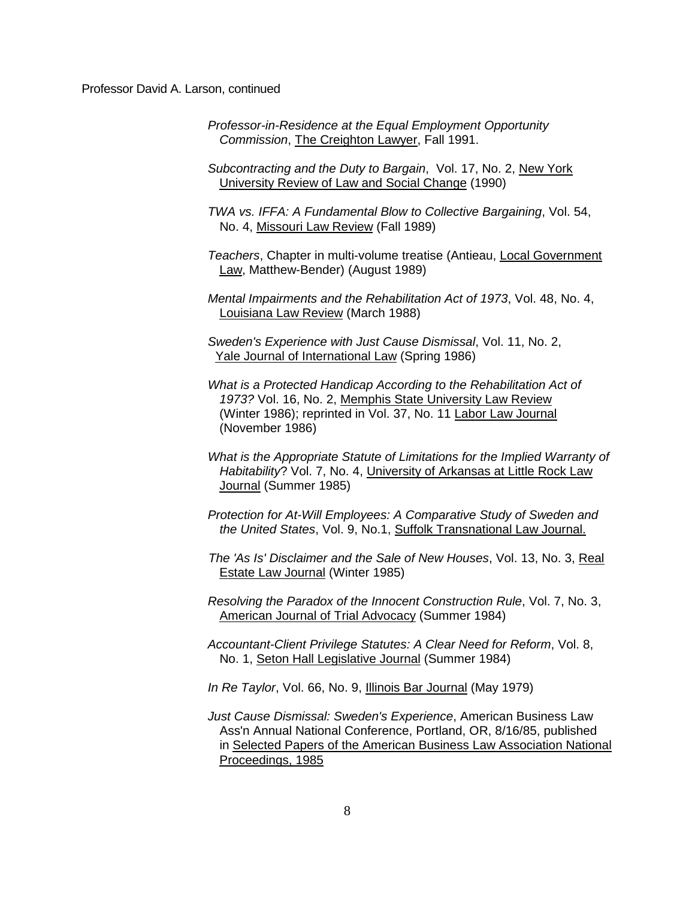*Professor-in-Residence at the Equal Employment Opportunity Commission*, The Creighton Lawyer, Fall 1991.

*Subcontracting and the Duty to Bargain*, Vol. 17, No. 2, New York University Review of Law and Social Change (1990)

*TWA vs. IFFA: A Fundamental Blow to Collective Bargaining*, Vol. 54, No. 4, Missouri Law Review (Fall 1989)

*Teachers*, Chapter in multi-volume treatise (Antieau, Local Government Law, Matthew-Bender) (August 1989)

*Mental Impairments and the Rehabilitation Act of 1973*, Vol. 48, No. 4, Louisiana Law Review (March 1988)

*Sweden's Experience with Just Cause Dismissal*, Vol. 11, No. 2, Yale Journal of International Law (Spring 1986)

- *What is a Protected Handicap According to the Rehabilitation Act of 1973?* Vol. 16, No. 2, Memphis State University Law Review (Winter 1986); reprinted in Vol. 37, No. 11 Labor Law Journal (November 1986)
- *What is the Appropriate Statute of Limitations for the Implied Warranty of Habitability*? Vol. 7, No. 4, University of Arkansas at Little Rock Law Journal (Summer 1985)

*Protection for At-Will Employees: A Comparative Study of Sweden and the United States*, Vol. 9, No.1, Suffolk Transnational Law Journal.

 *The 'As Is' Disclaimer and the Sale of New Houses*, Vol. 13, No. 3, Real Estate Law Journal (Winter 1985)

*Resolving the Paradox of the Innocent Construction Rule*, Vol. 7, No. 3, American Journal of Trial Advocacy (Summer 1984)

*Accountant-Client Privilege Statutes: A Clear Need for Reform*, Vol. 8, No. 1, Seton Hall Legislative Journal (Summer 1984)

*In Re Taylor*, Vol. 66, No. 9, Illinois Bar Journal (May 1979)

*Just Cause Dismissal: Sweden's Experience*, American Business Law Ass'n Annual National Conference, Portland, OR, 8/16/85, published in Selected Papers of the American Business Law Association National Proceedings, 1985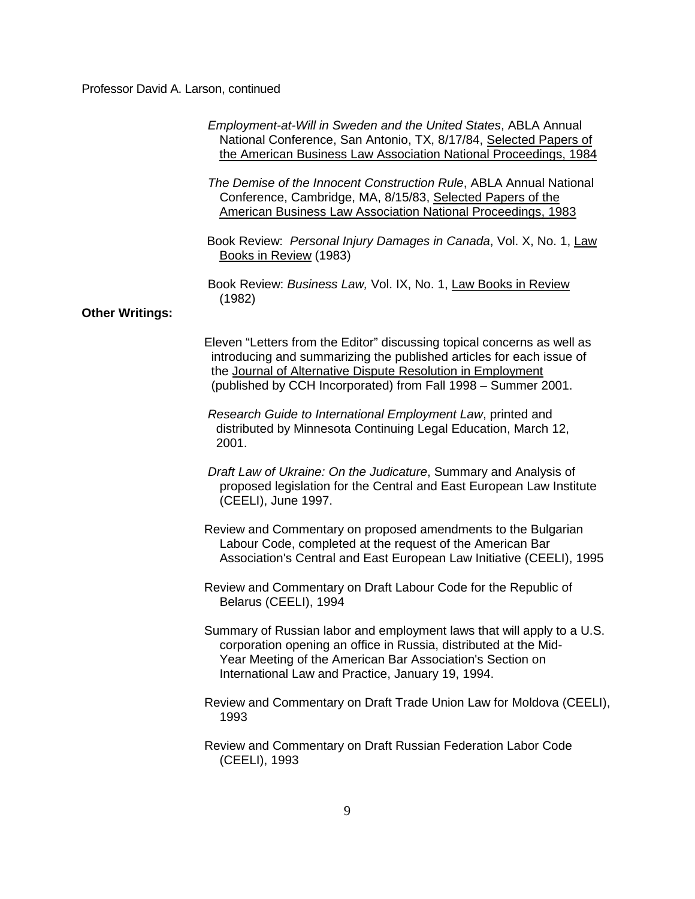|                        | Employment-at-Will in Sweden and the United States, ABLA Annual<br>National Conference, San Antonio, TX, 8/17/84, Selected Papers of<br>the American Business Law Association National Proceedings, 1984                                                                        |
|------------------------|---------------------------------------------------------------------------------------------------------------------------------------------------------------------------------------------------------------------------------------------------------------------------------|
|                        | The Demise of the Innocent Construction Rule, ABLA Annual National<br>Conference, Cambridge, MA, 8/15/83, Selected Papers of the<br><b>American Business Law Association National Proceedings, 1983</b>                                                                         |
|                        | Book Review: Personal Injury Damages in Canada, Vol. X, No. 1, Law<br>Books in Review (1983)                                                                                                                                                                                    |
| <b>Other Writings:</b> | Book Review: Business Law, Vol. IX, No. 1, Law Books in Review<br>(1982)                                                                                                                                                                                                        |
|                        | Eleven "Letters from the Editor" discussing topical concerns as well as<br>introducing and summarizing the published articles for each issue of<br>the Journal of Alternative Dispute Resolution in Employment<br>(published by CCH Incorporated) from Fall 1998 - Summer 2001. |
|                        | Research Guide to International Employment Law, printed and<br>distributed by Minnesota Continuing Legal Education, March 12,<br>2001.                                                                                                                                          |
|                        | Draft Law of Ukraine: On the Judicature, Summary and Analysis of<br>proposed legislation for the Central and East European Law Institute<br>(CEELI), June 1997.                                                                                                                 |
|                        | Review and Commentary on proposed amendments to the Bulgarian<br>Labour Code, completed at the request of the American Bar<br>Association's Central and East European Law Initiative (CEELI), 1995                                                                              |
|                        | Review and Commentary on Draft Labour Code for the Republic of<br>Belarus (CEELI), 1994                                                                                                                                                                                         |
|                        | Summary of Russian labor and employment laws that will apply to a U.S.<br>corporation opening an office in Russia, distributed at the Mid-<br>Year Meeting of the American Bar Association's Section on<br>International Law and Practice, January 19, 1994.                    |
|                        | Review and Commentary on Draft Trade Union Law for Moldova (CEELI),<br>1993                                                                                                                                                                                                     |
|                        | Review and Commentary on Draft Russian Federation Labor Code<br>(CEELI), 1993                                                                                                                                                                                                   |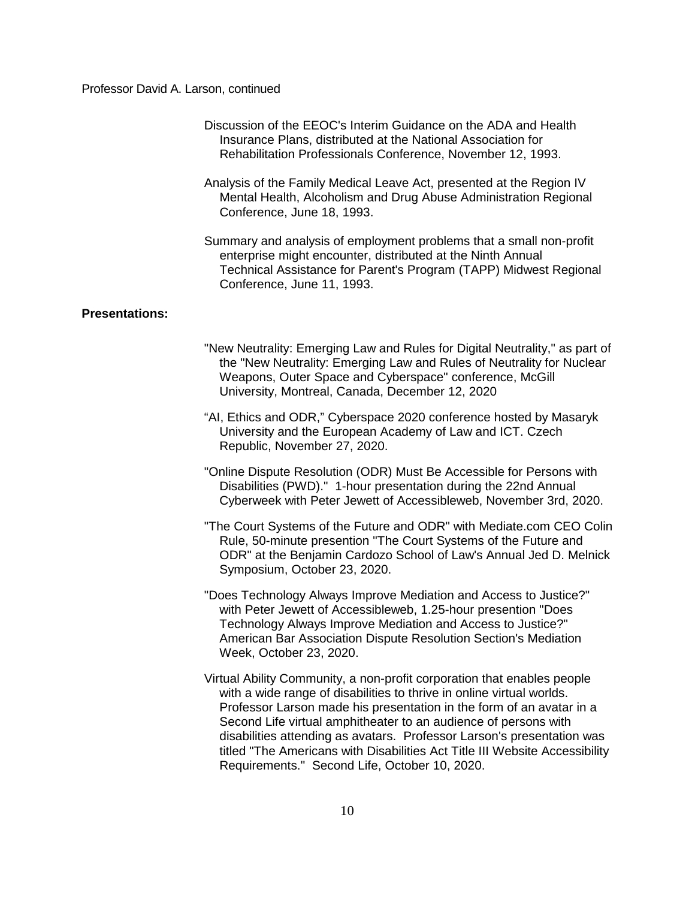- Discussion of the EEOC's Interim Guidance on the ADA and Health Insurance Plans, distributed at the National Association for Rehabilitation Professionals Conference, November 12, 1993.
- Analysis of the Family Medical Leave Act, presented at the Region IV Mental Health, Alcoholism and Drug Abuse Administration Regional Conference, June 18, 1993.
- Summary and analysis of employment problems that a small non-profit enterprise might encounter, distributed at the Ninth Annual Technical Assistance for Parent's Program (TAPP) Midwest Regional Conference, June 11, 1993.

## **Presentations:**

- "New Neutrality: Emerging Law and Rules for Digital Neutrality," as part of the "New Neutrality: Emerging Law and Rules of Neutrality for Nuclear Weapons, Outer Space and Cyberspace" conference, McGill University, Montreal, Canada, December 12, 2020
- "AI, Ethics and ODR," Cyberspace 2020 conference hosted by Masaryk University and the European Academy of Law and ICT. Czech Republic, November 27, 2020.
- "Online Dispute Resolution (ODR) Must Be Accessible for Persons with Disabilities (PWD)." 1-hour presentation during the 22nd Annual Cyberweek with Peter Jewett of Accessibleweb, November 3rd, 2020.
- "The Court Systems of the Future and ODR" with Mediate.com CEO Colin Rule, 50-minute presention "The Court Systems of the Future and ODR" at the Benjamin Cardozo School of Law's Annual Jed D. Melnick Symposium, October 23, 2020.
- "Does Technology Always Improve Mediation and Access to Justice?" with Peter Jewett of Accessibleweb, 1.25-hour presention "Does Technology Always Improve Mediation and Access to Justice?" American Bar Association Dispute Resolution Section's Mediation Week, October 23, 2020.
- Virtual Ability Community, a non-profit corporation that enables people with a wide range of disabilities to thrive in online virtual worlds. Professor Larson made his presentation in the form of an avatar in a Second Life virtual amphitheater to an audience of persons with disabilities attending as avatars. Professor Larson's presentation was titled "The Americans with Disabilities Act Title III Website Accessibility Requirements." Second Life, October 10, 2020.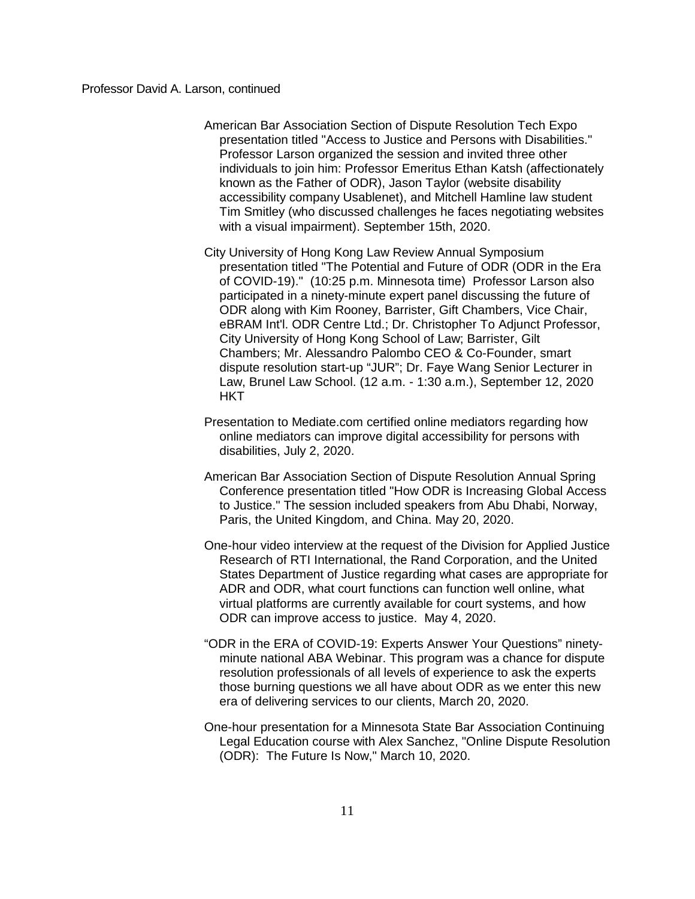- American Bar Association Section of Dispute Resolution Tech Expo presentation titled "Access to Justice and Persons with Disabilities." Professor Larson organized the session and invited three other individuals to join him: Professor Emeritus Ethan Katsh (affectionately known as the Father of ODR), Jason Taylor (website disability accessibility company Usablenet), and Mitchell Hamline law student Tim Smitley (who discussed challenges he faces negotiating websites with a visual impairment). September 15th, 2020.
- City University of Hong Kong Law Review Annual Symposium presentation titled "The Potential and Future of ODR (ODR in the Era of COVID-19)." (10:25 p.m. Minnesota time) Professor Larson also participated in a ninety-minute expert panel discussing the future of ODR along with Kim Rooney, Barrister, Gift Chambers, Vice Chair, eBRAM Int'l. ODR Centre Ltd.; Dr. Christopher To Adjunct Professor, City University of Hong Kong School of Law; Barrister, Gilt Chambers; Mr. Alessandro Palombo CEO & Co-Founder, smart dispute resolution start-up "JUR"; Dr. Faye Wang Senior Lecturer in Law, Brunel Law School. (12 a.m. - 1:30 a.m.), September 12, 2020 **HKT**
- Presentation to Mediate.com certified online mediators regarding how online mediators can improve digital accessibility for persons with disabilities, July 2, 2020.
- American Bar Association Section of Dispute Resolution Annual Spring Conference presentation titled "How ODR is Increasing Global Access to Justice." The session included speakers from Abu Dhabi, Norway, Paris, the United Kingdom, and China. May 20, 2020.
- One-hour video interview at the request of the Division for Applied Justice Research of RTI International, the Rand Corporation, and the United States Department of Justice regarding what cases are appropriate for ADR and ODR, what court functions can function well online, what virtual platforms are currently available for court systems, and how ODR can improve access to justice. May 4, 2020.
- "ODR in the ERA of COVID-19: Experts Answer Your Questions" ninetyminute national ABA Webinar. This program was a chance for dispute resolution professionals of all levels of experience to ask the experts those burning questions we all have about ODR as we enter this new era of delivering services to our clients, March 20, 2020.
- One-hour presentation for a Minnesota State Bar Association Continuing Legal Education course with Alex Sanchez, "Online Dispute Resolution (ODR): The Future Is Now," March 10, 2020.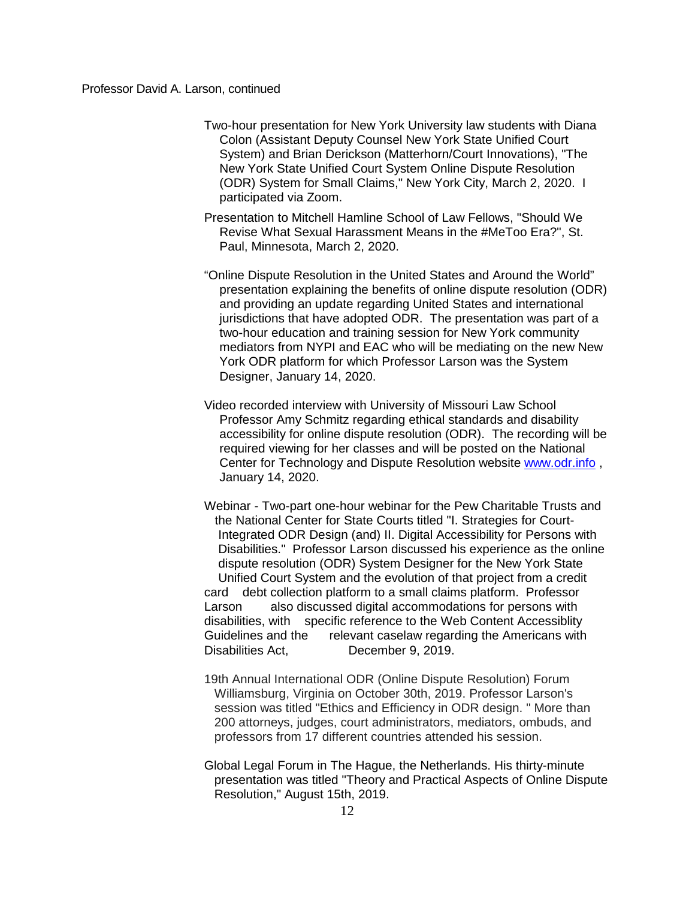- Two-hour presentation for New York University law students with Diana Colon (Assistant Deputy Counsel New York State Unified Court System) and Brian Derickson (Matterhorn/Court Innovations), "The New York State Unified Court System Online Dispute Resolution (ODR) System for Small Claims," New York City, March 2, 2020. I participated via Zoom.
- Presentation to Mitchell Hamline School of Law Fellows, "Should We Revise What Sexual Harassment Means in the #MeToo Era?", St. Paul, Minnesota, March 2, 2020.
- "Online Dispute Resolution in the United States and Around the World" presentation explaining the benefits of online dispute resolution (ODR) and providing an update regarding United States and international jurisdictions that have adopted ODR. The presentation was part of a two-hour education and training session for New York community mediators from NYPI and EAC who will be mediating on the new New York ODR platform for which Professor Larson was the System Designer, January 14, 2020.
- Video recorded interview with University of Missouri Law School Professor Amy Schmitz regarding ethical standards and disability accessibility for online dispute resolution (ODR). The recording will be required viewing for her classes and will be posted on the National Center for Technology and Dispute Resolution website [www.odr.info](http://www.odr.info/) , January 14, 2020.
- Webinar Two-part one-hour webinar for the Pew Charitable Trusts and the National Center for State Courts titled "I. Strategies for Court- Integrated ODR Design (and) II. Digital Accessibility for Persons with Disabilities." Professor Larson discussed his experience as the online dispute resolution (ODR) System Designer for the New York State Unified Court System and the evolution of that project from a credit card debt collection platform to a small claims platform. Professor Larson also discussed digital accommodations for persons with disabilities, with specific reference to the Web Content Accessiblity Guidelines and the relevant caselaw regarding the Americans with Disabilities Act, December 9, 2019.
- 19th Annual International ODR (Online Dispute Resolution) Forum Williamsburg, Virginia on October 30th, 2019. Professor Larson's session was titled "Ethics and Efficiency in ODR design. " More than 200 attorneys, judges, court administrators, mediators, ombuds, and professors from 17 different countries attended his session.
- Global Legal Forum in The Hague, the Netherlands. His thirty-minute presentation was titled "Theory and Practical Aspects of Online Dispute Resolution," August 15th, 2019.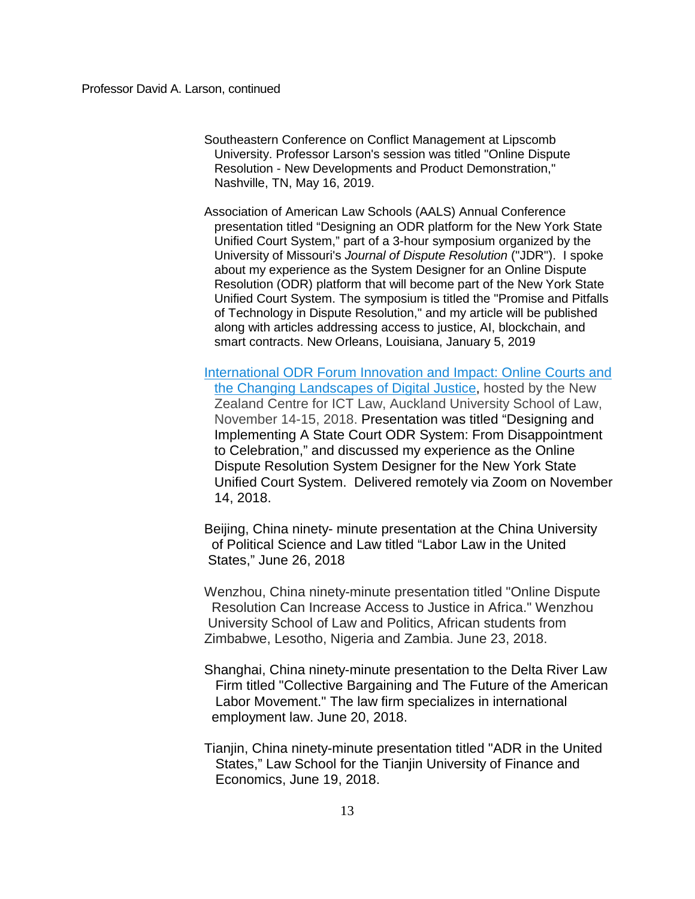Southeastern Conference on Conflict Management at Lipscomb University. Professor Larson's session was titled "Online Dispute Resolution - New Developments and Product Demonstration," Nashville, TN, May 16, 2019.

Association of American Law Schools (AALS) Annual Conference presentation titled "Designing an ODR platform for the New York State Unified Court System," part of a 3-hour symposium organized by the University of Missouri's *Journal of Dispute Resolution* ("JDR"). I spoke about my experience as the System Designer for an Online Dispute Resolution (ODR) platform that will become part of the New York State Unified Court System. The symposium is titled the "Promise and Pitfalls of Technology in Dispute Resolution," and my article will be published along with articles addressing access to justice, AI, blockchain, and smart contracts. New Orleans, Louisiana, January 5, 2019

[International ODR Forum Innovation](http://odr2018.org.nz/?page_id=2) and Impact: Online Courts and [the Changing Landscapes](http://odr2018.org.nz/?page_id=2) of Digital Justice, hosted by the New Zealand Centre for ICT Law, Auckland University School of Law, November 14-15, 2018. Presentation was titled "Designing and Implementing A State Court ODR System: From Disappointment to Celebration," and discussed my experience as the Online Dispute Resolution System Designer for the New York State Unified Court System. Delivered remotely via Zoom on November 14, 2018.

Beijing, China ninety- minute presentation at the China University of Political Science and Law titled "Labor Law in the United States," June 26, 2018

Wenzhou, China ninety-minute presentation titled "Online Dispute Resolution Can Increase Access to Justice in Africa." Wenzhou University School of Law and Politics, African students from Zimbabwe, Lesotho, Nigeria and Zambia. June 23, 2018.

Shanghai, China ninety-minute presentation to the Delta River Law Firm titled "Collective Bargaining and The Future of the American Labor Movement." The law firm specializes in international employment law. June 20, 2018.

Tianjin, China ninety-minute presentation titled "ADR in the United States," Law School for the Tianjin University of Finance and Economics, June 19, 2018.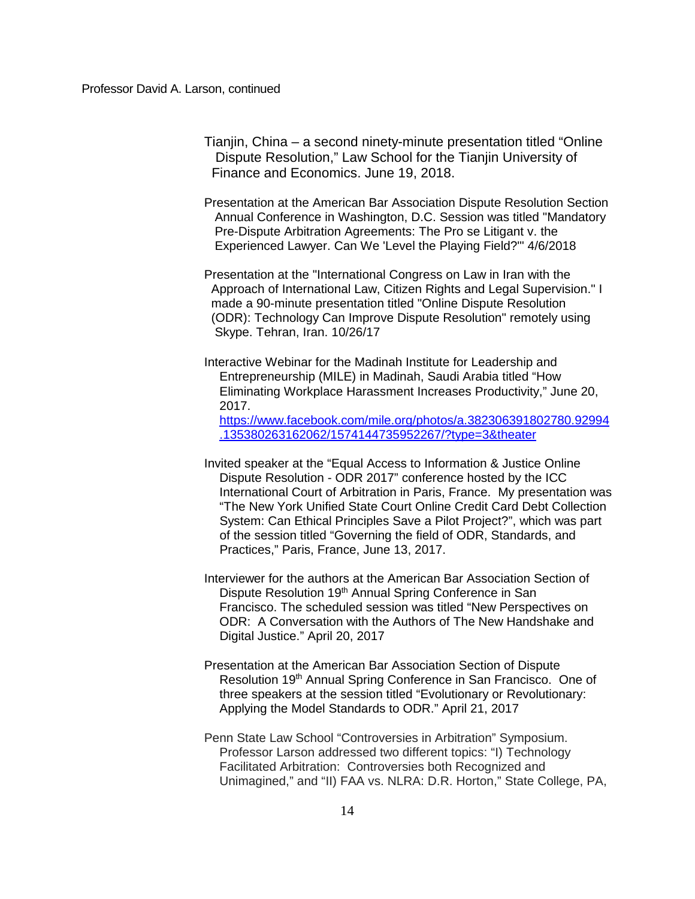Tianjin, China – a second ninety-minute presentation titled "Online Dispute Resolution," Law School for the Tianjin University of Finance and Economics. June 19, 2018.

Presentation at the American Bar Association Dispute Resolution Section Annual Conference in Washington, D.C. Session was titled "Mandatory Pre-Dispute Arbitration Agreements: The Pro se Litigant v. the Experienced Lawyer. Can We 'Level the Playing Field?'" 4/6/2018

Presentation at the "International Congress on Law in Iran with the Approach of International Law, Citizen Rights and Legal Supervision." I made a 90-minute presentation titled "Online Dispute Resolution (ODR): Technology Can Improve Dispute Resolution" remotely using Skype. Tehran, Iran. 10/26/17

Interactive Webinar for the Madinah Institute for Leadership and Entrepreneurship (MILE) in Madinah, Saudi Arabia titled "How Eliminating Workplace Harassment Increases Productivity," June 20, 2017. [https://www.facebook.com/mile.org/photos/a.382306391802780.92994](https://www.facebook.com/mile.org/photos/a.382306391802780.92994.135380263162062/1574144735952267/?type=3&theater) [.135380263162062/1574144735952267/?type=3&theater](https://www.facebook.com/mile.org/photos/a.382306391802780.92994.135380263162062/1574144735952267/?type=3&theater)

- Invited speaker at the "Equal Access to Information & Justice Online Dispute Resolution - ODR 2017" conference hosted by the ICC International Court of Arbitration in Paris, France. My presentation was "The New York Unified State Court Online Credit Card Debt Collection System: Can Ethical Principles Save a Pilot Project?", which was part of the session titled "Governing the field of ODR, Standards, and Practices," Paris, France, June 13, 2017.
- Interviewer for the authors at the American Bar Association Section of Dispute Resolution 19<sup>th</sup> Annual Spring Conference in San Francisco. The scheduled session was titled "New Perspectives on ODR: A Conversation with the Authors of The New Handshake and Digital Justice." April 20, 2017
- Presentation at the American Bar Association Section of Dispute Resolution 19<sup>th</sup> Annual Spring Conference in San Francisco. One of three speakers at the session titled "Evolutionary or Revolutionary: Applying the Model Standards to ODR." April 21, 2017
- Penn State Law School "Controversies in Arbitration" Symposium. Professor Larson addressed two different topics: "I) Technology Facilitated Arbitration: Controversies both Recognized and Unimagined," and "II) FAA vs. NLRA: D.R. Horton," State College, PA,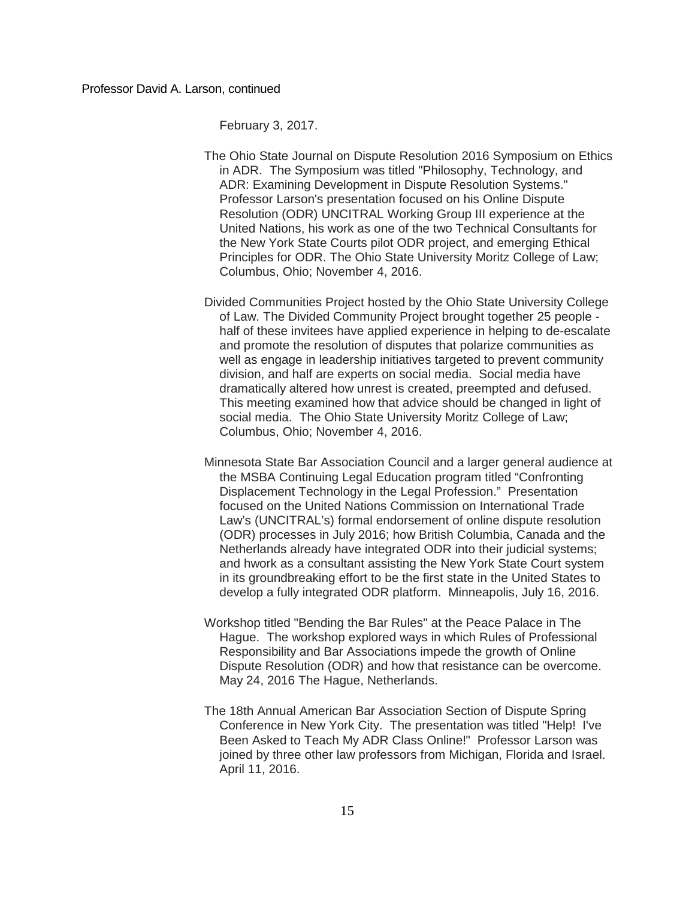February 3, 2017.

- The Ohio State Journal on Dispute Resolution 2016 Symposium on Ethics in ADR. The Symposium was titled "Philosophy, Technology, and ADR: Examining Development in Dispute Resolution Systems." Professor Larson's presentation focused on his Online Dispute Resolution (ODR) UNCITRAL Working Group III experience at the United Nations, his work as one of the two Technical Consultants for the New York State Courts pilot ODR project, and emerging Ethical Principles for ODR. The Ohio State University Moritz College of Law; Columbus, Ohio; November 4, 2016.
- Divided Communities Project hosted by the Ohio State University College of Law. The Divided Community Project brought together 25 people half of these invitees have applied experience in helping to de-escalate and promote the resolution of disputes that polarize communities as well as engage in leadership initiatives targeted to prevent community division, and half are experts on social media. Social media have dramatically altered how unrest is created, preempted and defused. This meeting examined how that advice should be changed in light of social media. The Ohio State University Moritz College of Law; Columbus, Ohio; November 4, 2016.
- Minnesota State Bar Association Council and a larger general audience at the MSBA Continuing Legal Education program titled "Confronting Displacement Technology in the Legal Profession." Presentation focused on the United Nations Commission on International Trade Law's (UNCITRAL's) formal endorsement of online dispute resolution (ODR) processes in July 2016; how British Columbia, Canada and the Netherlands already have integrated ODR into their judicial systems; and hwork as a consultant assisting the New York State Court system in its groundbreaking effort to be the first state in the United States to develop a fully integrated ODR platform. Minneapolis, July 16, 2016.
- Workshop titled "Bending the Bar Rules" at the Peace Palace in The Hague. The workshop explored ways in which Rules of Professional Responsibility and Bar Associations impede the growth of Online Dispute Resolution (ODR) and how that resistance can be overcome. May 24, 2016 The Hague, Netherlands.
- The 18th Annual American Bar Association Section of Dispute Spring Conference in New York City. The presentation was titled "Help! I've Been Asked to Teach My ADR Class Online!" Professor Larson was joined by three other law professors from Michigan, Florida and Israel. April 11, 2016.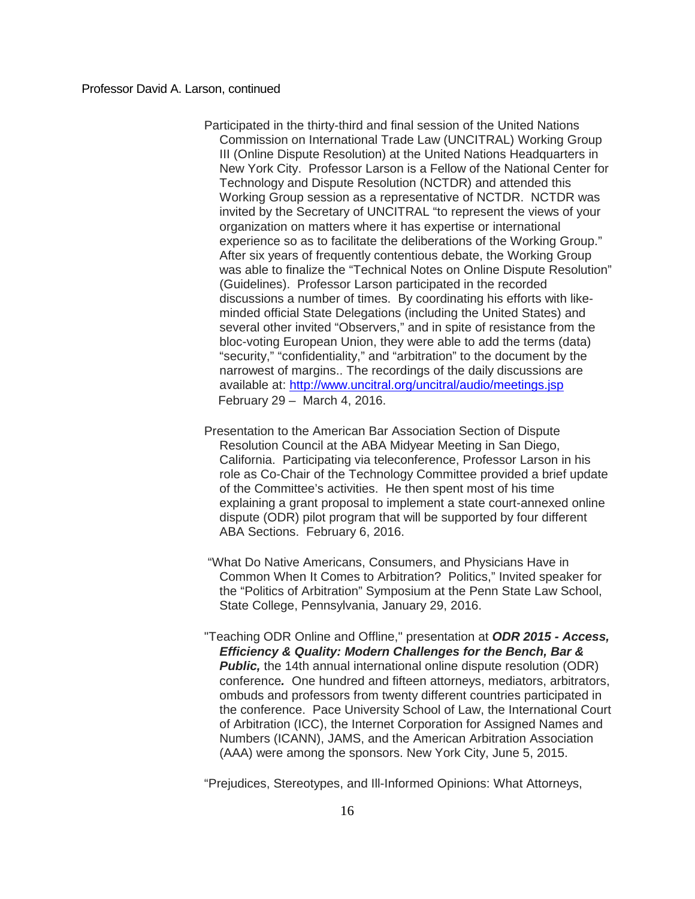- Participated in the thirty-third and final session of the United Nations Commission on International Trade Law (UNCITRAL) Working Group III (Online Dispute Resolution) at the United Nations Headquarters in New York City. Professor Larson is a Fellow of the National Center for Technology and Dispute Resolution (NCTDR) and attended this Working Group session as a representative of NCTDR. NCTDR was invited by the Secretary of UNCITRAL "to represent the views of your organization on matters where it has expertise or international experience so as to facilitate the deliberations of the Working Group." After six years of frequently contentious debate, the Working Group was able to finalize the "Technical Notes on Online Dispute Resolution" (Guidelines). Professor Larson participated in the recorded discussions a number of times. By coordinating his efforts with likeminded official State Delegations (including the United States) and several other invited "Observers," and in spite of resistance from the bloc-voting European Union, they were able to add the terms (data) "security," "confidentiality," and "arbitration" to the document by the narrowest of margins.. The recordings of the daily discussions are available at:<http://www.uncitral.org/uncitral/audio/meetings.jsp> February 29 – March 4, 2016.
- Presentation to the American Bar Association Section of Dispute Resolution Council at the ABA Midyear Meeting in San Diego, California. Participating via teleconference, Professor Larson in his role as Co-Chair of the Technology Committee provided a brief update of the Committee's activities. He then spent most of his time explaining a grant proposal to implement a state court-annexed online dispute (ODR) pilot program that will be supported by four different ABA Sections. February 6, 2016.
- "What Do Native Americans, Consumers, and Physicians Have in Common When It Comes to Arbitration? Politics," Invited speaker for the "Politics of Arbitration" Symposium at the Penn State Law School, State College, Pennsylvania, January 29, 2016.
- "Teaching ODR Online and Offline," presentation at *ODR 2015 - Access, Efficiency & Quality: Modern Challenges for the Bench, Bar &*  **Public,** the 14th annual international online dispute resolution (ODR) conference*.* One hundred and fifteen attorneys, mediators, arbitrators, ombuds and professors from twenty different countries participated in the conference. Pace University School of Law, the International Court of Arbitration (ICC), the Internet Corporation for Assigned Names and Numbers (ICANN), JAMS, and the American Arbitration Association (AAA) were among the sponsors. New York City, June 5, 2015.

"Prejudices, Stereotypes, and Ill-Informed Opinions: What Attorneys,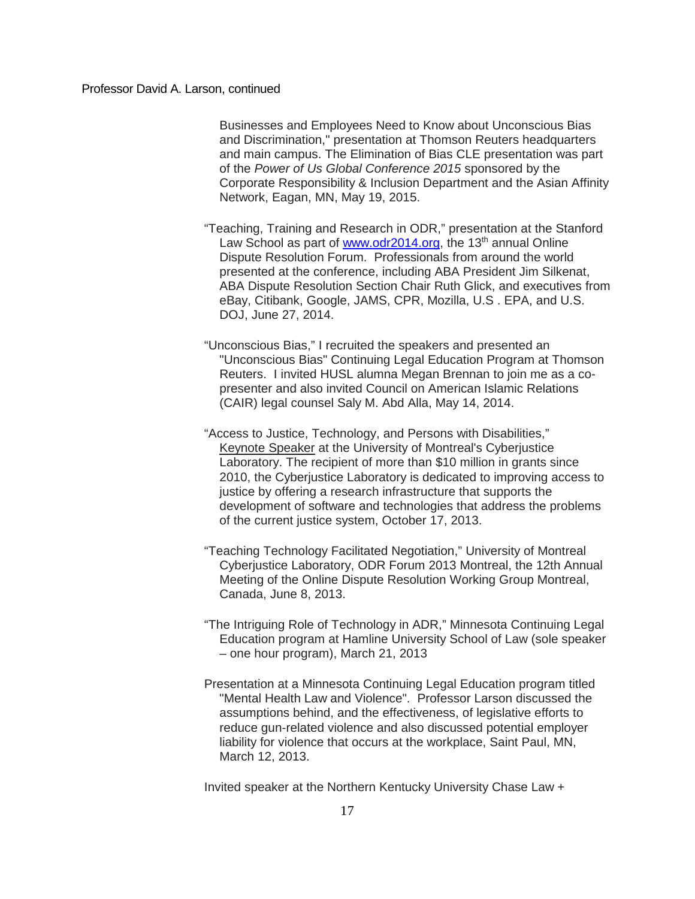Businesses and Employees Need to Know about Unconscious Bias and Discrimination," presentation at Thomson Reuters headquarters and main campus. The Elimination of Bias CLE presentation was part of the *Power of Us Global Conference 2015* sponsored by the Corporate Responsibility & Inclusion Department and the Asian Affinity Network, Eagan, MN, May 19, 2015.

"Teaching, Training and Research in ODR," presentation at the Stanford Law School as part of [www.odr2014.org,](http://www.odr2014.org/) the 13<sup>th</sup> annual Online Dispute Resolution Forum. Professionals from around the world presented at the conference, including ABA President Jim Silkenat, ABA Dispute Resolution Section Chair Ruth Glick, and executives from eBay, Citibank, Google, JAMS, CPR, Mozilla, U.S . EPA, and U.S. DOJ, June 27, 2014.

"Unconscious Bias," I recruited the speakers and presented an "Unconscious Bias" Continuing Legal Education Program at Thomson Reuters. I invited HUSL alumna Megan Brennan to join me as a copresenter and also invited Council on American Islamic Relations (CAIR) legal counsel Saly M. Abd Alla, May 14, 2014.

"Access to Justice, Technology, and Persons with Disabilities," Keynote Speaker at the University of Montreal's Cyberjustice Laboratory. The recipient of more than \$10 million in grants since 2010, the Cyberjustice Laboratory is dedicated to improving access to justice by offering a research infrastructure that supports the development of software and technologies that address the problems of the current justice system, October 17, 2013.

- "Teaching Technology Facilitated Negotiation," University of Montreal Cyberjustice Laboratory, ODR Forum 2013 Montreal, the 12th Annual Meeting of the Online Dispute Resolution Working Group Montreal, Canada, June 8, 2013.
- "The Intriguing Role of Technology in ADR," Minnesota Continuing Legal Education program at Hamline University School of Law (sole speaker – one hour program), March 21, 2013
- Presentation at a Minnesota Continuing Legal Education program titled "Mental Health Law and Violence". Professor Larson discussed the assumptions behind, and the effectiveness, of legislative efforts to reduce gun-related violence and also discussed potential employer liability for violence that occurs at the workplace, Saint Paul, MN, March 12, 2013.

Invited speaker at the Northern Kentucky University Chase Law +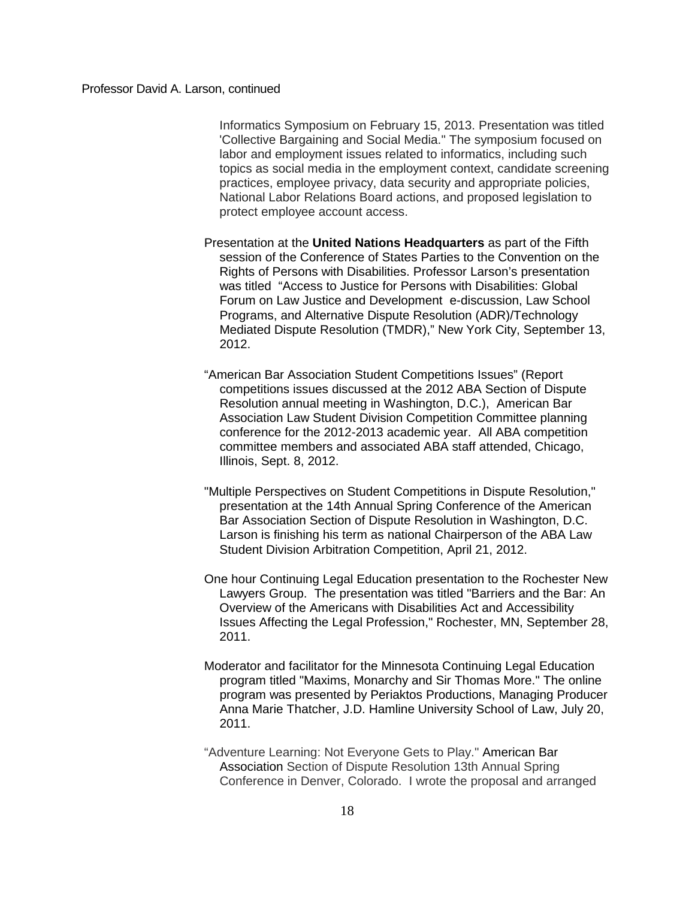Informatics Symposium on February 15, 2013. Presentation was titled 'Collective Bargaining and Social Media." The symposium focused on labor and employment issues related to informatics, including such topics as social media in the employment context, candidate screening practices, employee privacy, data security and appropriate policies, National Labor Relations Board actions, and proposed legislation to protect employee account access.

Presentation at the **United Nations Headquarters** as part of the Fifth session of the Conference of States Parties to the Convention on the Rights of Persons with Disabilities. Professor Larson's presentation was titled "Access to Justice for Persons with Disabilities: Global Forum on Law Justice and Development e-discussion, Law School Programs, and Alternative Dispute Resolution (ADR)/Technology Mediated Dispute Resolution (TMDR)," New York City, September 13, 2012.

"American Bar Association Student Competitions Issues" (Report competitions issues discussed at the 2012 ABA Section of Dispute Resolution annual meeting in Washington, D.C.), American Bar Association Law Student Division Competition Committee planning conference for the 2012-2013 academic year. All ABA competition committee members and associated ABA staff attended, Chicago, Illinois, Sept. 8, 2012.

"Multiple Perspectives on Student Competitions in Dispute Resolution," presentation at the 14th Annual Spring Conference of the American Bar Association Section of Dispute Resolution in Washington, D.C. Larson is finishing his term as national Chairperson of the ABA Law Student Division Arbitration Competition, April 21, 2012.

One hour Continuing Legal Education presentation to the Rochester New Lawyers Group. The presentation was titled "Barriers and the Bar: An Overview of the Americans with Disabilities Act and Accessibility Issues Affecting the Legal Profession," Rochester, MN, September 28, 2011.

Moderator and facilitator for the Minnesota Continuing Legal Education program titled "Maxims, Monarchy and Sir Thomas More." The online program was presented by Periaktos Productions, Managing Producer Anna Marie Thatcher, J.D. Hamline University School of Law, July 20, 2011.

"Adventure Learning: Not Everyone Gets to Play." American Bar Association Section of Dispute Resolution 13th Annual Spring Conference in Denver, Colorado. I wrote the proposal and arranged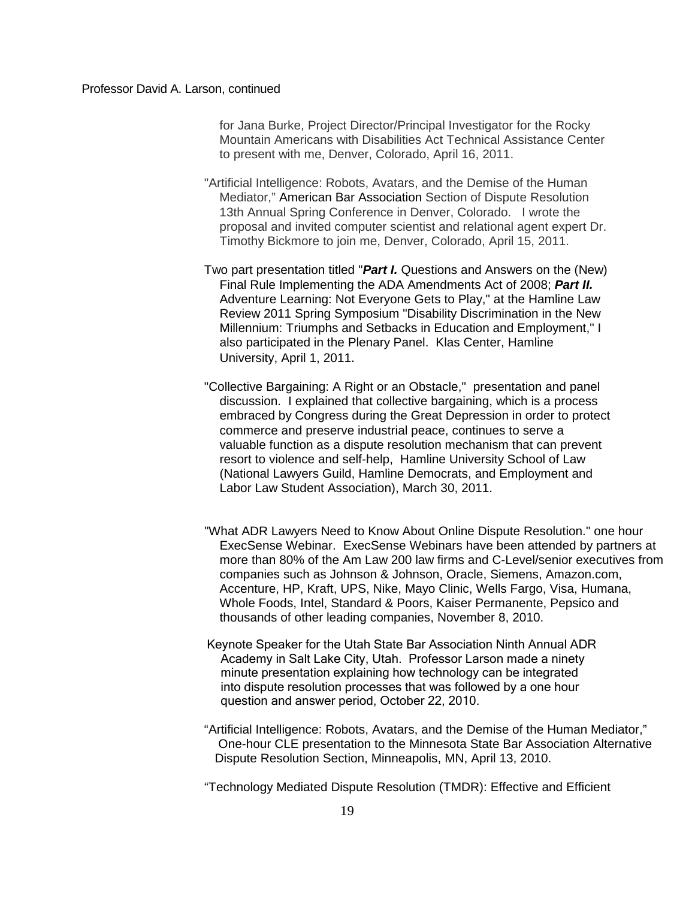for Jana Burke, Project Director/Principal Investigator for the Rocky Mountain Americans with Disabilities Act Technical Assistance Center to present with me, Denver, Colorado, April 16, 2011.

- "Artificial Intelligence: Robots, Avatars, and the Demise of the Human Mediator," American Bar Association Section of Dispute Resolution 13th Annual Spring Conference in Denver, Colorado. I wrote the proposal and invited computer scientist and relational agent expert Dr. Timothy Bickmore to join me, Denver, Colorado, April 15, 2011.
- Two part presentation titled "*Part I.* Questions and Answers on the (New) Final Rule Implementing the ADA Amendments Act of 2008; *Part II.*  Adventure Learning: Not Everyone Gets to Play," at the Hamline Law Review 2011 Spring Symposium "Disability Discrimination in the New Millennium: Triumphs and Setbacks in Education and Employment," I also participated in the Plenary Panel. Klas Center, Hamline University, April 1, 2011.
- "Collective Bargaining: A Right or an Obstacle," presentation and panel discussion. I explained that collective bargaining, which is a process embraced by Congress during the Great Depression in order to protect commerce and preserve industrial peace, continues to serve a valuable function as a dispute resolution mechanism that can prevent resort to violence and self-help, Hamline University School of Law (National Lawyers Guild, Hamline Democrats, and Employment and Labor Law Student Association), March 30, 2011.
- "What ADR Lawyers Need to Know About Online Dispute Resolution." one hour ExecSense Webinar. ExecSense Webinars have been attended by partners at more than 80% of the Am Law 200 law firms and C-Level/senior executives from companies such as Johnson & Johnson, Oracle, Siemens, Amazon.com, Accenture, HP, Kraft, UPS, Nike, Mayo Clinic, Wells Fargo, Visa, Humana, Whole Foods, Intel, Standard & Poors, Kaiser Permanente, Pepsico and thousands of other leading companies, November 8, 2010.
- Keynote Speaker for the Utah State Bar Association Ninth Annual ADR Academy in Salt Lake City, Utah. Professor Larson made a ninety minute presentation explaining how technology can be integrated into dispute resolution processes that was followed by a one hour question and answer period, October 22, 2010.
- "Artificial Intelligence: Robots, Avatars, and the Demise of the Human Mediator,"One-hour CLE presentation to the Minnesota State Bar Association Alternative Dispute Resolution Section, Minneapolis, MN, April 13, 2010.

"Technology Mediated Dispute Resolution (TMDR): Effective and Efficient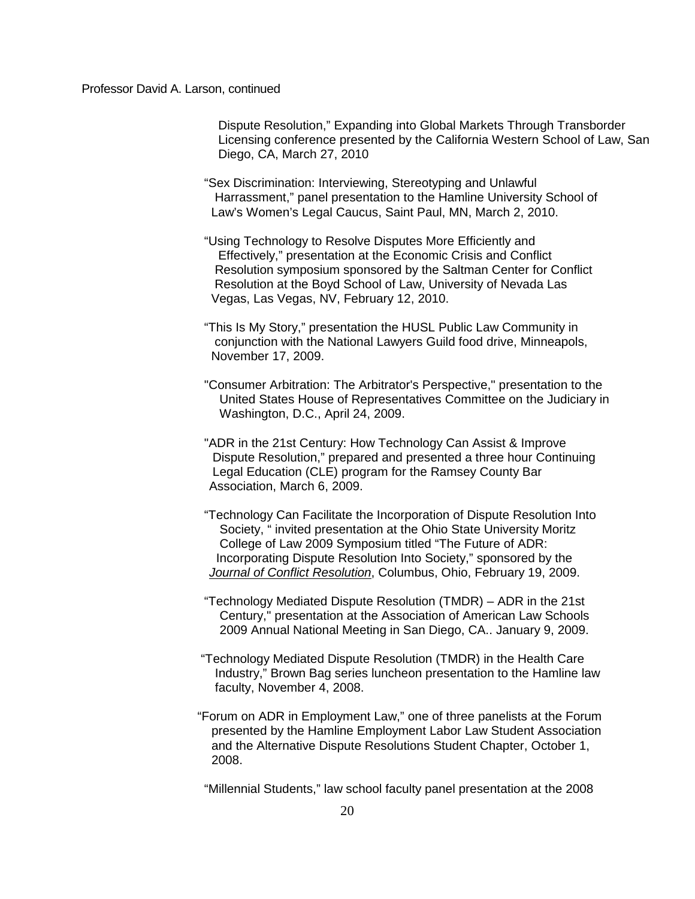Dispute Resolution," Expanding into Global Markets Through Transborder Licensing conference presented by the California Western School of Law, San Diego, CA, March 27, 2010

- "Sex Discrimination: Interviewing, Stereotyping and Unlawful Harrassment," panel presentation to the Hamline University School of Law's Women's Legal Caucus, Saint Paul, MN, March 2, 2010.
- "Using Technology to Resolve Disputes More Efficiently and Effectively," presentation at the Economic Crisis and Conflict Resolution symposium sponsored by the Saltman Center for Conflict Resolution at the Boyd School of Law, University of Nevada Las Vegas, Las Vegas, NV, February 12, 2010.
- "This Is My Story," presentation the HUSL Public Law Community in conjunction with the National Lawyers Guild food drive, Minneapols, November 17, 2009.
- "Consumer Arbitration: The Arbitrator's Perspective," presentation to the United States House of Representatives Committee on the Judiciary in Washington, D.C., April 24, 2009.
- "ADR in the 21st Century: How Technology Can Assist & Improve Dispute Resolution," prepared and presented a three hour Continuing Legal Education (CLE) program for the Ramsey County Bar Association, March 6, 2009.
- "Technology Can Facilitate the Incorporation of Dispute Resolution Into Society, " invited presentation at the Ohio State University Moritz College of Law 2009 Symposium titled "The Future of ADR: Incorporating Dispute Resolution Into Society," sponsored by the *Journal of Conflict Resolution*, Columbus, Ohio, February 19, 2009.
- "Technology Mediated Dispute Resolution (TMDR) ADR in the 21st Century," presentation at the Association of American Law Schools 2009 Annual National Meeting in San Diego, CA.. January 9, 2009.
- "Technology Mediated Dispute Resolution (TMDR) in the Health Care Industry," Brown Bag series luncheon presentation to the Hamline law faculty, November 4, 2008.
- "Forum on ADR in Employment Law," one of three panelists at the Forum presented by the Hamline Employment Labor Law Student Association and the Alternative Dispute Resolutions Student Chapter, October 1, 2008.

"Millennial Students," law school faculty panel presentation at the 2008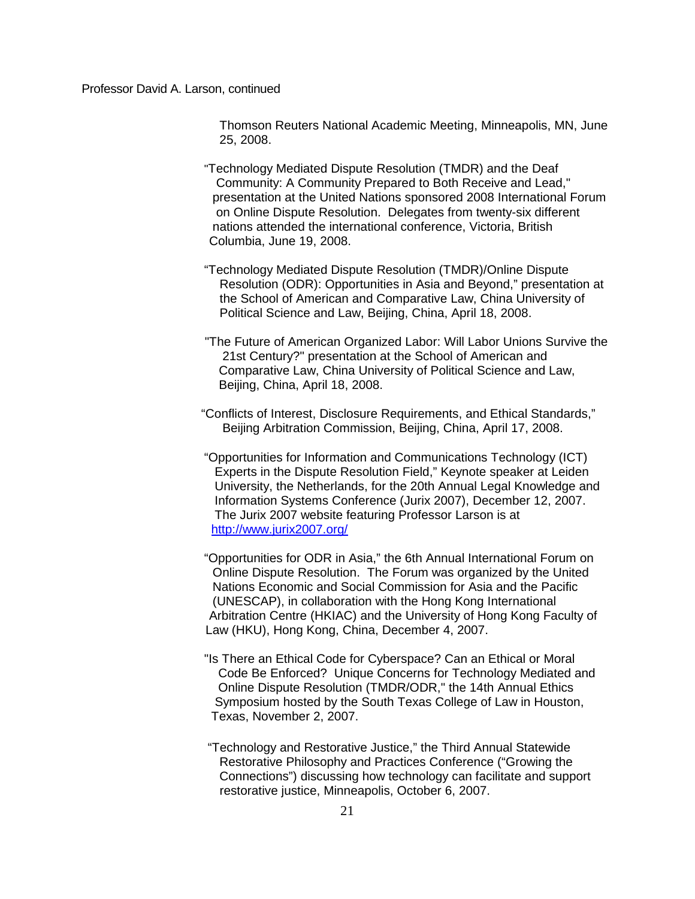Thomson Reuters National Academic Meeting, Minneapolis, MN, June 25, 2008.

- "Technology Mediated Dispute Resolution (TMDR) and the Deaf Community: A Community Prepared to Both Receive and Lead," presentation at the United Nations sponsored 2008 International Forum on Online Dispute Resolution. Delegates from twenty-six different nations attended the international conference, Victoria, British Columbia, June 19, 2008.
- "Technology Mediated Dispute Resolution (TMDR)/Online Dispute Resolution (ODR): Opportunities in Asia and Beyond," presentation at the School of American and Comparative Law, China University of Political Science and Law, Beijing, China, April 18, 2008.
- "The Future of American Organized Labor: Will Labor Unions Survive the 21st Century?" presentation at the School of American and Comparative Law, China University of Political Science and Law, Beijing, China, April 18, 2008.
- "Conflicts of Interest, Disclosure Requirements, and Ethical Standards," Beijing Arbitration Commission, Beijing, China, April 17, 2008.
- "Opportunities for Information and Communications Technology (ICT) Experts in the Dispute Resolution Field," Keynote speaker at Leiden University, the Netherlands, for the 20th Annual Legal Knowledge and Information Systems Conference (Jurix 2007), December 12, 2007. The Jurix 2007 website featuring Professor Larson is at <http://www.jurix2007.org/>
- "Opportunities for ODR in Asia," the 6th Annual International Forum on Online Dispute Resolution. The Forum was organized by the United Nations Economic and Social Commission for Asia and the Pacific (UNESCAP), in collaboration with the Hong Kong International Arbitration Centre (HKIAC) and the University of Hong Kong Faculty of Law (HKU), Hong Kong, China, December 4, 2007.
- "Is There an Ethical Code for Cyberspace? Can an Ethical or Moral Code Be Enforced? Unique Concerns for Technology Mediated and Online Dispute Resolution (TMDR/ODR," the 14th Annual Ethics Symposium hosted by the South Texas College of Law in Houston, Texas, November 2, 2007.
- "Technology and Restorative Justice," the Third Annual Statewide Restorative Philosophy and Practices Conference ("Growing the Connections") discussing how technology can facilitate and support restorative justice, Minneapolis, October 6, 2007.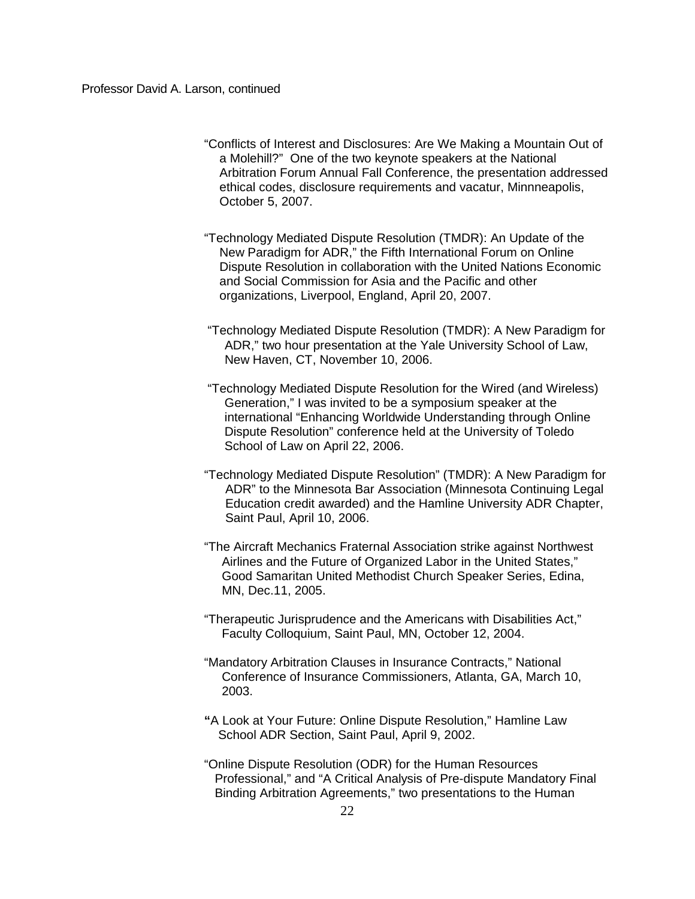"Conflicts of Interest and Disclosures: Are We Making a Mountain Out of a Molehill?" One of the two keynote speakers at the National Arbitration Forum Annual Fall Conference, the presentation addressed ethical codes, disclosure requirements and vacatur, Minnneapolis, October 5, 2007.

"Technology Mediated Dispute Resolution (TMDR): An Update of the New Paradigm for ADR," the Fifth International Forum on Online Dispute Resolution in collaboration with the United Nations Economic and Social Commission for Asia and the Pacific and other organizations, Liverpool, England, April 20, 2007.

- "Technology Mediated Dispute Resolution (TMDR): A New Paradigm for ADR," two hour presentation at the Yale University School of Law, New Haven, CT, November 10, 2006.
- "Technology Mediated Dispute Resolution for the Wired (and Wireless) Generation," I was invited to be a symposium speaker at the international "Enhancing Worldwide Understanding through Online Dispute Resolution" conference held at the University of Toledo School of Law on April 22, 2006.
- "Technology Mediated Dispute Resolution" (TMDR): A New Paradigm for ADR" to the Minnesota Bar Association (Minnesota Continuing Legal Education credit awarded) and the Hamline University ADR Chapter, Saint Paul, April 10, 2006.
- "The Aircraft Mechanics Fraternal Association strike against Northwest Airlines and the Future of Organized Labor in the United States," Good Samaritan United Methodist Church Speaker Series, Edina, MN, Dec.11, 2005.
- "Therapeutic Jurisprudence and the Americans with Disabilities Act," Faculty Colloquium, Saint Paul, MN, October 12, 2004.
- "Mandatory Arbitration Clauses in Insurance Contracts," National Conference of Insurance Commissioners, Atlanta, GA, March 10, 2003.
- **"**A Look at Your Future: Online Dispute Resolution," Hamline Law School ADR Section, Saint Paul, April 9, 2002.
- "Online Dispute Resolution (ODR) for the Human Resources Professional," and "A Critical Analysis of Pre-dispute Mandatory Final Binding Arbitration Agreements," two presentations to the Human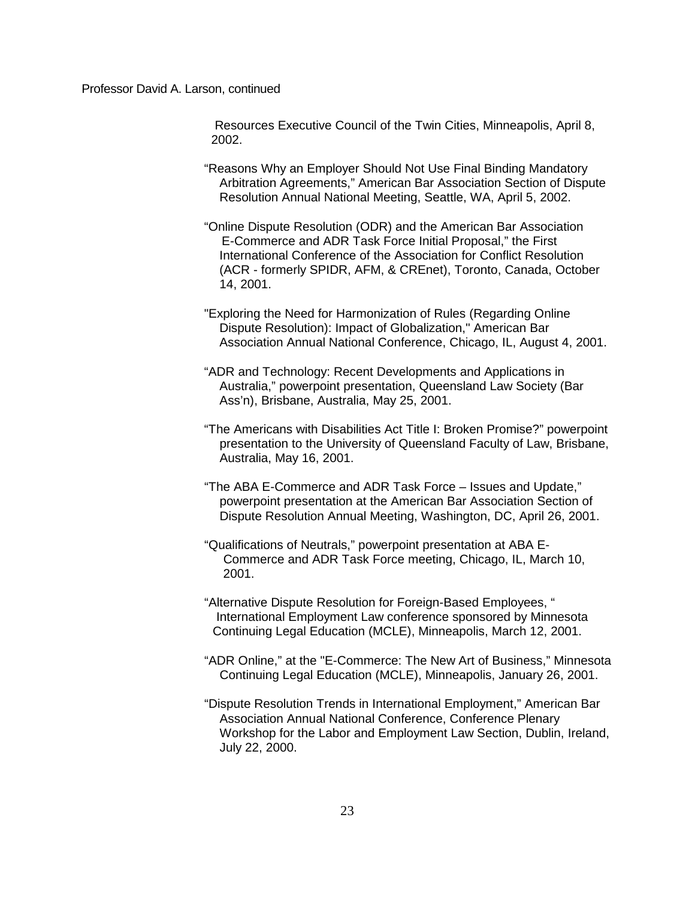Resources Executive Council of the Twin Cities, Minneapolis, April 8, 2002.

- "Reasons Why an Employer Should Not Use Final Binding Mandatory Arbitration Agreements," American Bar Association Section of Dispute Resolution Annual National Meeting, Seattle, WA, April 5, 2002.
- "Online Dispute Resolution (ODR) and the American Bar Association E-Commerce and ADR Task Force Initial Proposal," the First International Conference of the Association for Conflict Resolution (ACR - formerly SPIDR, AFM, & CREnet), Toronto, Canada, October 14, 2001.
- "Exploring the Need for Harmonization of Rules (Regarding Online Dispute Resolution): Impact of Globalization," American Bar Association Annual National Conference, Chicago, IL, August 4, 2001.
- "ADR and Technology: Recent Developments and Applications in Australia," powerpoint presentation, Queensland Law Society (Bar Ass'n), Brisbane, Australia, May 25, 2001.
- "The Americans with Disabilities Act Title I: Broken Promise?" powerpoint presentation to the University of Queensland Faculty of Law, Brisbane, Australia, May 16, 2001.
- "The ABA E-Commerce and ADR Task Force Issues and Update," powerpoint presentation at the American Bar Association Section of Dispute Resolution Annual Meeting, Washington, DC, April 26, 2001.
- "Qualifications of Neutrals," powerpoint presentation at ABA E- Commerce and ADR Task Force meeting, Chicago, IL, March 10, 2001.
- "Alternative Dispute Resolution for Foreign-Based Employees, " International Employment Law conference sponsored by Minnesota Continuing Legal Education (MCLE), Minneapolis, March 12, 2001.
- "ADR Online," at the "E-Commerce: The New Art of Business," Minnesota Continuing Legal Education (MCLE), Minneapolis, January 26, 2001.
- "Dispute Resolution Trends in International Employment," American Bar Association Annual National Conference, Conference Plenary Workshop for the Labor and Employment Law Section, Dublin, Ireland, July 22, 2000.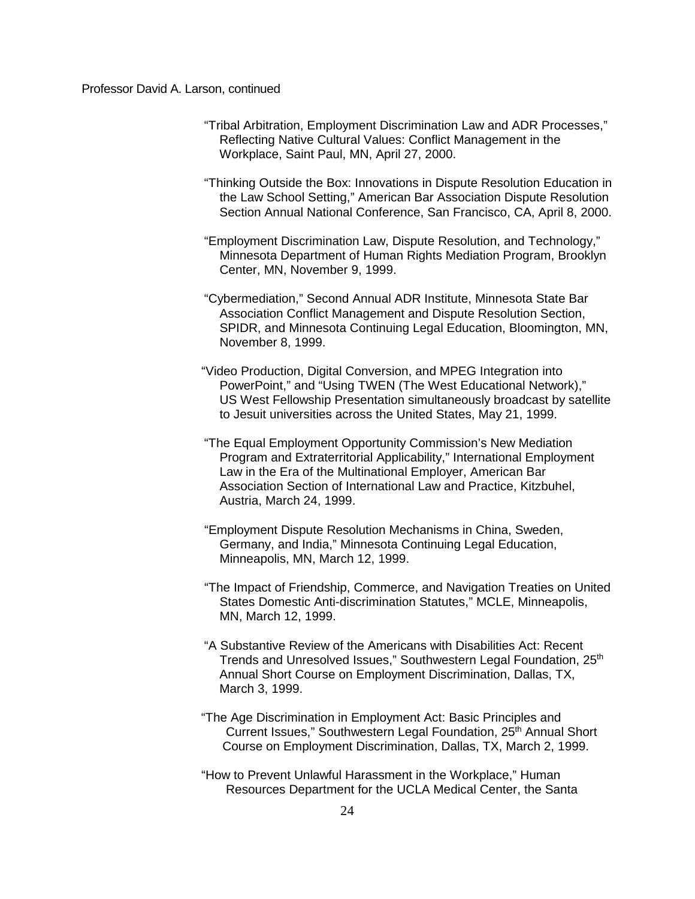- "Tribal Arbitration, Employment Discrimination Law and ADR Processes," Reflecting Native Cultural Values: Conflict Management in the Workplace, Saint Paul, MN, April 27, 2000.
- "Thinking Outside the Box: Innovations in Dispute Resolution Education in the Law School Setting," American Bar Association Dispute Resolution Section Annual National Conference, San Francisco, CA, April 8, 2000.
- "Employment Discrimination Law, Dispute Resolution, and Technology," Minnesota Department of Human Rights Mediation Program, Brooklyn Center, MN, November 9, 1999.
- "Cybermediation," Second Annual ADR Institute, Minnesota State Bar Association Conflict Management and Dispute Resolution Section, SPIDR, and Minnesota Continuing Legal Education, Bloomington, MN, November 8, 1999.
- "Video Production, Digital Conversion, and MPEG Integration into PowerPoint," and "Using TWEN (The West Educational Network)," US West Fellowship Presentation simultaneously broadcast by satellite to Jesuit universities across the United States, May 21, 1999.
- "The Equal Employment Opportunity Commission's New Mediation Program and Extraterritorial Applicability," International Employment Law in the Era of the Multinational Employer, American Bar Association Section of International Law and Practice, Kitzbuhel, Austria, March 24, 1999.
- "Employment Dispute Resolution Mechanisms in China, Sweden, Germany, and India," Minnesota Continuing Legal Education, Minneapolis, MN, March 12, 1999.
- "The Impact of Friendship, Commerce, and Navigation Treaties on United States Domestic Anti-discrimination Statutes," MCLE, Minneapolis, MN, March 12, 1999.
- "A Substantive Review of the Americans with Disabilities Act: Recent Trends and Unresolved Issues," Southwestern Legal Foundation, 25<sup>th</sup> Annual Short Course on Employment Discrimination, Dallas, TX, March 3, 1999.
- "The Age Discrimination in Employment Act: Basic Principles and Current Issues," Southwestern Legal Foundation, 25<sup>th</sup> Annual Short Course on Employment Discrimination, Dallas, TX, March 2, 1999.
- "How to Prevent Unlawful Harassment in the Workplace," Human Resources Department for the UCLA Medical Center, the Santa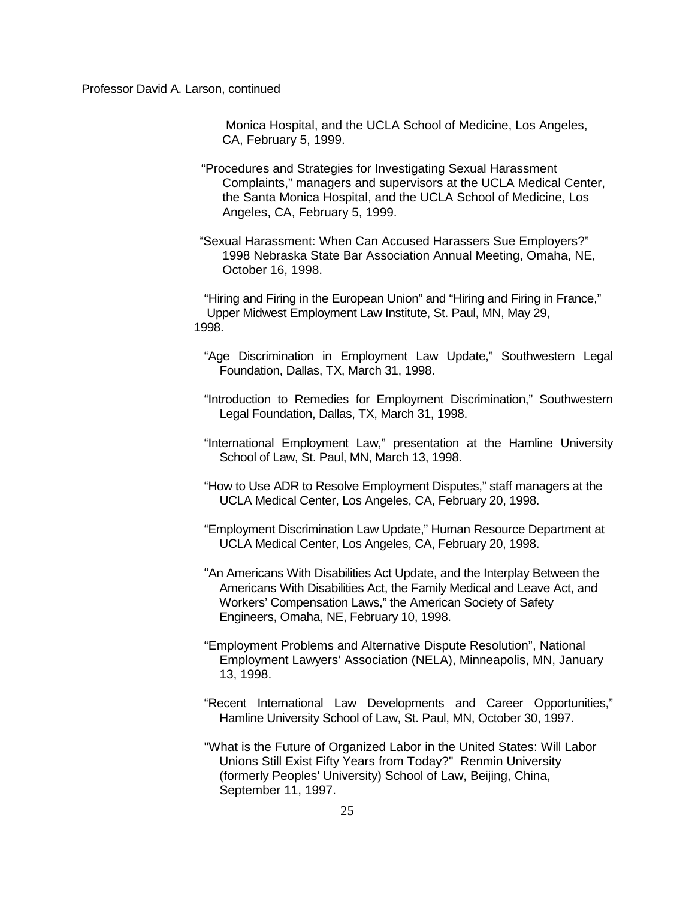Monica Hospital, and the UCLA School of Medicine, Los Angeles, CA, February 5, 1999.

- "Procedures and Strategies for Investigating Sexual Harassment Complaints," managers and supervisors at the UCLA Medical Center, the Santa Monica Hospital, and the UCLA School of Medicine, Los Angeles, CA, February 5, 1999.
- "Sexual Harassment: When Can Accused Harassers Sue Employers?" 1998 Nebraska State Bar Association Annual Meeting, Omaha, NE, October 16, 1998.

"Hiring and Firing in the European Union" and "Hiring and Firing in France," Upper Midwest Employment Law Institute, St. Paul, MN, May 29, 1998.

- "Age Discrimination in Employment Law Update," Southwestern Legal Foundation, Dallas, TX, March 31, 1998.
- "Introduction to Remedies for Employment Discrimination," Southwestern Legal Foundation, Dallas, TX, March 31, 1998.
- "International Employment Law," presentation at the Hamline University School of Law, St. Paul, MN, March 13, 1998.
- "How to Use ADR to Resolve Employment Disputes," staff managers at the UCLA Medical Center, Los Angeles, CA, February 20, 1998.
- "Employment Discrimination Law Update," Human Resource Department at UCLA Medical Center, Los Angeles, CA, February 20, 1998.
- "An Americans With Disabilities Act Update, and the Interplay Between the Americans With Disabilities Act, the Family Medical and Leave Act, and Workers' Compensation Laws," the American Society of Safety Engineers, Omaha, NE, February 10, 1998.
- "Employment Problems and Alternative Dispute Resolution", National Employment Lawyers' Association (NELA), Minneapolis, MN, January 13, 1998.
- "Recent International Law Developments and Career Opportunities," Hamline University School of Law, St. Paul, MN, October 30, 1997.
- "What is the Future of Organized Labor in the United States: Will Labor Unions Still Exist Fifty Years from Today?" Renmin University (formerly Peoples' University) School of Law, Beijing, China, September 11, 1997.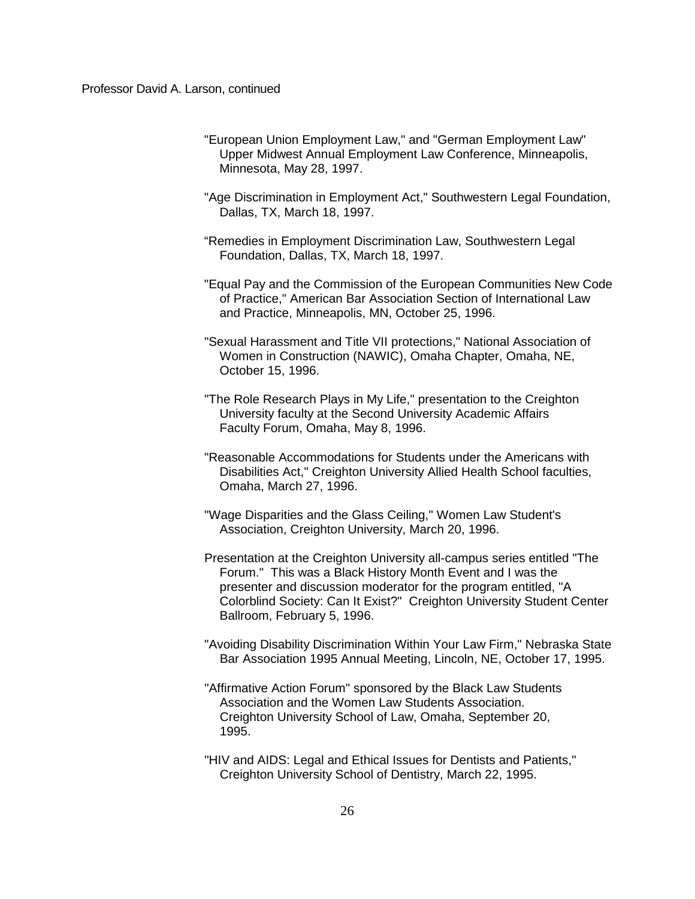- "European Union Employment Law," and "German Employment Law" Upper Midwest Annual Employment Law Conference, Minneapolis, Minnesota, May 28, 1997.
- "Age Discrimination in Employment Act," Southwestern Legal Foundation, Dallas, TX, March 18, 1997.
- "Remedies in Employment Discrimination Law, Southwestern Legal Foundation, Dallas, TX, March 18, 1997.
- "Equal Pay and the Commission of the European Communities New Code of Practice," American Bar Association Section of International Law and Practice, Minneapolis, MN, October 25, 1996.
- "Sexual Harassment and Title VII protections," National Association of Women in Construction (NAWIC), Omaha Chapter, Omaha, NE, October 15, 1996.
- "The Role Research Plays in My Life," presentation to the Creighton University faculty at the Second University Academic Affairs Faculty Forum, Omaha, May 8, 1996.
- "Reasonable Accommodations for Students under the Americans with Disabilities Act," Creighton University Allied Health School faculties, Omaha, March 27, 1996.
- "Wage Disparities and the Glass Ceiling," Women Law Student's Association, Creighton University, March 20, 1996.
- Presentation at the Creighton University all-campus series entitled "The Forum." This was a Black History Month Event and I was the presenter and discussion moderator for the program entitled, "A Colorblind Society: Can It Exist?" Creighton University Student Center Ballroom, February 5, 1996.
- "Avoiding Disability Discrimination Within Your Law Firm," Nebraska State Bar Association 1995 Annual Meeting, Lincoln, NE, October 17, 1995.
- "Affirmative Action Forum" sponsored by the Black Law Students Association and the Women Law Students Association. Creighton University School of Law, Omaha, September 20, 1995.
- "HIV and AIDS: Legal and Ethical Issues for Dentists and Patients," Creighton University School of Dentistry, March 22, 1995.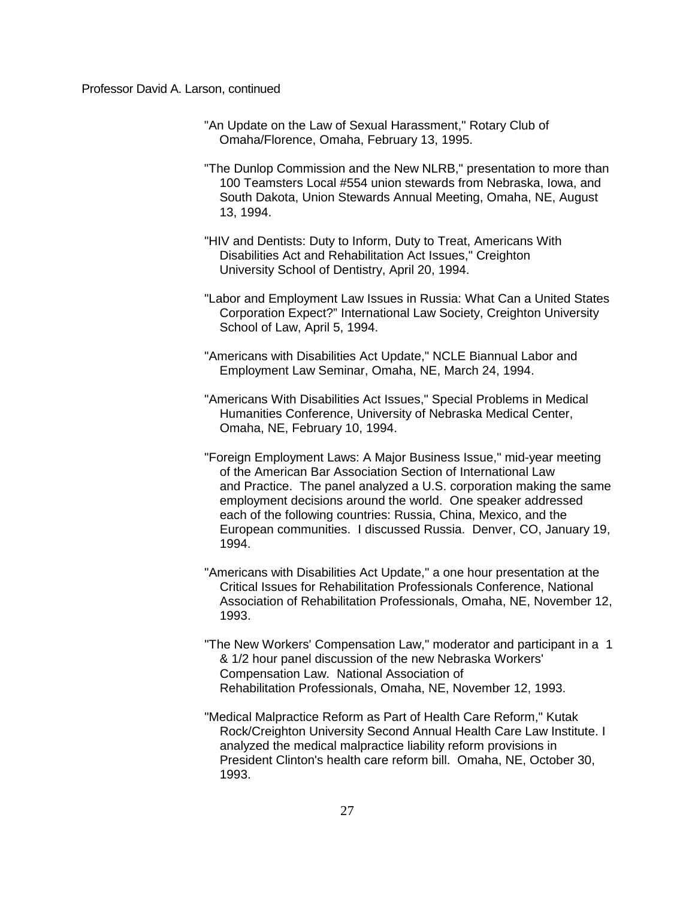- "An Update on the Law of Sexual Harassment," Rotary Club of Omaha/Florence, Omaha, February 13, 1995.
- "The Dunlop Commission and the New NLRB," presentation to more than 100 Teamsters Local #554 union stewards from Nebraska, Iowa, and South Dakota, Union Stewards Annual Meeting, Omaha, NE, August 13, 1994.
- "HIV and Dentists: Duty to Inform, Duty to Treat, Americans With Disabilities Act and Rehabilitation Act Issues," Creighton University School of Dentistry, April 20, 1994.
- "Labor and Employment Law Issues in Russia: What Can a United States Corporation Expect?" International Law Society, Creighton University School of Law, April 5, 1994.
- "Americans with Disabilities Act Update," NCLE Biannual Labor and Employment Law Seminar, Omaha, NE, March 24, 1994.
- "Americans With Disabilities Act Issues," Special Problems in Medical Humanities Conference, University of Nebraska Medical Center, Omaha, NE, February 10, 1994.
- "Foreign Employment Laws: A Major Business Issue," mid-year meeting of the American Bar Association Section of International Law and Practice. The panel analyzed a U.S. corporation making the same employment decisions around the world. One speaker addressed each of the following countries: Russia, China, Mexico, and the European communities. I discussed Russia. Denver, CO, January 19, 1994.
- "Americans with Disabilities Act Update," a one hour presentation at the Critical Issues for Rehabilitation Professionals Conference, National Association of Rehabilitation Professionals, Omaha, NE, November 12, 1993.
- "The New Workers' Compensation Law," moderator and participant in a 1 & 1/2 hour panel discussion of the new Nebraska Workers' Compensation Law. National Association of Rehabilitation Professionals, Omaha, NE, November 12, 1993.
- "Medical Malpractice Reform as Part of Health Care Reform," Kutak Rock/Creighton University Second Annual Health Care Law Institute. I analyzed the medical malpractice liability reform provisions in President Clinton's health care reform bill. Omaha, NE, October 30, 1993.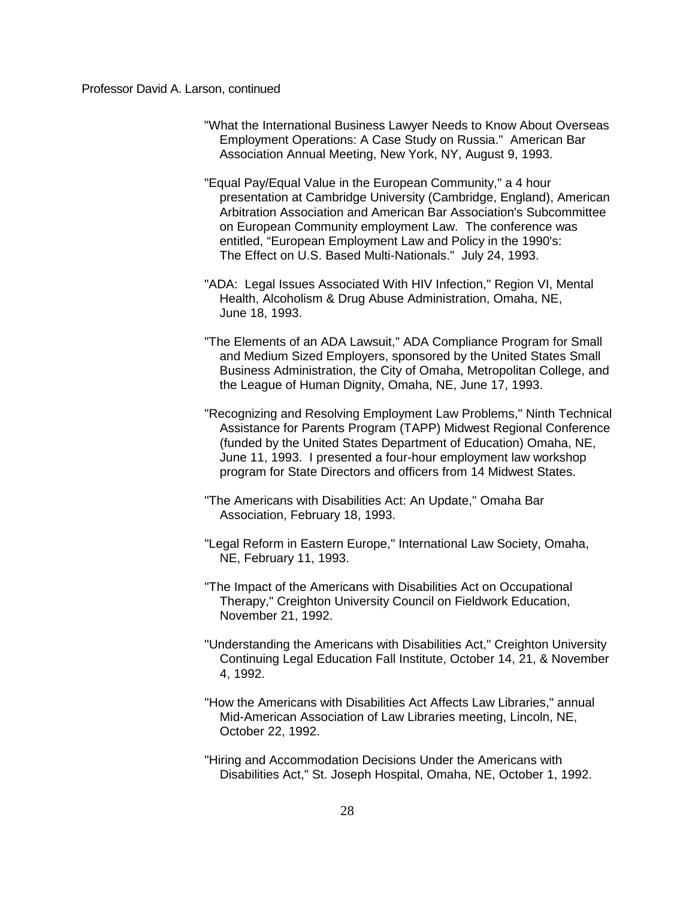- "What the International Business Lawyer Needs to Know About Overseas Employment Operations: A Case Study on Russia." American Bar Association Annual Meeting, New York, NY, August 9, 1993.
- "Equal Pay/Equal Value in the European Community," a 4 hour presentation at Cambridge University (Cambridge, England), American Arbitration Association and American Bar Association's Subcommittee on European Community employment Law. The conference was entitled, "European Employment Law and Policy in the 1990's: The Effect on U.S. Based Multi-Nationals." July 24, 1993.
- "ADA: Legal Issues Associated With HIV Infection," Region VI, Mental Health, Alcoholism & Drug Abuse Administration, Omaha, NE, June 18, 1993.
- "The Elements of an ADA Lawsuit," ADA Compliance Program for Small and Medium Sized Employers, sponsored by the United States Small Business Administration, the City of Omaha, Metropolitan College, and the League of Human Dignity, Omaha, NE, June 17, 1993.
- "Recognizing and Resolving Employment Law Problems," Ninth Technical Assistance for Parents Program (TAPP) Midwest Regional Conference (funded by the United States Department of Education) Omaha, NE, June 11, 1993. I presented a four-hour employment law workshop program for State Directors and officers from 14 Midwest States.
- "The Americans with Disabilities Act: An Update," Omaha Bar Association, February 18, 1993.
- "Legal Reform in Eastern Europe," International Law Society, Omaha, NE, February 11, 1993.
- "The Impact of the Americans with Disabilities Act on Occupational Therapy," Creighton University Council on Fieldwork Education, November 21, 1992.
- "Understanding the Americans with Disabilities Act," Creighton University Continuing Legal Education Fall Institute, October 14, 21, & November 4, 1992.
- "How the Americans with Disabilities Act Affects Law Libraries," annual Mid-American Association of Law Libraries meeting, Lincoln, NE, October 22, 1992.
- "Hiring and Accommodation Decisions Under the Americans with Disabilities Act," St. Joseph Hospital, Omaha, NE, October 1, 1992.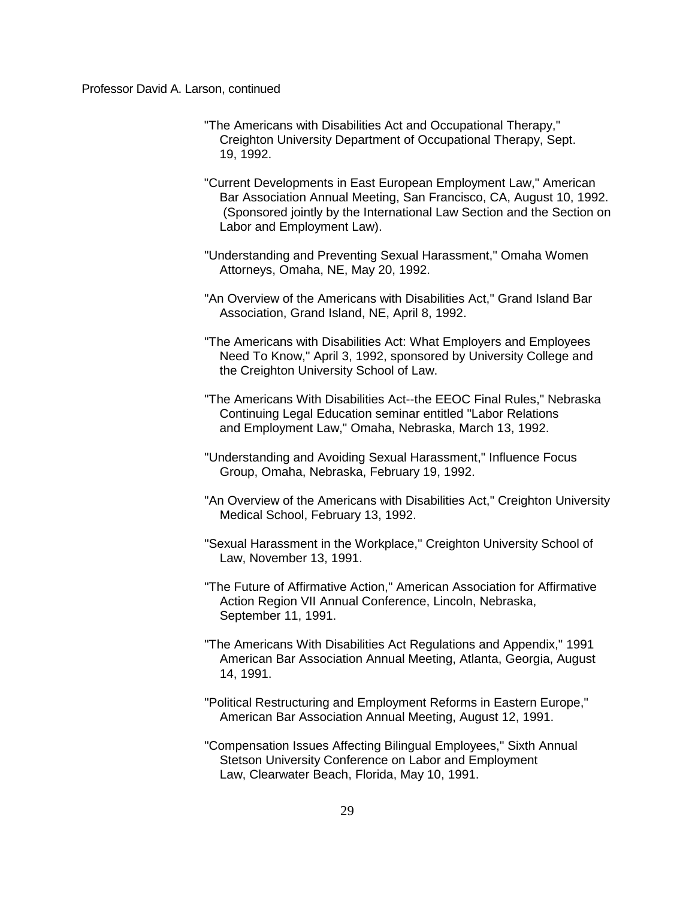- "The Americans with Disabilities Act and Occupational Therapy," Creighton University Department of Occupational Therapy, Sept. 19, 1992.
- "Current Developments in East European Employment Law," American Bar Association Annual Meeting, San Francisco, CA, August 10, 1992. (Sponsored jointly by the International Law Section and the Section on Labor and Employment Law).
- "Understanding and Preventing Sexual Harassment," Omaha Women Attorneys, Omaha, NE, May 20, 1992.
- "An Overview of the Americans with Disabilities Act," Grand Island Bar Association, Grand Island, NE, April 8, 1992.
- "The Americans with Disabilities Act: What Employers and Employees Need To Know," April 3, 1992, sponsored by University College and the Creighton University School of Law.
- "The Americans With Disabilities Act--the EEOC Final Rules," Nebraska Continuing Legal Education seminar entitled "Labor Relations and Employment Law," Omaha, Nebraska, March 13, 1992.
- "Understanding and Avoiding Sexual Harassment," Influence Focus Group, Omaha, Nebraska, February 19, 1992.
- "An Overview of the Americans with Disabilities Act," Creighton University Medical School, February 13, 1992.
- "Sexual Harassment in the Workplace," Creighton University School of Law, November 13, 1991.
- "The Future of Affirmative Action," American Association for Affirmative Action Region VII Annual Conference, Lincoln, Nebraska, September 11, 1991.
- "The Americans With Disabilities Act Regulations and Appendix," 1991 American Bar Association Annual Meeting, Atlanta, Georgia, August 14, 1991.
- "Political Restructuring and Employment Reforms in Eastern Europe," American Bar Association Annual Meeting, August 12, 1991.
- "Compensation Issues Affecting Bilingual Employees," Sixth Annual Stetson University Conference on Labor and Employment Law, Clearwater Beach, Florida, May 10, 1991.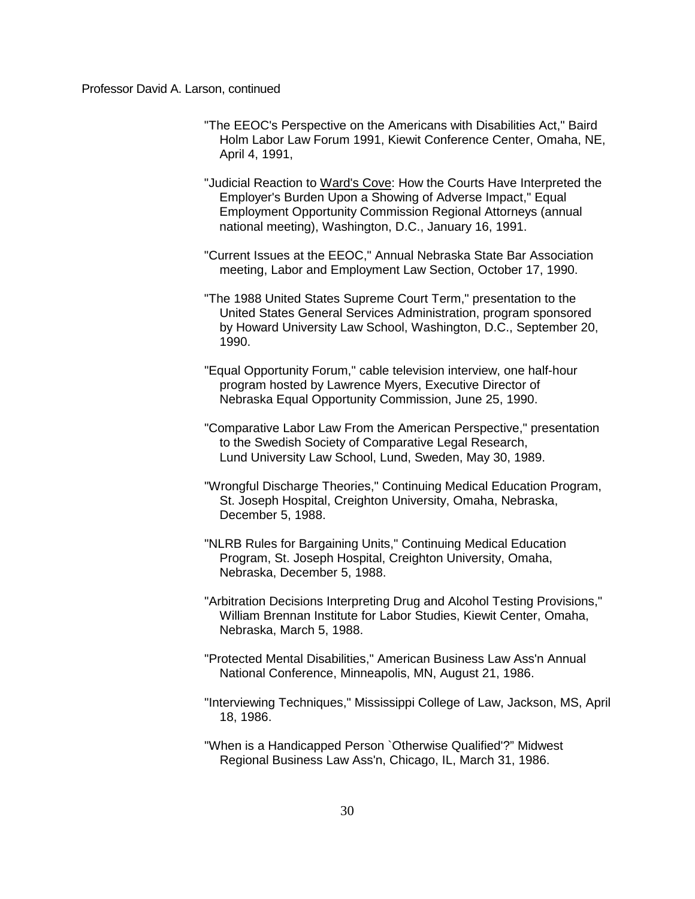- "The EEOC's Perspective on the Americans with Disabilities Act," Baird Holm Labor Law Forum 1991, Kiewit Conference Center, Omaha, NE, April 4, 1991,
- "Judicial Reaction to Ward's Cove: How the Courts Have Interpreted the Employer's Burden Upon a Showing of Adverse Impact," Equal Employment Opportunity Commission Regional Attorneys (annual national meeting), Washington, D.C., January 16, 1991.
- "Current Issues at the EEOC," Annual Nebraska State Bar Association meeting, Labor and Employment Law Section, October 17, 1990.
- "The 1988 United States Supreme Court Term," presentation to the United States General Services Administration, program sponsored by Howard University Law School, Washington, D.C., September 20, 1990.
- "Equal Opportunity Forum," cable television interview, one half-hour program hosted by Lawrence Myers, Executive Director of Nebraska Equal Opportunity Commission, June 25, 1990.
- "Comparative Labor Law From the American Perspective," presentation to the Swedish Society of Comparative Legal Research, Lund University Law School, Lund, Sweden, May 30, 1989.
- "Wrongful Discharge Theories," Continuing Medical Education Program, St. Joseph Hospital, Creighton University, Omaha, Nebraska, December 5, 1988.
- "NLRB Rules for Bargaining Units," Continuing Medical Education Program, St. Joseph Hospital, Creighton University, Omaha, Nebraska, December 5, 1988.
- "Arbitration Decisions Interpreting Drug and Alcohol Testing Provisions," William Brennan Institute for Labor Studies, Kiewit Center, Omaha, Nebraska, March 5, 1988.
- "Protected Mental Disabilities," American Business Law Ass'n Annual National Conference, Minneapolis, MN, August 21, 1986.
- "Interviewing Techniques," Mississippi College of Law, Jackson, MS, April 18, 1986.
- "When is a Handicapped Person `Otherwise Qualified'?" Midwest Regional Business Law Ass'n, Chicago, IL, March 31, 1986.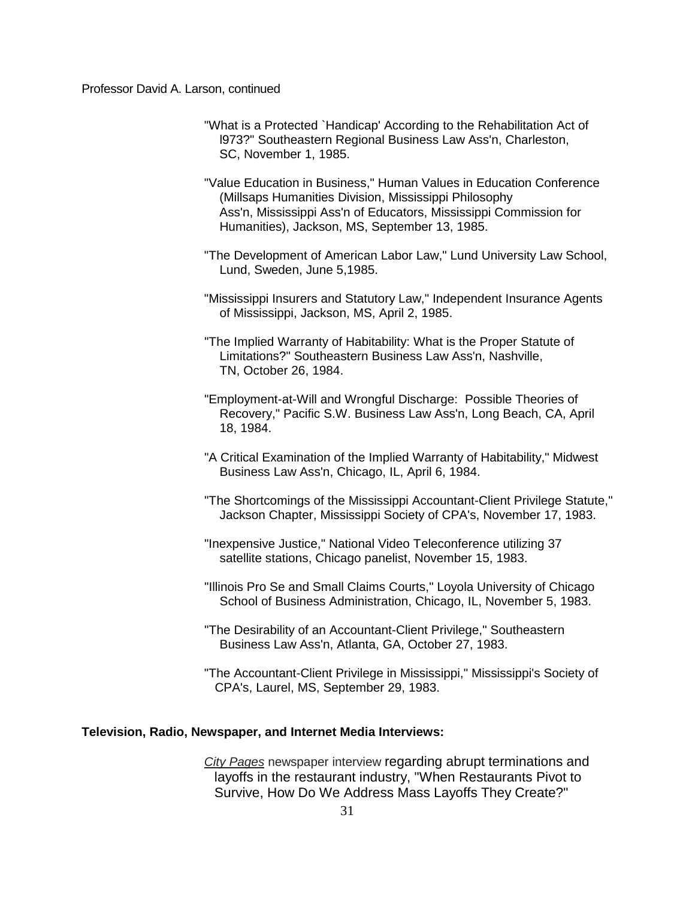- "What is a Protected `Handicap' According to the Rehabilitation Act of l973?" Southeastern Regional Business Law Ass'n, Charleston, SC, November 1, 1985.
- "Value Education in Business," Human Values in Education Conference (Millsaps Humanities Division, Mississippi Philosophy Ass'n, Mississippi Ass'n of Educators, Mississippi Commission for Humanities), Jackson, MS, September 13, 1985.
- "The Development of American Labor Law," Lund University Law School, Lund, Sweden, June 5,1985.
- "Mississippi Insurers and Statutory Law," Independent Insurance Agents of Mississippi, Jackson, MS, April 2, 1985.
- "The Implied Warranty of Habitability: What is the Proper Statute of Limitations?" Southeastern Business Law Ass'n, Nashville, TN, October 26, 1984.
- "Employment-at-Will and Wrongful Discharge: Possible Theories of Recovery," Pacific S.W. Business Law Ass'n, Long Beach, CA, April 18, 1984.
- "A Critical Examination of the Implied Warranty of Habitability," Midwest Business Law Ass'n, Chicago, IL, April 6, 1984.
- "The Shortcomings of the Mississippi Accountant-Client Privilege Statute," Jackson Chapter, Mississippi Society of CPA's, November 17, 1983.
- "Inexpensive Justice," National Video Teleconference utilizing 37 satellite stations, Chicago panelist, November 15, 1983.
- "Illinois Pro Se and Small Claims Courts," Loyola University of Chicago School of Business Administration, Chicago, IL, November 5, 1983.
- "The Desirability of an Accountant-Client Privilege," Southeastern Business Law Ass'n, Atlanta, GA, October 27, 1983.
- "The Accountant-Client Privilege in Mississippi," Mississippi's Society of CPA's, Laurel, MS, September 29, 1983.

## **Television, Radio, Newspaper, and Internet Media Interviews:**

*City Pages* newspaper interview regarding abrupt terminations and layoffs in the restaurant industry, "When Restaurants Pivot to Survive, How Do We Address Mass Layoffs They Create?"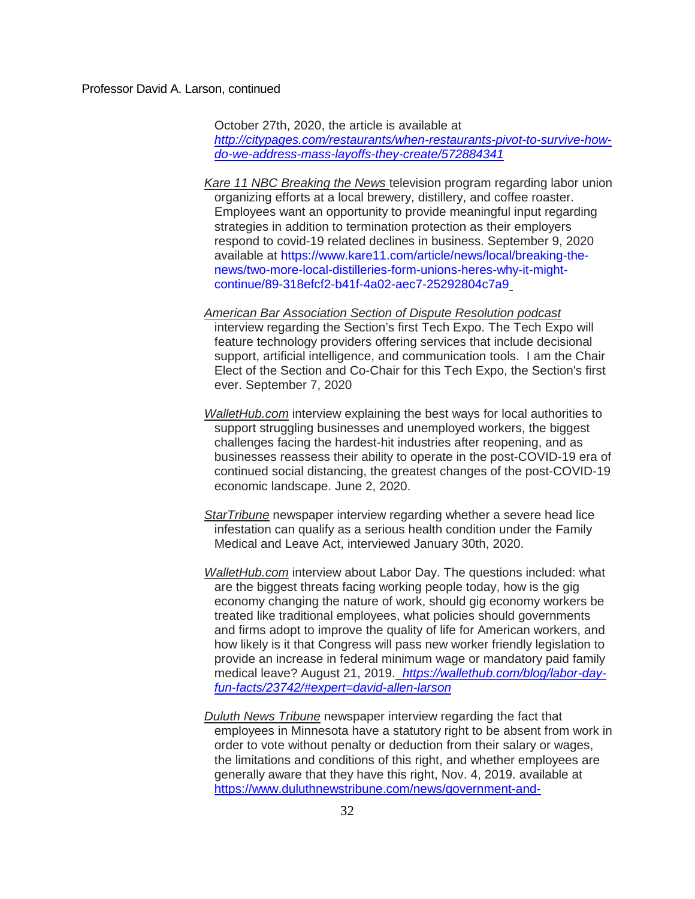October 27th, 2020, the article is available at *[http://citypages.com/restaurants/when-restaurants-pivot-to-survive-how](http://citypages.com/restaurants/when-restaurants-pivot-to-survive-how-do-we-address-mass-layoffs-they-create/572884341)[do-we-address-mass-layoffs-they-create/572884341](http://citypages.com/restaurants/when-restaurants-pivot-to-survive-how-do-we-address-mass-layoffs-they-create/572884341)*

- *Kare 11 NBC Breaking the News* television program regarding labor union organizing efforts at a local brewery, distillery, and coffee roaster. Employees want an opportunity to provide meaningful input regarding strategies in addition to termination protection as their employers respond to covid-19 related declines in business. September 9, 2020 available at [https://www.kare11.com/article/news/local/breaking-the](https://www.kare11.com/article/news/local/breaking-the-news/two-more-local-distilleries-form-unions-heres-why-it-might-continue/89-318efcf2-b41f-4a02-aec7-25292804c7a9)[news/two-more-local-distilleries-form-unions-heres-why-it-might](https://www.kare11.com/article/news/local/breaking-the-news/two-more-local-distilleries-form-unions-heres-why-it-might-continue/89-318efcf2-b41f-4a02-aec7-25292804c7a9)[continue/89-318efcf2-b41f-4a02-aec7-25292804c7a9](https://www.kare11.com/article/news/local/breaking-the-news/two-more-local-distilleries-form-unions-heres-why-it-might-continue/89-318efcf2-b41f-4a02-aec7-25292804c7a9)
- *American Bar Association Section of Dispute Resolution podcast* interview regarding the Section's first Tech Expo. The Tech Expo will feature technology providers offering services that include decisional support, artificial intelligence, and communication tools. I am the Chair Elect of the Section and Co-Chair for this Tech Expo, the Section's first ever. September 7, 2020
- *WalletHub.com* interview explaining the best ways for local authorities to support struggling businesses and unemployed workers, the biggest challenges facing the hardest-hit industries after reopening, and as businesses reassess their ability to operate in the post-COVID-19 era of continued social distancing, the greatest changes of the post-COVID-19 economic landscape. June 2, 2020.
- *StarTribune* newspaper interview regarding whether a severe head lice infestation can qualify as a serious health condition under the Family Medical and Leave Act, interviewed January 30th, 2020.
- *WalletHub.com* interview about Labor Day. The questions included: what are the biggest threats facing working people today, how is the gig economy changing the nature of work, should gig economy workers be treated like traditional employees, what policies should governments and firms adopt to improve the quality of life for American workers, and how likely is it that Congress will pass new worker friendly legislation to provide an increase in federal minimum wage or mandatory paid family medical leave? August 21, 2019. *[https://wallethub.com/blog/labor-day](https://wallethub.com/blog/labor-day-fun-facts/23742/#expert=david-allen-larson)[fun-facts/23742/#expert=david-allen-larson](https://wallethub.com/blog/labor-day-fun-facts/23742/#expert=david-allen-larson)*
- *Duluth News Tribune* newspaper interview regarding the fact that employees in Minnesota have a statutory right to be absent from work in order to vote without penalty or deduction from their salary or wages, the limitations and conditions of this right, and whether employees are generally aware that they have this right, Nov. 4, 2019. available at [https://www.duluthnewstribune.com/news/government-and-](https://www.duluthnewstribune.com/news/government-and-politics/4754713-Duluth-business-owners-encourage-workers-to-vote)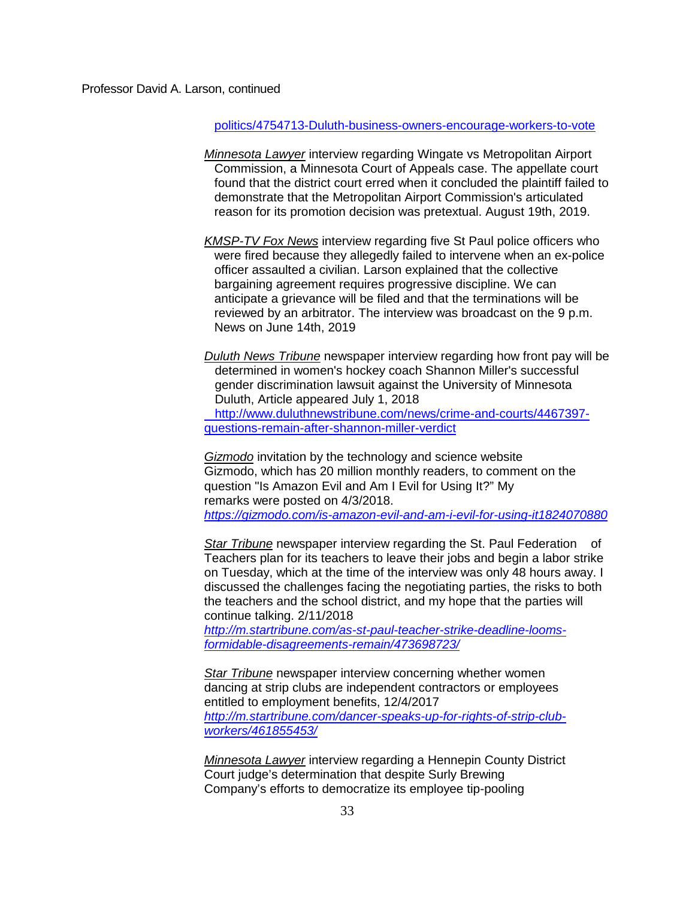### [politics/4754713-Duluth-business-owners-encourage-workers-to-vote](https://www.duluthnewstribune.com/news/government-and-politics/4754713-Duluth-business-owners-encourage-workers-to-vote)

- *Minnesota Lawyer* interview regarding Wingate vs Metropolitan Airport Commission, a Minnesota Court of Appeals case. The appellate court found that the district court erred when it concluded the plaintiff failed to demonstrate that the Metropolitan Airport Commission's articulated reason for its promotion decision was pretextual. August 19th, 2019.
- *KMSP-TV Fox News* interview regarding five St Paul police officers who were fired because they allegedly failed to intervene when an ex-police officer assaulted a civilian. Larson explained that the collective bargaining agreement requires progressive discipline. We can anticipate a grievance will be filed and that the terminations will be reviewed by an arbitrator. The interview was broadcast on the 9 p.m. News on June 14th, 2019

*Duluth News Tribune* newspaper interview regarding how front pay will be determined in women's hockey coach Shannon Miller's successful gender discrimination lawsuit against [the University of Minnesota](http://www.duluthnewstribune.com/news/crime-and-courts/4467397-questions-remain-after-shannon-miller-verdict)  Duluth, Article appeared July 1, 2018  [http://www.duluthnewstribune.com/news/crime-and-courts/4467397](http://www.duluthnewstribune.com/news/crime-and-courts/4467397-questions-remain-after-shannon-miller-verdict) [questions-remain-after-shannon-miller-verdict](http://www.duluthnewstribune.com/news/crime-and-courts/4467397-questions-remain-after-shannon-miller-verdict)

*Gizmodo* invitation by the technology and science website Gizmodo, which has 20 million monthly readers, to comment on the question "Is Amazon Evil and Am I Evil for Using It?" My remarks were posted on 4/3/2018. *<https://gizmodo.com/is-amazon-evil-and-am-i-evil-for-using-it1824070880>*

*Star Tribune* newspaper interview regarding the St. Paul Federation of Teachers plan for its teachers to leave their jobs and begin a labor strike on Tuesday, which at the time of the interview was only 48 hours away. I discussed the challenges facing the negotiating parties, the risks to both the teachers and the school district, and my hope that the parties will continue talking. 2/11/2018

*[http://m.startribune.com/as-st-paul-teacher-strike-deadline-looms](http://m.startribune.com/as-st-paul-teacher-strike-deadline-looms-formidable-disagreements-remain/473698723/)[formidable-disagreements-remain/473698723/](http://m.startribune.com/as-st-paul-teacher-strike-deadline-looms-formidable-disagreements-remain/473698723/)*

*Star Tribune* newspaper interview concerning whether women dancing at strip clubs are independent contractors or employees entitled to employment benefits, 12/4/2017 *[http://m.startribune.com/dancer-speaks-up-for-rights-of-strip-club](http://m.startribune.com/dancer-speaks-up-for-rights-of-strip-club-workers/461855453/)[workers/461855453/](http://m.startribune.com/dancer-speaks-up-for-rights-of-strip-club-workers/461855453/)*

*Minnesota Lawyer* interview regarding a Hennepin County District Court judge's determination that despite Surly Brewing Company's efforts to democratize its employee tip-pooling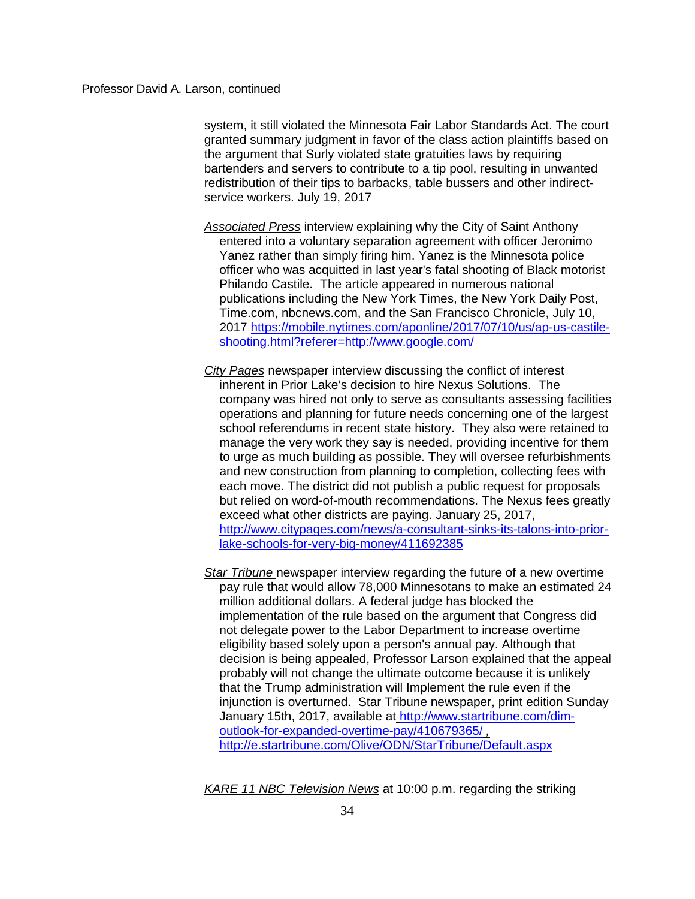system, it still violated the Minnesota Fair Labor Standards Act. The court granted summary judgment in favor of the class action plaintiffs based on the argument that Surly violated state gratuities laws by requiring bartenders and servers to contribute to a tip pool, resulting in unwanted redistribution of their tips to barbacks, table bussers and other indirectservice workers. July 19, 2017

- *Associated Press* interview explaining why the City of Saint Anthony entered into a voluntary separation agreement with officer Jeronimo Yanez rather than simply firing him. Yanez is the Minnesota police officer who was acquitted in last year's fatal shooting of Black motorist Philando Castile. The article appeared in numerous national publications including the New York Times, the New York Daily Post, Time.com, nbcnews.com, and the San Francisco Chronicle, July 10, 2017 [https://mobile.nytimes.com/aponline/2017/07/10/us/ap-us-castile](https://mobile.nytimes.com/aponline/2017/07/10/us/ap-us-castile-shooting.html?referer=http://www.google.com/)[shooting.html?referer=http://www.google.com/](https://mobile.nytimes.com/aponline/2017/07/10/us/ap-us-castile-shooting.html?referer=http://www.google.com/)
- *City Pages* newspaper interview discussing the conflict of interest inherent in Prior Lake's decision to hire Nexus Solutions. The company was hired not only to serve as consultants assessing facilities operations and planning for future needs concerning one of the largest school referendums in recent state history. They also were retained to manage the very work they say is needed, providing incentive for them to urge as much building as possible. They will oversee refurbishments and new construction from planning to completion, collecting fees with each move. The district did not publish a public request for proposals but relied on word-of-mouth recommendations. The Nexus fees greatly exceed what other districts are paying. January 25, 2017, [http://www.citypages.com/news/a-consultant-sinks-its-talons-into-prior](http://www.citypages.com/news/a-consultant-sinks-its-talons-into-prior-lake-schools-for-very-big-money/411692385)[lake-schools-for-very-big-money/411692385](http://www.citypages.com/news/a-consultant-sinks-its-talons-into-prior-lake-schools-for-very-big-money/411692385)
- *Star Tribune* newspaper interview regarding the future of a new overtime pay rule that would allow 78,000 Minnesotans to make an estimated 24 million additional dollars. A federal judge has blocked the implementation of the rule based on the argument that Congress did not delegate power to the Labor Department to increase overtime eligibility based solely upon a person's annual pay. Although that decision is being appealed, Professor Larson explained that the appeal probably will not change the ultimate outcome because it is unlikely that the Trump administration will Implement the rule even if the injunction is overturned. Star Tribune newspaper, print edition Sunday January 15th, 2017, available at [http://www.startribune.com/dim](http://www.startribune.com/dim-outlook-for-expanded-overtime-pay/410679365/)[outlook-for-expanded-overtime-pay/410679365/](http://www.startribune.com/dim-outlook-for-expanded-overtime-pay/410679365/) *,*  <http://e.startribune.com/Olive/ODN/StarTribune/Default.aspx>

*KARE 11 NBC Television News* at 10:00 p.m. regarding the striking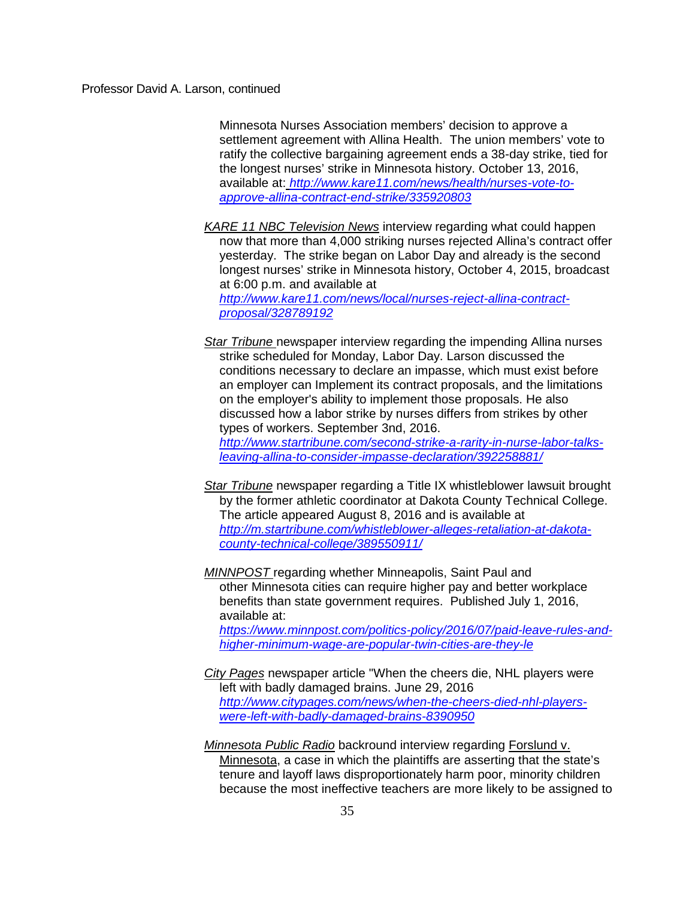Minnesota Nurses Association members' decision to approve a settlement agreement with Allina Health. The union members' vote to ratify the collective bargaining agreement ends a 38-day strike, tied for the longest nurses' strike in Minnesota history. October 13, 2016, available at: *[http://www.kare11.com/news/health/nurses-vote-to](http://www.kare11.com/news/health/nurses-vote-to-approve-allina-contract-end-strike/335920803)[approve-allina-contract-end-strike/335920803](http://www.kare11.com/news/health/nurses-vote-to-approve-allina-contract-end-strike/335920803)*

*KARE 11 NBC Television News* interview regarding what could happen now that more than 4,000 striking nurses rejected Allina's contract offer yesterday. The strike began on Labor Day and already is the second longest nurses' strike in Minnesota history, October 4, 2015, broadcast at 6:00 p.m. and available at *[http://www.kare11.com/news/local/nurses-reject-allina-contract](http://www.kare11.com/news/local/nurses-reject-allina-contract-proposal/328789192)[proposal/328789192](http://www.kare11.com/news/local/nurses-reject-allina-contract-proposal/328789192)*

*Star Tribune* newspaper interview regarding the impending Allina nurses strike scheduled for Monday, Labor Day. Larson discussed the conditions necessary to declare an impasse, which must exist before an employer can Implement its contract proposals, and the limitations on the employer's ability to implement those proposals. He also discussed how a labor strike by nurses differs from strikes by other types of workers. September 3nd, 2016. *[http://www.startribune.com/second-strike-a-rarity-in-nurse-labor-talks-](http://www.startribune.com/second-strike-a-rarity-in-nurse-labor-talks-leaving-allina-to-consider-impasse-declaration/392258881/)*

*[leaving-allina-to-consider-impasse-declaration/392258881/](http://www.startribune.com/second-strike-a-rarity-in-nurse-labor-talks-leaving-allina-to-consider-impasse-declaration/392258881/)*

*Star Tribune* newspaper regarding a Title IX whistleblower lawsuit brought by the former athletic coordinator at Dakota County Technical College. The article appeared August 8, 2016 and is available at *[http://m.startribune.com/whistleblower-alleges-retaliation-at-dakota](http://m.startribune.com/whistleblower-alleges-retaliation-at-dakota-county-technical-college/389550911/)[county-technical-college/389550911/](http://m.startribune.com/whistleblower-alleges-retaliation-at-dakota-county-technical-college/389550911/)*

*MINNPOST* regarding whether Minneapolis, Saint Paul and other Minnesota cities can require higher pay and better workplace benefits than state government requires. Published July 1, 2016, available at:

*[https://www.minnpost.com/politics-policy/2016/07/paid-leave-rules-and](https://www.minnpost.com/politics-policy/2016/07/paid-leave-rules-and-higher-minimum-wage-are-popular-twin-cities-are-they-le)[higher-minimum-wage-are-popular-twin-cities-are-they-le](https://www.minnpost.com/politics-policy/2016/07/paid-leave-rules-and-higher-minimum-wage-are-popular-twin-cities-are-they-le)*

*City Pages* newspaper article "When the cheers die, NHL players were left with badly damaged brains. June 29, 2016 *[http://www.citypages.com/news/when-the-cheers-died-nhl-players](http://www.citypages.com/news/when-the-cheers-died-nhl-players-were-left-with-badly-damaged-brains-8390950)[were-left-with-badly-damaged-brains-8390950](http://www.citypages.com/news/when-the-cheers-died-nhl-players-were-left-with-badly-damaged-brains-8390950)*

*Minnesota Public Radio* backround interview regarding Forslund v. Minnesota, a case in which the plaintiffs are asserting that the state's tenure and layoff laws disproportionately harm poor, minority children because the most ineffective teachers are more likely to be assigned to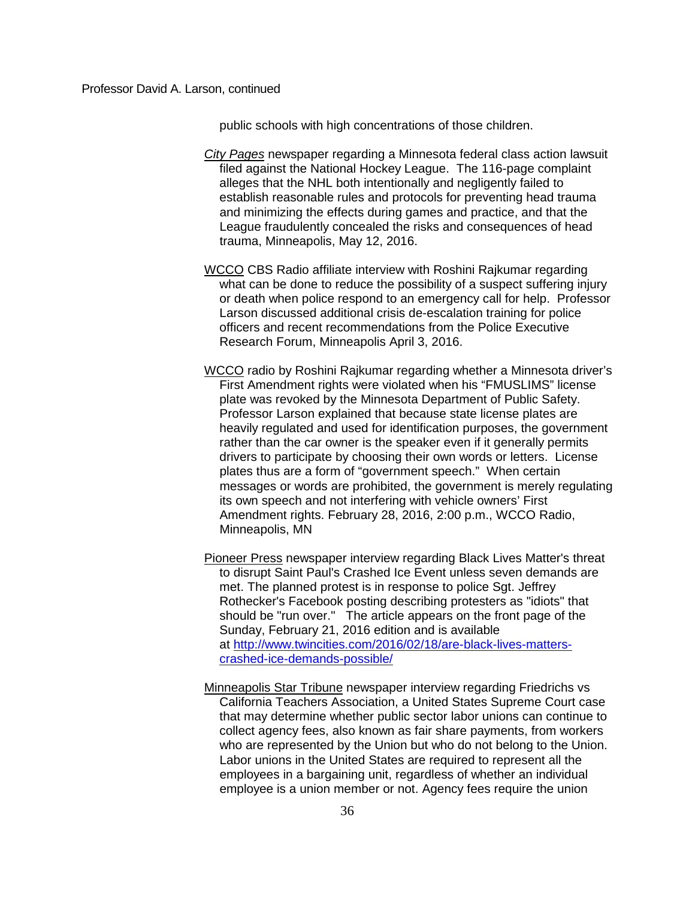public schools with high concentrations of those children.

- *City Pages* newspaper regarding a Minnesota federal class action lawsuit filed against the National Hockey League. The 116-page complaint alleges that the NHL both intentionally and negligently failed to establish reasonable rules and protocols for preventing head trauma and minimizing the effects during games and practice, and that the League fraudulently concealed the risks and consequences of head trauma, Minneapolis, May 12, 2016.
- WCCO CBS Radio affiliate interview with Roshini Rajkumar regarding what can be done to reduce the possibility of a suspect suffering injury or death when police respond to an emergency call for help. Professor Larson discussed additional crisis de-escalation training for police officers and recent recommendations from the Police Executive Research Forum, Minneapolis April 3, 2016.
- WCCO radio by Roshini Rajkumar regarding whether a Minnesota driver's First Amendment rights were violated when his "FMUSLIMS" license plate was revoked by the Minnesota Department of Public Safety. Professor Larson explained that because state license plates are heavily regulated and used for identification purposes, the government rather than the car owner is the speaker even if it generally permits drivers to participate by choosing their own words or letters. License plates thus are a form of "government speech." When certain messages or words are prohibited, the government is merely regulating its own speech and not interfering with vehicle owners' First Amendment rights. February 28, 2016, 2:00 p.m., WCCO Radio, Minneapolis, MN
- Pioneer Press newspaper interview regarding Black Lives Matter's threat to disrupt Saint Paul's Crashed Ice Event unless seven demands are met. The planned protest is in response to police Sgt. Jeffrey Rothecker's Facebook posting describing protesters as "idiots" that should be "run over." The article appears on the front page of the Sunday, February 21, 2016 edition and is available at [http://www.twincities.com/2016/02/18/are-black-lives-matters](http://www.twincities.com/2016/02/18/are-black-lives-matters-crashed-ice-demands-possible/)[crashed-ice-demands-possible/](http://www.twincities.com/2016/02/18/are-black-lives-matters-crashed-ice-demands-possible/)
- Minneapolis Star Tribune newspaper interview regarding Friedrichs vs California Teachers Association, a United States Supreme Court case that may determine whether public sector labor unions can continue to collect agency fees, also known as fair share payments, from workers who are represented by the Union but who do not belong to the Union. Labor unions in the United States are required to represent all the employees in a bargaining unit, regardless of whether an individual employee is a union member or not. Agency fees require the union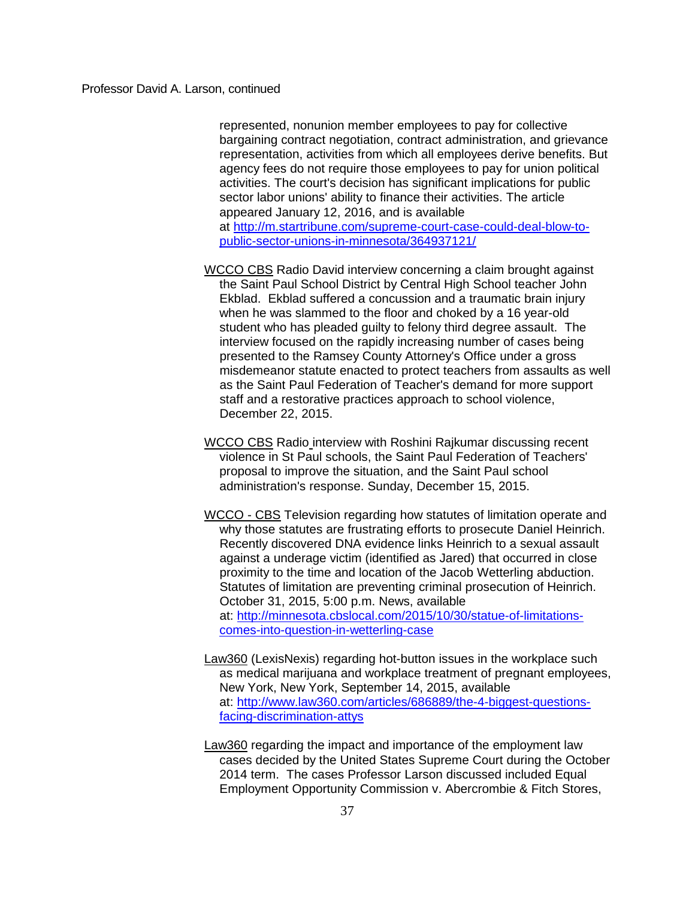represented, nonunion member employees to pay for collective bargaining contract negotiation, contract administration, and grievance representation, activities from which all employees derive benefits. But agency fees do not require those employees to pay for union political activities. The court's decision has significant implications for public sector labor unions' ability to finance their activities. The article appeared January 12, 2016, and is available at [http://m.startribune.com/supreme-court-case-could-deal-blow-to](http://m.startribune.com/supreme-court-case-could-deal-blow-to-public-sector-unions-in-minnesota/364937121/)[public-sector-unions-in-minnesota/364937121/](http://m.startribune.com/supreme-court-case-could-deal-blow-to-public-sector-unions-in-minnesota/364937121/)

- WCCO CBS Radio David interview concerning a claim brought against the Saint Paul School District by Central High School teacher John Ekblad. Ekblad suffered a concussion and a traumatic brain injury when he was slammed to the floor and choked by a 16 year-old student who has pleaded guilty to felony third degree assault. The interview focused on the rapidly increasing number of cases being presented to the Ramsey County Attorney's Office under a gross misdemeanor statute enacted to protect teachers from assaults as well as the Saint Paul Federation of Teacher's demand for more support staff and a restorative practices approach to school violence, December 22, 2015.
- WCCO CBS Radio interview with Roshini Rajkumar discussing recent violence in St Paul schools, the Saint Paul Federation of Teachers' proposal to improve the situation, and the Saint Paul school administration's response. Sunday, December 15, 2015.
- WCCO CBS Television regarding how statutes of limitation operate and why those statutes are frustrating efforts to prosecute Daniel Heinrich. Recently discovered DNA evidence links Heinrich to a sexual assault against a underage victim (identified as Jared) that occurred in close proximity to the time and location of the Jacob Wetterling abduction. Statutes of limitation are preventing criminal prosecution of Heinrich. October 31, 2015, 5:00 p.m. News, available at: [http://minnesota.cbslocal.com/2015/10/30/statue-of-limitations](http://minnesota.cbslocal.com/2015/10/30/statue-of-limitations-comes-into-question-in-wetterling-case/)[comes-into-question-in-wetterling-case](http://minnesota.cbslocal.com/2015/10/30/statue-of-limitations-comes-into-question-in-wetterling-case/)
- Law360 (LexisNexis) regarding hot-button issues in the workplace such as medical marijuana and workplace treatment of pregnant employees, New York, New York, September 14, 2015, available at: [http://www.law360.com/articles/686889/the-4-biggest-questions](http://www.law360.com/articles/686889/the-4-biggest-questions-facing-discrimination-attys)[facing-discrimination-attys](http://www.law360.com/articles/686889/the-4-biggest-questions-facing-discrimination-attys)
- Law360 regarding the impact and importance of the employment law cases decided by the United States Supreme Court during the October 2014 term. The cases Professor Larson discussed included Equal Employment Opportunity Commission v. Abercrombie & Fitch Stores,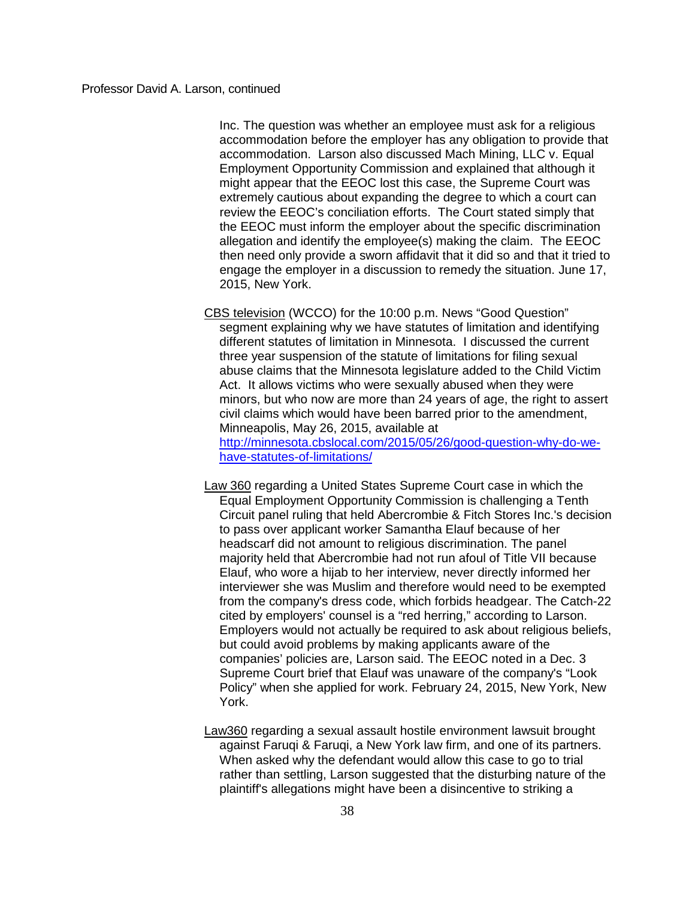Inc. The question was whether an employee must ask for a religious accommodation before the employer has any obligation to provide that accommodation. Larson also discussed Mach Mining, LLC v. Equal Employment Opportunity Commission and explained that although it might appear that the EEOC lost this case, the Supreme Court was extremely cautious about expanding the degree to which a court can review the EEOC's conciliation efforts. The Court stated simply that the EEOC must inform the employer about the specific discrimination allegation and identify the employee(s) making the claim. The EEOC then need only provide a sworn affidavit that it did so and that it tried to engage the employer in a discussion to remedy the situation. June 17, 2015, New York.

- CBS television (WCCO) for the 10:00 p.m. News "Good Question" segment explaining why we have statutes of limitation and identifying different statutes of limitation in Minnesota. I discussed the current three year suspension of the statute of limitations for filing sexual abuse claims that the Minnesota legislature added to the Child Victim Act. It allows victims who were sexually abused when they were minors, but who now are more than 24 years of age, the right to assert civil claims which would have been barred prior to the amendment, Minneapolis, May 26, 2015, available at [http://minnesota.cbslocal.com/2015/05/26/good-question-why-do-we](http://minnesota.cbslocal.com/2015/05/26/good-question-why-do-we-have-statutes-of-limitations/)[have-statutes-of-limitations/](http://minnesota.cbslocal.com/2015/05/26/good-question-why-do-we-have-statutes-of-limitations/)
- Law 360 regarding a United States Supreme Court case in which the Equal Employment Opportunity Commission is challenging a Tenth Circuit panel ruling that held Abercrombie & Fitch Stores Inc.'s decision to pass over applicant worker Samantha Elauf because of her headscarf did not amount to religious discrimination. The panel majority held that Abercrombie had not run afoul of Title VII because Elauf, who wore a hijab to her interview, never directly informed her interviewer she was Muslim and therefore would need to be exempted from the company's dress code, which forbids headgear. The Catch-22 cited by employers' counsel is a "red herring," according to Larson. Employers would not actually be required to ask about religious beliefs, but could avoid problems by making applicants aware of the companies' policies are, Larson said. The EEOC noted in a Dec. 3 Supreme Court brief that Elauf was unaware of the company's "Look Policy" when she applied for work. February 24, 2015, New York, New York.
- Law360 regarding a sexual assault hostile environment lawsuit brought against Faruqi & Faruqi, a New York law firm, and one of its partners. When asked why the defendant would allow this case to go to trial rather than settling, Larson suggested that the disturbing nature of the plaintiff's allegations might have been a disincentive to striking a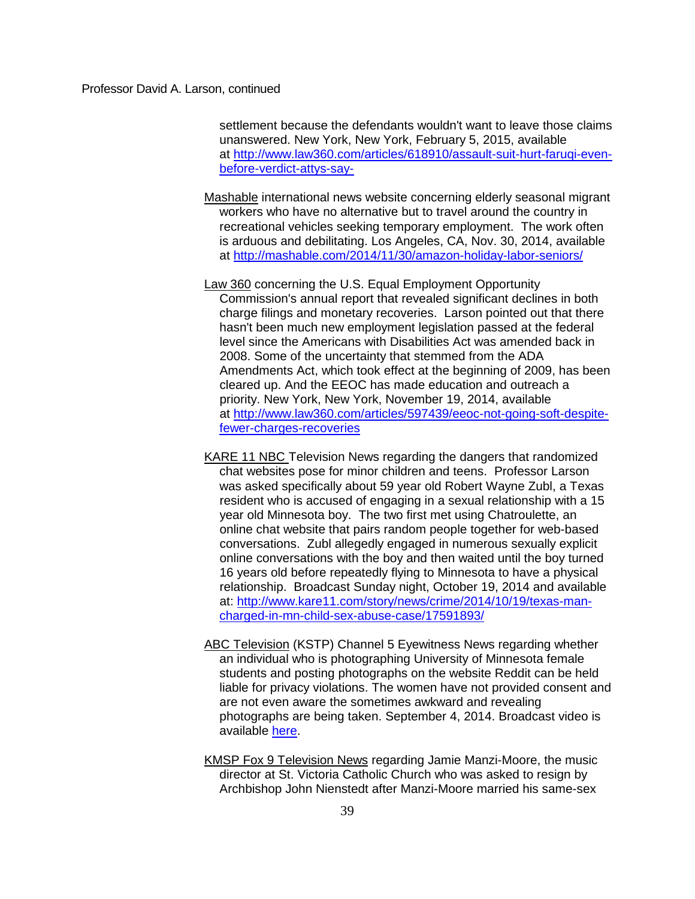settlement because the defendants wouldn't want to leave those claims unanswered. New York, New York, February 5, 2015, available at [http://www.law360.com/articles/618910/assault-suit-hurt-faruqi-even](http://www.law360.com/articles/618910/assault-suit-hurt-faruqi-even-before-verdict-attys-say-)[before-verdict-attys-say-](http://www.law360.com/articles/618910/assault-suit-hurt-faruqi-even-before-verdict-attys-say-)

- Mashable international news website concerning elderly seasonal migrant workers who have no alternative but to travel around the country in recreational vehicles seeking temporary employment. The work often is arduous and debilitating. Los Angeles, CA, Nov. 30, 2014, available at<http://mashable.com/2014/11/30/amazon-holiday-labor-seniors/>
- Law 360 concerning the U.S. Equal Employment Opportunity Commission's annual report that revealed significant declines in both charge filings and monetary recoveries. Larson pointed out that there hasn't been much new employment legislation passed at the federal level since the Americans with Disabilities Act was amended back in 2008. Some of the uncertainty that stemmed from the ADA Amendments Act, which took effect at the beginning of 2009, has been cleared up. And the EEOC has made education and outreach a priority. New York, New York, November 19, 2014, available at [http://www.law360.com/articles/597439/eeoc-not-going-soft-despite](http://www.law360.com/articles/597439/eeoc-not-going-soft-despite-fewer-charges-recoveries)[fewer-charges-recoveries](http://www.law360.com/articles/597439/eeoc-not-going-soft-despite-fewer-charges-recoveries)
- KARE 11 NBC Television News regarding the dangers that randomized chat websites pose for minor children and teens. Professor Larson was asked specifically about 59 year old Robert Wayne Zubl, a Texas resident who is accused of engaging in a sexual relationship with a 15 year old Minnesota boy. The two first met using Chatroulette, an online chat website that pairs random people together for web-based conversations. Zubl allegedly engaged in numerous sexually explicit online conversations with the boy and then waited until the boy turned 16 years old before repeatedly flying to Minnesota to have a physical relationship. Broadcast Sunday night, October 19, 2014 and available at: [http://www.kare11.com/story/news/crime/2014/10/19/texas-man](http://www.kare11.com/story/news/crime/2014/10/19/texas-man-charged-in-mn-child-sex-abuse-case/17591893/)[charged-in-mn-child-sex-abuse-case/17591893/](http://www.kare11.com/story/news/crime/2014/10/19/texas-man-charged-in-mn-child-sex-abuse-case/17591893/)
- ABC Television (KSTP) Channel 5 Eyewitness News regarding whether an individual who is photographing University of Minnesota female students and posting photographs on the website Reddit can be held liable for privacy violations. The women have not provided consent and are not even aware the sometimes awkward and revealing photographs are being taken. September 4, 2014. Broadcast video is available [here.](http://everywhere.hamline.edu/redirect.aspx?linkID=3259&eid=39639)
- KMSP Fox 9 Television News regarding Jamie Manzi-Moore, the music director at St. Victoria Catholic Church who was asked to resign by Archbishop John Nienstedt after Manzi-Moore married his same-sex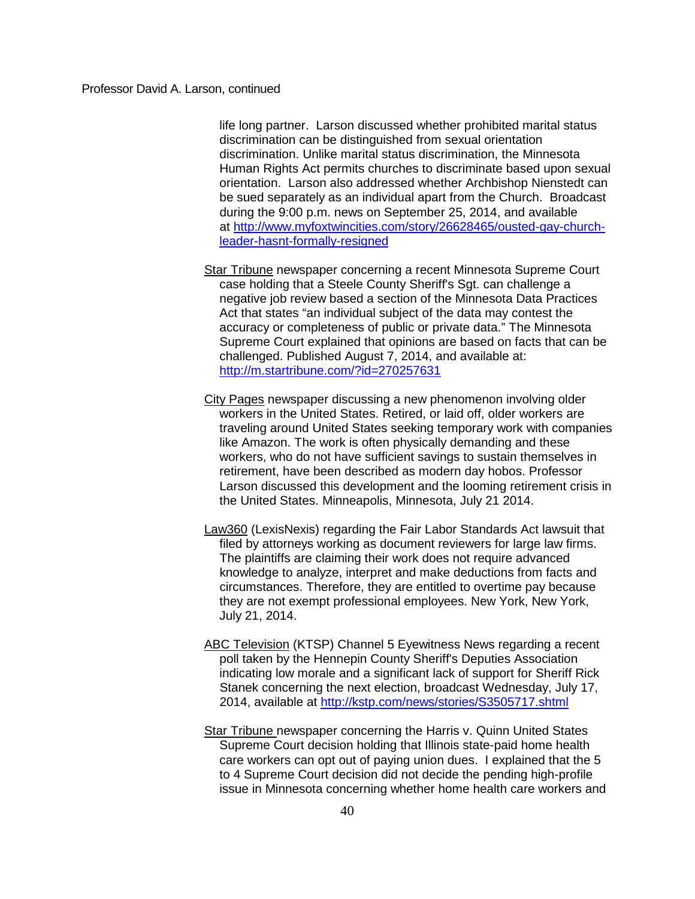life long partner. Larson discussed whether prohibited marital status discrimination can be distinguished from sexual orientation discrimination. Unlike marital status discrimination, the Minnesota Human Rights Act permits churches to discriminate based upon sexual orientation. Larson also addressed whether Archbishop Nienstedt can be sued separately as an individual apart from the Church. Broadcast during the 9:00 p.m. news on September 25, 2014, and available at [http://www.myfoxtwincities.com/story/26628465/ousted-gay-church](http://www.myfoxtwincities.com/story/26628465/ousted-gay-church-leader-hasnt-formally-resigned)[leader-hasnt-formally-resigned](http://www.myfoxtwincities.com/story/26628465/ousted-gay-church-leader-hasnt-formally-resigned)

- Star Tribune newspaper concerning a recent Minnesota Supreme Court case holding that a Steele County Sheriff's Sgt. can challenge a negative job review based a section of the Minnesota Data Practices Act that states "an individual subject of the data may contest the accuracy or completeness of public or private data." The Minnesota Supreme Court explained that opinions are based on facts that can be challenged. Published August 7, 2014, and available at: <http://m.startribune.com/?id=270257631>
- City Pages newspaper discussing a new phenomenon involving older workers in the United States. Retired, or laid off, older workers are traveling around United States seeking temporary work with companies like Amazon. The work is often physically demanding and these workers, who do not have sufficient savings to sustain themselves in retirement, have been described as modern day hobos. Professor Larson discussed this development and the looming retirement crisis in the United States. Minneapolis, Minnesota, July 21 2014.
- Law360 (LexisNexis) regarding the Fair Labor Standards Act lawsuit that filed by attorneys working as document reviewers for large law firms. The plaintiffs are claiming their work does not require advanced knowledge to analyze, interpret and make deductions from facts and circumstances. Therefore, they are entitled to overtime pay because they are not exempt professional employees. New York, New York, July 21, 2014.
- ABC Television (KTSP) Channel 5 Eyewitness News regarding a recent poll taken by the Hennepin County Sheriff's Deputies Association indicating low morale and a significant lack of support for Sheriff Rick Stanek concerning the next election, broadcast Wednesday, July 17, 2014, available at <http://kstp.com/news/stories/S3505717.shtml>
- Star Tribune newspaper concerning the Harris v. Quinn United States Supreme Court decision holding that Illinois state-paid home health care workers can opt out of paying union dues. I explained that the 5 to 4 Supreme Court decision did not decide the pending high-profile issue in Minnesota concerning whether home health care workers and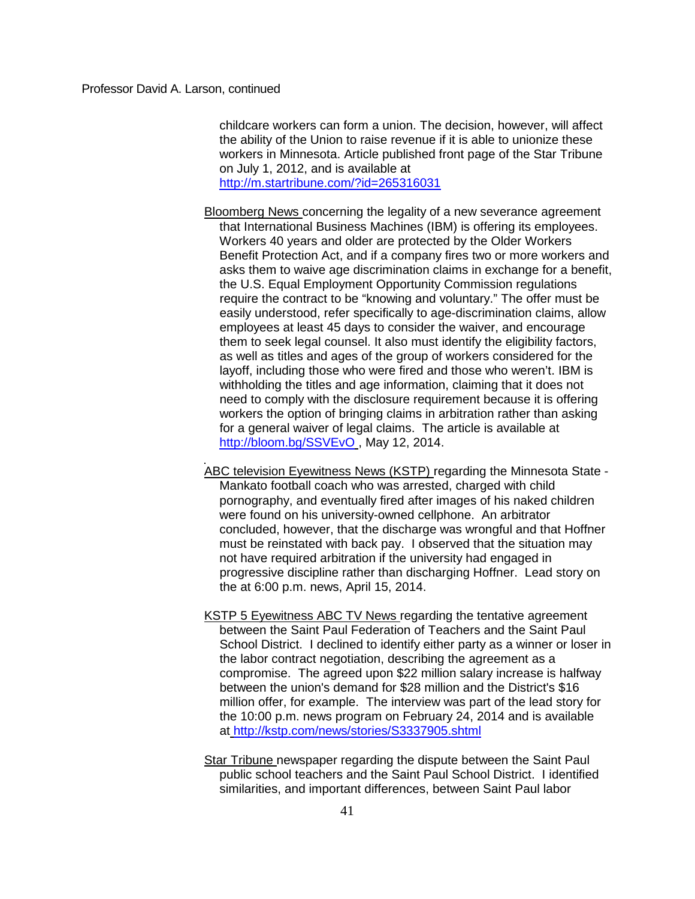childcare workers can form a union. The decision, however, will affect the ability of the Union to raise revenue if it is able to unionize these workers in Minnesota. Article published front page of the Star Tribune on July 1, 2012, and is available at

<http://m.startribune.com/?id=265316031>

Bloomberg News concerning the legality of a new severance agreement that International Business Machines (IBM) is offering its employees. Workers 40 years and older are protected by the Older Workers Benefit Protection Act, and if a company fires two or more workers and asks them to waive age discrimination claims in exchange for a benefit, the U.S. Equal Employment Opportunity Commission regulations require the contract to be "knowing and voluntary." The offer must be easily understood, refer specifically to age-discrimination claims, allow employees at least 45 days to consider the waiver, and encourage them to seek legal counsel. It also must identify the eligibility factors, as well as titles and ages of the group of workers considered for the layoff, including those who were fired and those who weren't. IBM is withholding the titles and age information, claiming that it does not need to comply with the disclosure requirement because it is offering workers the option of bringing claims in arbitration rather than asking for a general waiver of legal claims. The article is available at <http://bloom.bg/SSVEvO> , May 12, 2014.

- ABC television Eyewitness News (KSTP) regarding the Minnesota State Mankato football coach who was arrested, charged with child pornography, and eventually fired after images of his naked children were found on his university-owned cellphone. An arbitrator concluded, however, that the discharge was wrongful and that Hoffner must be reinstated with back pay. I observed that the situation may not have required arbitration if the university had engaged in progressive discipline rather than discharging Hoffner. Lead story on the at 6:00 p.m. news, April 15, 2014.
- KSTP 5 Eyewitness ABC TV News regarding the tentative agreement between the Saint Paul Federation of Teachers and the Saint Paul School District. I declined to identify either party as a winner or loser in the labor contract negotiation, describing the agreement as a compromise. The agreed upon \$22 million salary increase is halfway between the union's demand for \$28 million and the District's \$16 million offer, for example. The interview was part of the lead story for the 10:00 p.m. news program on February 24, 2014 and is available at <http://kstp.com/news/stories/S3337905.shtml>
- Star Tribune newspaper regarding the dispute between the Saint Paul public school teachers and the Saint Paul School District. I identified similarities, and important differences, between Saint Paul labor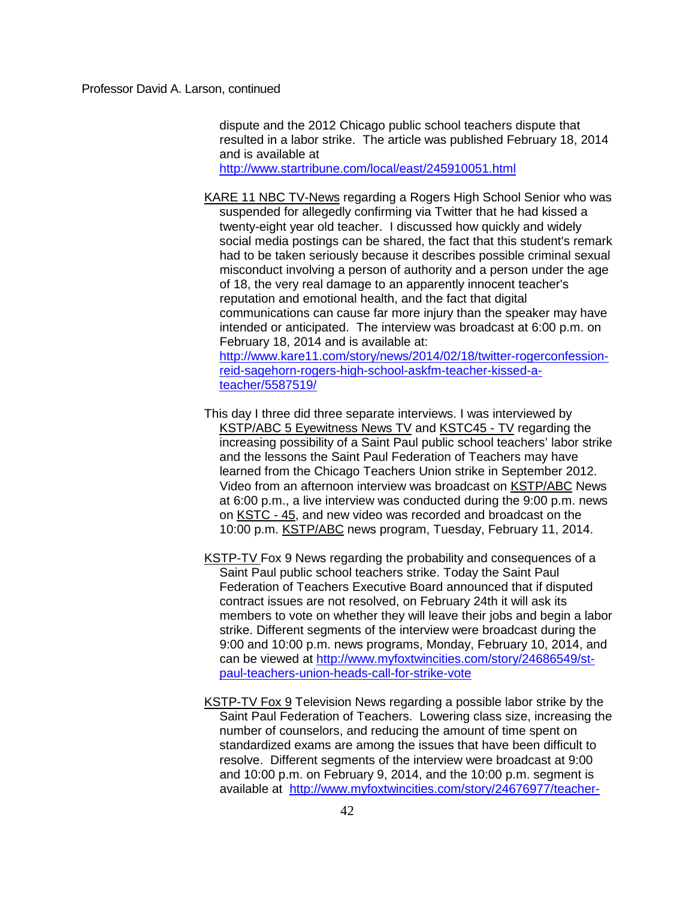dispute and the 2012 Chicago public school teachers dispute that resulted in a labor strike. The article was published February 18, 2014 and is available at

<http://www.startribune.com/local/east/245910051.html>

- KARE 11 NBC TV-News regarding a Rogers High School Senior who was suspended for allegedly confirming via Twitter that he had kissed a twenty-eight year old teacher. I discussed how quickly and widely social media postings can be shared, the fact that this student's remark had to be taken seriously because it describes possible criminal sexual misconduct involving a person of authority and a person under the age of 18, the very real damage to an apparently innocent teacher's reputation and emotional health, and the fact that digital communications can cause far more injury than the speaker may have intended or anticipated. The interview was broadcast at 6:00 p.m. on February 18, 2014 and is available at: [http://www.kare11.com/story/news/2014/02/18/twitter-rogerconfession](http://www.kare11.com/story/news/2014/02/18/twitter-rogerconfession-reid-sagehorn-rogers-high-school-askfm-teacher-kissed-a-teacher/5587519/)[reid-sagehorn-rogers-high-school-askfm-teacher-kissed-a](http://www.kare11.com/story/news/2014/02/18/twitter-rogerconfession-reid-sagehorn-rogers-high-school-askfm-teacher-kissed-a-teacher/5587519/)[teacher/5587519/](http://www.kare11.com/story/news/2014/02/18/twitter-rogerconfession-reid-sagehorn-rogers-high-school-askfm-teacher-kissed-a-teacher/5587519/)
	-
- This day I three did three separate interviews. I was interviewed by KSTP/ABC 5 Eyewitness News TV and KSTC45 - TV regarding the increasing possibility of a Saint Paul public school teachers' labor strike and the lessons the Saint Paul Federation of Teachers may have learned from the Chicago Teachers Union strike in September 2012. Video from an afternoon interview was broadcast on KSTP/ABC News at 6:00 p.m., a live interview was conducted during the 9:00 p.m. news on KSTC - 45, and new video was recorded and broadcast on the 10:00 p.m. KSTP/ABC news program, Tuesday, February 11, 2014.
- KSTP-TV Fox 9 News regarding the probability and consequences of a Saint Paul public school teachers strike. Today the Saint Paul Federation of Teachers Executive Board announced that if disputed contract issues are not resolved, on February 24th it will ask its members to vote on whether they will leave their jobs and begin a labor strike. Different segments of the interview were broadcast during the 9:00 and 10:00 p.m. news programs, Monday, February 10, 2014, and can be viewed at [http://www.myfoxtwincities.com/story/24686549/st](http://www.myfoxtwincities.com/story/24686549/st-paul-teachers-union-heads-call-for-strike-vote)[paul-teachers-union-heads-call-for-strike-vote](http://www.myfoxtwincities.com/story/24686549/st-paul-teachers-union-heads-call-for-strike-vote)
- KSTP-TV Fox 9 Television News regarding a possible labor strike by the Saint Paul Federation of Teachers. Lowering class size, increasing the number of counselors, and reducing the amount of time spent on standardized exams are among the issues that have been difficult to resolve. Different segments of the interview were broadcast at 9:00 and 10:00 p.m. on February 9, 2014, and the 10:00 p.m. segment is available at [http://www.myfoxtwincities.com/story/24676977/teacher-](http://www.myfoxtwincities.com/story/24676977/teacher-strike-st-paul-educators-may-vote-on-monday)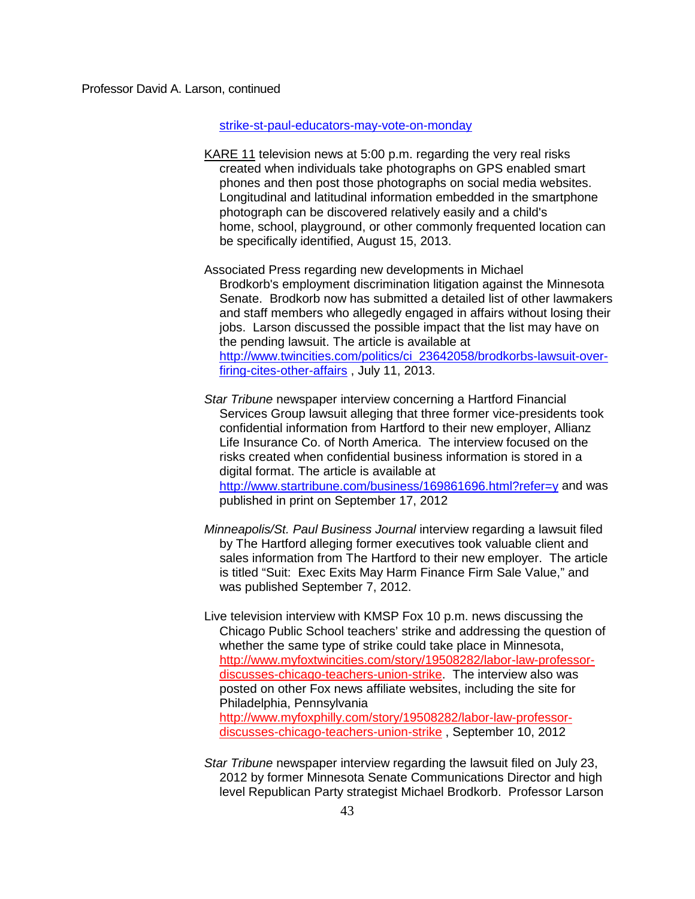# [strike-st-paul-educators-may-vote-on-monday](http://www.myfoxtwincities.com/story/24676977/teacher-strike-st-paul-educators-may-vote-on-monday)

- KARE 11 television news at 5:00 p.m. regarding the very real risks created when individuals take photographs on GPS enabled smart phones and then post those photographs on social media websites. Longitudinal and latitudinal information embedded in the smartphone photograph can be discovered relatively easily and a child's home, school, playground, or other commonly frequented location can be specifically identified, August 15, 2013.
- Associated Press regarding new developments in Michael Brodkorb's employment discrimination litigation against the Minnesota Senate. Brodkorb now has submitted a detailed list of other lawmakers and staff members who allegedly engaged in affairs without losing their jobs. Larson discussed the possible impact that the list may have on the pending lawsuit. The article is available at [http://www.twincities.com/politics/ci\\_23642058/brodkorbs-lawsuit-over](http://www.twincities.com/politics/ci_23642058/brodkorbs-lawsuit-over-firing-cites-other-affairs)[firing-cites-other-affairs](http://www.twincities.com/politics/ci_23642058/brodkorbs-lawsuit-over-firing-cites-other-affairs) , July 11, 2013.
- *Star Tribune* newspaper interview concerning a Hartford Financial Services Group lawsuit alleging that three former vice-presidents took confidential information from Hartford to their new employer, Allianz Life Insurance Co. of North America. The interview focused on the risks created when confidential business information is stored in a digital format. The article is available at <http://www.startribune.com/business/169861696.html?refer=y> and was published in print on September 17, 2012
- *Minneapolis/St. Paul Business Journal* interview regarding a lawsuit filed by The Hartford alleging former executives took valuable client and sales information from The Hartford to their new employer. The article is titled "Suit: Exec Exits May Harm Finance Firm Sale Value," and was published September 7, 2012.
- Live television interview with KMSP Fox 10 p.m. news discussing the Chicago Public School teachers' strike and addressing the question of whether the same type of strike could take place in Minnesota, http://www.myfoxtwincities.com/story/19508282/labor-law-professordiscusses-chicago-teachers-union-strike. The interview also was posted on other Fox news affiliate websites, including the site for Philadelphia, Pennsylvania http://www.myfoxphilly.com/story/19508282/labor-law-professordiscusses-chicago-teachers-union-strike , September 10, 2012
- *Star Tribune* newspaper interview regarding the lawsuit filed on July 23, 2012 by former Minnesota Senate Communications Director and high level Republican Party strategist Michael Brodkorb. Professor Larson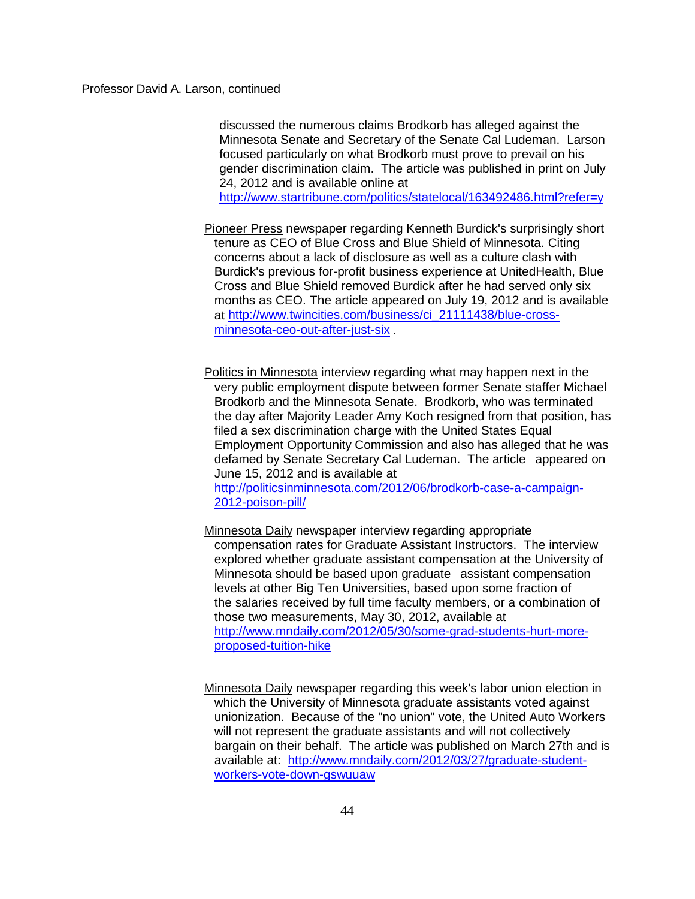discussed the numerous claims Brodkorb has alleged against the Minnesota Senate and Secretary of the Senate Cal Ludeman. Larson focused particularly on what Brodkorb must prove to prevail on his gender discrimination claim. The article was published in print on July 24, 2012 and is available online at

<http://www.startribune.com/politics/statelocal/163492486.html?refer=y>

Pioneer Press newspaper regarding Kenneth Burdick's surprisingly short tenure as CEO of Blue Cross and Blue Shield of Minnesota. Citing concerns about a lack of disclosure as well as a culture clash with Burdick's previous for-profit business experience at UnitedHealth, Blue Cross and Blue Shield removed Burdick after he had served only six months as CEO. The article appeared on July 19, 2012 and is available at [http://www.twincities.com/business/ci\\_21111438/blue-cross](http://www.twincities.com/business/ci_21111438/blue-cross-minnesota-ceo-out-after-just-six)[minnesota-ceo-out-after-just-six](http://www.twincities.com/business/ci_21111438/blue-cross-minnesota-ceo-out-after-just-six) .

Politics in Minnesota interview regarding what may happen next in the very public employment dispute between former Senate staffer Michael Brodkorb and the Minnesota Senate. Brodkorb, who was terminated the day after Majority Leader Amy Koch resigned from that position, has filed a sex discrimination charge with the United States Equal Employment Opportunity Commission and also has alleged that he was defamed by Senate Secretary Cal Ludeman. The article appeared on June 15, 2012 and is available at

[http://politicsinminnesota.com/2012/06/brodkorb-case-a-campaign-](http://politicsinminnesota.com/2012/06/brodkorb-case-a-campaign-2012-poison-pill/)[2012-poison-pill/](http://politicsinminnesota.com/2012/06/brodkorb-case-a-campaign-2012-poison-pill/)

Minnesota Daily newspaper interview regarding appropriate compensation rates for Graduate Assistant Instructors. The interview explored whether graduate assistant compensation at the University of Minnesota should be based upon graduate assistant compensation levels at other Big Ten Universities, based upon some fraction of the salaries received by full time faculty members, or a combination of those two measurements, May 30, 2012, available at [http://www.mndaily.com/2012/05/30/some-grad-students-hurt-more](http://www.mndaily.com/2012/05/30/some-grad-students-hurt-more-proposed-tuition-hike)[proposed-tuition-hike](http://www.mndaily.com/2012/05/30/some-grad-students-hurt-more-proposed-tuition-hike)

Minnesota Daily newspaper regarding this week's labor union election in which the University of Minnesota graduate assistants voted against unionization. Because of the "no union" vote, the United Auto Workers will not represent the graduate assistants and will not collectively bargain on their behalf. The article was published on March 27th and is available at: [http://www.mndaily.com/2012/03/27/graduate-student](http://www.mndaily.com/2012/03/27/graduate-student-workers-vote-down-gswuuaw)[workers-vote-down-gswuuaw](http://www.mndaily.com/2012/03/27/graduate-student-workers-vote-down-gswuuaw)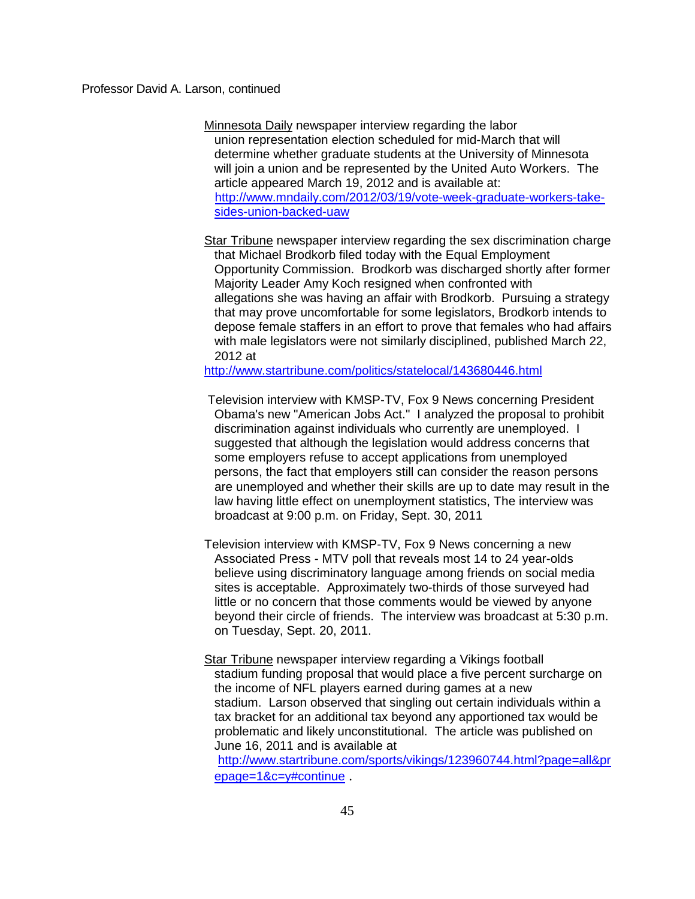Minnesota Daily newspaper interview regarding the labor union representation election scheduled for mid-March that will determine whether graduate students at the University of Minnesota will join a union and be represented by the United Auto Workers. The article appeared March 19, 2012 and is available at: [http://www.mndaily.com/2012/03/19/vote-week-graduate-workers-take](http://www.mndaily.com/2012/03/19/vote-week-graduate-workers-take-%20sides-union-backed-uaw)[sides-union-backed-uaw](http://www.mndaily.com/2012/03/19/vote-week-graduate-workers-take-%20sides-union-backed-uaw)

Star Tribune newspaper interview regarding the sex discrimination charge that Michael Brodkorb filed today with the Equal Employment Opportunity Commission. Brodkorb was discharged shortly after former Majority Leader Amy Koch resigned when confronted with allegations she was having an affair with Brodkorb. Pursuing a strategy that may prove uncomfortable for some legislators, Brodkorb intends to depose female staffers in an effort to prove that females who had affairs with male legislators were not similarly disciplined, published March 22, 2012 at

<http://www.startribune.com/politics/statelocal/143680446.html>

Television interview with KMSP-TV, Fox 9 News concerning President Obama's new "American Jobs Act." I analyzed the proposal to prohibit discrimination against individuals who currently are unemployed. I suggested that although the legislation would address concerns that some employers refuse to accept applications from unemployed persons, the fact that employers still can consider the reason persons are unemployed and whether their skills are up to date may result in the law having little effect on unemployment statistics, The interview was broadcast at 9:00 p.m. on Friday, Sept. 30, 2011

Television interview with KMSP-TV, Fox 9 News concerning a new Associated Press - MTV poll that reveals most 14 to 24 year-olds believe using discriminatory language among friends on social media sites is acceptable. Approximately two-thirds of those surveyed had little or no concern that those comments would be viewed by anyone beyond their circle of friends. The interview was broadcast at 5:30 p.m. on Tuesday, Sept. 20, 2011.

Star Tribune newspaper interview regarding a Vikings football stadium funding proposal that would place a five percent surcharge on the income of NFL players earned during games at a new stadium. Larson observed that singling out certain individuals within a tax bracket for an additional tax beyond any apportioned tax would be problematic and likely unconstitutional. The article was published on June 16, 2011 and is available at [http://www.startribune.com/sports/vikings/123960744.html?page=all&pr](http://www.startribune.com/sports/vikings/123960744.html?page=all&prepage=1&c=y#continue)

[epage=1&c=y#continue](http://www.startribune.com/sports/vikings/123960744.html?page=all&prepage=1&c=y#continue) .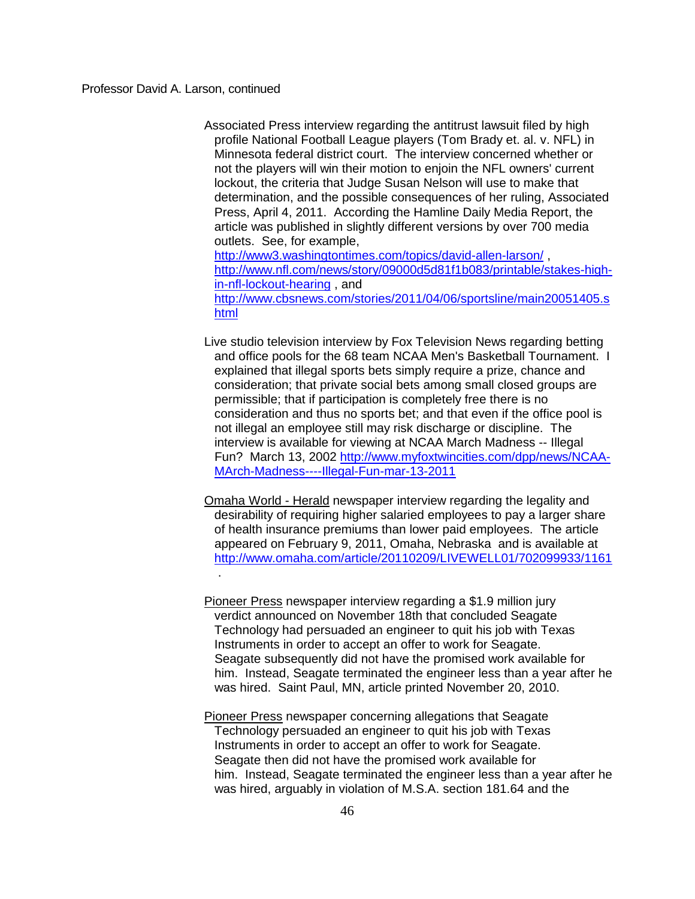Associated Press interview regarding the antitrust lawsuit filed by high profile National Football League players (Tom Brady et. al. v. NFL) in Minnesota federal district court. The interview concerned whether or not the players will win their motion to enjoin the NFL owners' current lockout, the criteria that Judge Susan Nelson will use to make that determination, and the possible consequences of her ruling, Associated Press, April 4, 2011. According the Hamline Daily Media Report, the article was published in slightly different versions by over 700 media outlets. See, for example, <http://www3.washingtontimes.com/topics/david-allen-larson/>,

[http://www.nfl.com/news/story/09000d5d81f1b083/printable/stakes-high](http://www.nfl.com/news/story/09000d5d81f1b083/printable/stakes-high-in-nfl-lockout-hearing)[in-nfl-lockout-hearing](http://www.nfl.com/news/story/09000d5d81f1b083/printable/stakes-high-in-nfl-lockout-hearing) , and

[http://www.cbsnews.com/stories/2011/04/06/sportsline/main20051405.s](http://www.cbsnews.com/stories/2011/04/06/sportsline/main20051405.shtml) [html](http://www.cbsnews.com/stories/2011/04/06/sportsline/main20051405.shtml)

Live studio television interview by Fox Television News regarding betting and office pools for the 68 team NCAA Men's Basketball Tournament. I explained that illegal sports bets simply require a prize, chance and consideration; that private social bets among small closed groups are permissible; that if participation is completely free there is no consideration and thus no sports bet; and that even if the office pool is not illegal an employee still may risk discharge or discipline. The interview is available for viewing at NCAA March Madness -- Illegal Fun? March 13, 2002 [http://www.myfoxtwincities.com/dpp/news/NCAA-](http://www.myfoxtwincities.com/dpp/news/NCAA-MArch-Madness----Illegal-Fun-mar-13-2011)[MArch-Madness----Illegal-Fun-mar-13-2011](http://www.myfoxtwincities.com/dpp/news/NCAA-MArch-Madness----Illegal-Fun-mar-13-2011)

Omaha World - Herald newspaper interview regarding the legality and desirability of requiring higher salaried employees to pay a larger share of health insurance premiums than lower paid employees. The article appeared on February 9, 2011, Omaha, Nebraska and is available at <http://www.omaha.com/article/20110209/LIVEWELL01/702099933/1161> .

Pioneer Press newspaper interview regarding a \$1.9 million jury verdict announced on November 18th that concluded Seagate Technology had persuaded an engineer to quit his job with Texas Instruments in order to accept an offer to work for Seagate. Seagate subsequently did not have the promised work available for him. Instead, Seagate terminated the engineer less than a year after he was hired. Saint Paul, MN, article printed November 20, 2010.

Pioneer Press newspaper concerning allegations that Seagate Technology persuaded an engineer to quit his job with Texas Instruments in order to accept an offer to work for Seagate. Seagate then did not have the promised work available for him. Instead, Seagate terminated the engineer less than a year after he was hired, arguably in violation of M.S.A. section 181.64 and the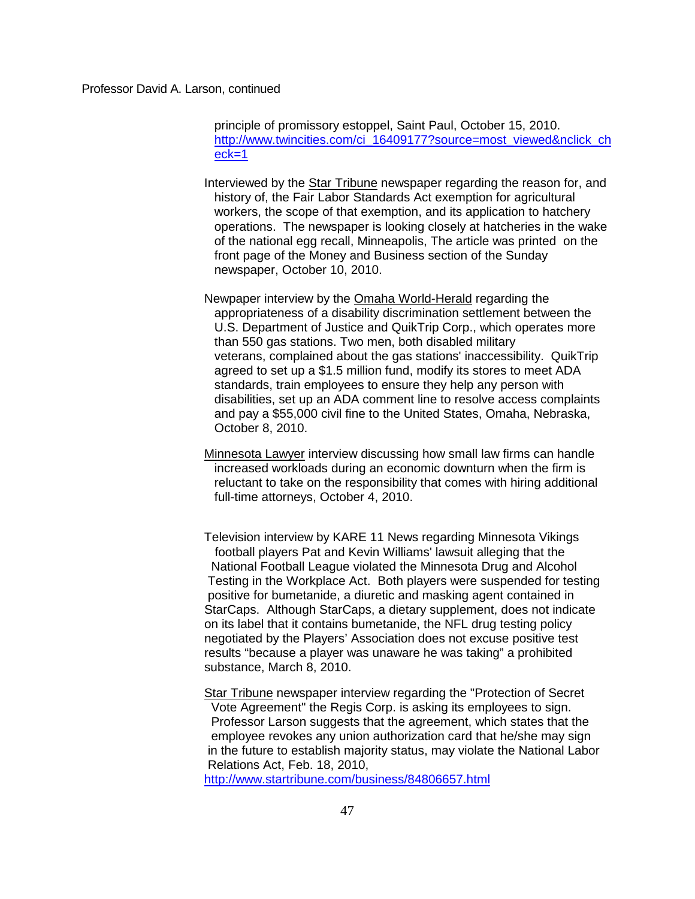principle of promissory estoppel, Saint Paul, October 15, 2010. [http://www.twincities.com/ci\\_16409177?source=most\\_viewed&nclick\\_ch](http://www.twincities.com/ci_16409177?source=most_viewed&nclick_check=1) [eck=1](http://www.twincities.com/ci_16409177?source=most_viewed&nclick_check=1)

Interviewed by the Star Tribune newspaper regarding the reason for, and history of, the Fair Labor Standards Act exemption for agricultural workers, the scope of that exemption, and its application to hatchery operations. The newspaper is looking closely at hatcheries in the wake of the national egg recall, Minneapolis, The article was printed on the front page of the Money and Business section of the Sunday newspaper, October 10, 2010.

Newpaper interview by the Omaha World-Herald regarding the appropriateness of a disability discrimination settlement between the U.S. Department of Justice and QuikTrip Corp., which operates more than 550 gas stations. Two men, both disabled military veterans, complained about the gas stations' inaccessibility. QuikTrip agreed to set up a \$1.5 million fund, modify its stores to meet ADA standards, train employees to ensure they help any person with disabilities, set up an ADA comment line to resolve access complaints and pay a \$55,000 civil fine to the United States, Omaha, Nebraska, October 8, 2010.

Minnesota Lawyer interview discussing how small law firms can handle increased workloads during an economic downturn when the firm is reluctant to take on the responsibility that comes with hiring additional full-time attorneys, October 4, 2010.

Television interview by KARE 11 News regarding Minnesota Vikings football players Pat and Kevin Williams' lawsuit alleging that the National Football League violated the Minnesota Drug and Alcohol Testing in the Workplace Act. Both players were suspended for testing positive for bumetanide, a diuretic and masking agent contained in StarCaps. Although StarCaps, a dietary supplement, does not indicate on its label that it contains bumetanide, the NFL drug testing policy negotiated by the Players' Association does not excuse positive test results "because a player was unaware he was taking" a prohibited substance, March 8, 2010.

Star Tribune newspaper interview regarding the "Protection of Secret Vote Agreement" the Regis Corp. is asking its employees to sign. Professor Larson suggests that the agreement, which states that the employee revokes any union authorization card that he/she may sign in the future to establish majority status, may violate the National Labor Relations Act, Feb. 18, 2010,

<http://www.startribune.com/business/84806657.html>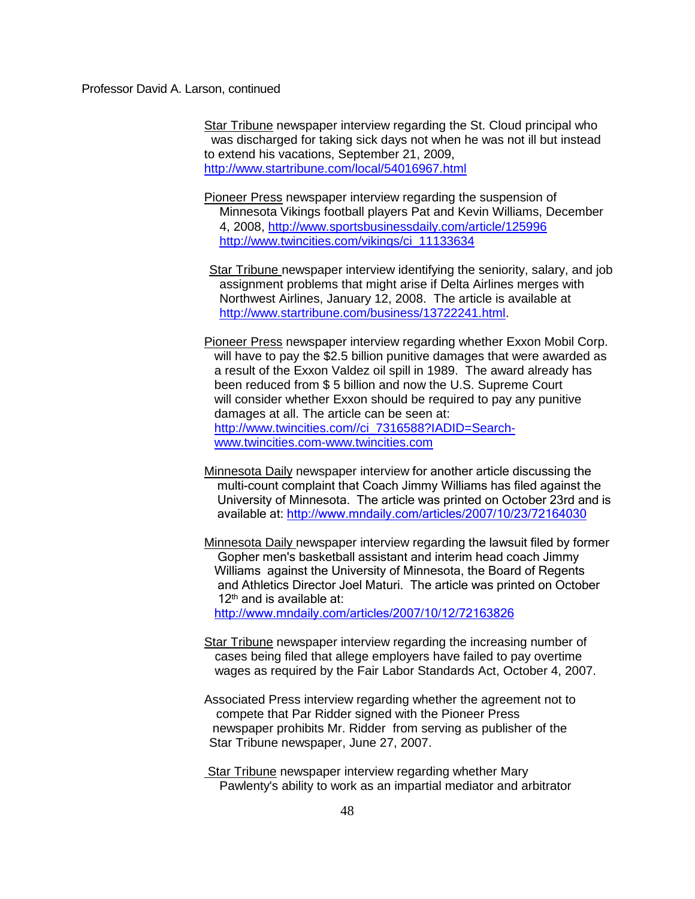Star Tribune newspaper interview regarding the St. Cloud principal who was discharged for taking sick days not when he was not ill but instead to extend his vacations, September 21, 2009, <http://www.startribune.com/local/54016967.html>

Pioneer Press newspaper interview regarding the suspension of Minnesota Vikings football players Pat and Kevin Williams, December 4, 2008,<http://www.sportsbusinessdaily.com/article/125996> [http://www.twincities.com/vikings/ci\\_11133634](http://www.twincities.com/vikings/ci_11133634)

Star Tribune newspaper interview identifying the seniority, salary, and job assignment problems that might arise if Delta Airlines merges with Northwest Airlines, January 12, 2008. The article is available at [http://www.startribune.com/business/13722241.html.](http://www.startribune.com/business/13722241.html)

Pioneer Press newspaper interview regarding whether Exxon Mobil Corp. will have to pay the \$2.5 billion punitive damages that were awarded as a result of the Exxon Valdez oil spill in 1989. The award already has been reduced from \$ 5 billion and now the U.S. Supreme Court will consider whether Exxon should be required to pay any punitive damages at all. The article can be seen at: [http://www.twincities.com//ci\\_7316588?IADID=Search](http://www.twincities.com/ci_7316588?IADID=Search-%20%20%20%20%20%20%20%20%20%20%20%20%20%20%20%20%20%20%20%20%20%20%20%20%20%20www.twincities.com-www.twincities.com)[www.twincities.com-www.twincities.com](http://www.twincities.com/ci_7316588?IADID=Search-%20%20%20%20%20%20%20%20%20%20%20%20%20%20%20%20%20%20%20%20%20%20%20%20%20%20www.twincities.com-www.twincities.com)

Minnesota Daily newspaper interview for another article discussing the multi-count complaint that Coach Jimmy Williams has filed against the University of Minnesota. The article was printed on October 23rd and is available at:<http://www.mndaily.com/articles/2007/10/23/72164030>

Minnesota Daily newspaper interview regarding the lawsuit filed by former Gopher men's basketball assistant and interim head coach Jimmy Williams against the University of Minnesota, the Board of Regents and Athletics Director Joel Maturi. The article was printed on October 12<sup>th</sup> and is available at:

<http://www.mndaily.com/articles/2007/10/12/72163826>

- Star Tribune newspaper interview regarding the increasing number of cases being filed that allege employers have failed to pay overtime wages as required by the Fair Labor Standards Act, October 4, 2007.
- Associated Press interview regarding whether the agreement not to compete that Par Ridder signed with the Pioneer Press newspaper prohibits Mr. Ridder from serving as publisher of the Star Tribune newspaper, June 27, 2007.
- Star Tribune newspaper interview regarding whether Mary Pawlenty's ability to work as an impartial mediator and arbitrator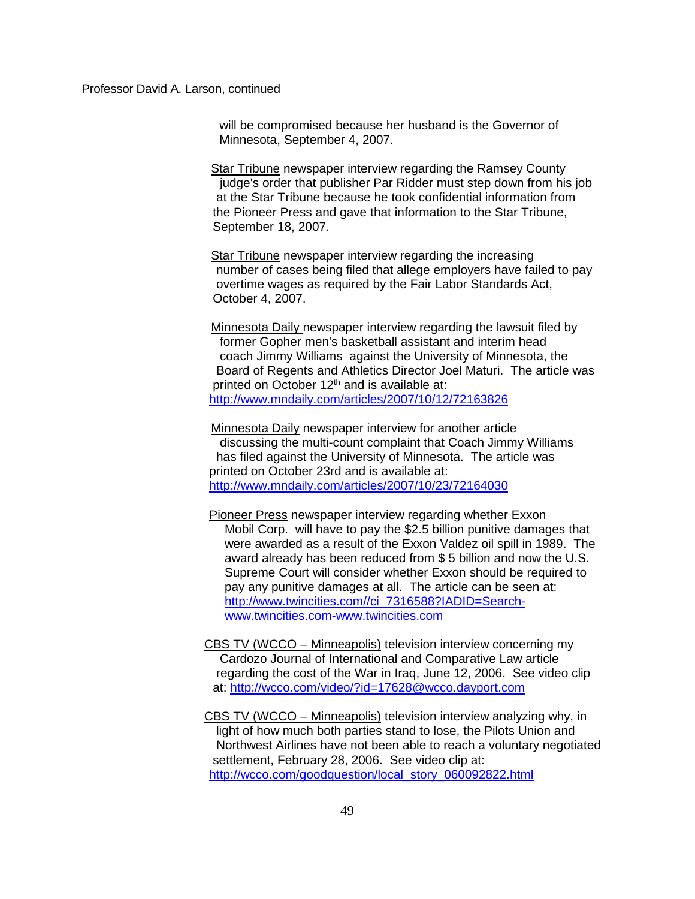will be compromised because her husband is the Governor of Minnesota, September 4, 2007.

Star Tribune newspaper interview regarding the Ramsey County judge's order that publisher Par Ridder must step down from his job at the Star Tribune because he took confidential information from the Pioneer Press and gave that information to the Star Tribune, September 18, 2007.

**Star Tribune newspaper interview regarding the increasing**  number of cases being filed that allege employers have failed to pay overtime wages as required by the Fair Labor Standards Act, October 4, 2007.

Minnesota Daily newspaper interview regarding the lawsuit filed by former Gopher men's basketball assistant and interim head coach Jimmy Williams against the University of Minnesota, the Board of Regents and Athletics Director Joel Maturi. The article was printed on October  $12<sup>th</sup>$  and is available at: <http://www.mndaily.com/articles/2007/10/12/72163826>

Minnesota Daily newspaper interview for another article discussing the multi-count complaint that Coach Jimmy Williams has filed against the University of Minnesota. The article was printed on October 23rd and is available at: <http://www.mndaily.com/articles/2007/10/23/72164030>

Pioneer Press newspaper interview regarding whether Exxon Mobil Corp. will have to pay the \$2.5 billion punitive damages that were awarded as a result of the Exxon Valdez oil spill in 1989. The award already has been reduced from \$ 5 billion and now the U.S. Supreme Court will consider whether Exxon should be required to pay any punitive damages at all. The article can be seen at: [http://www.twincities.com//ci\\_7316588?IADID=Search](http://www.twincities.com/ci_7316588?IADID=Search-www.twincities.com-www.twincities.com)[www.twincities.com-www.twincities.com](http://www.twincities.com/ci_7316588?IADID=Search-www.twincities.com-www.twincities.com)

CBS TV (WCCO – Minneapolis) television interview concerning my Cardozo Journal of International and Comparative Law article regarding the cost of the War in Iraq, June 12, 2006. See video clip at: <http://wcco.com/video/?id=17628@wcco.dayport.com>

CBS TV (WCCO – Minneapolis) television interview analyzing why, in light of how much both parties stand to lose, the Pilots Union and Northwest Airlines have not been able to reach a voluntary negotiated settlement, February 28, 2006. See video clip at: [http://wcco.com/goodquestion/local\\_story\\_060092822.html](http://wcco.com/goodquestion/local_story_060092822.html)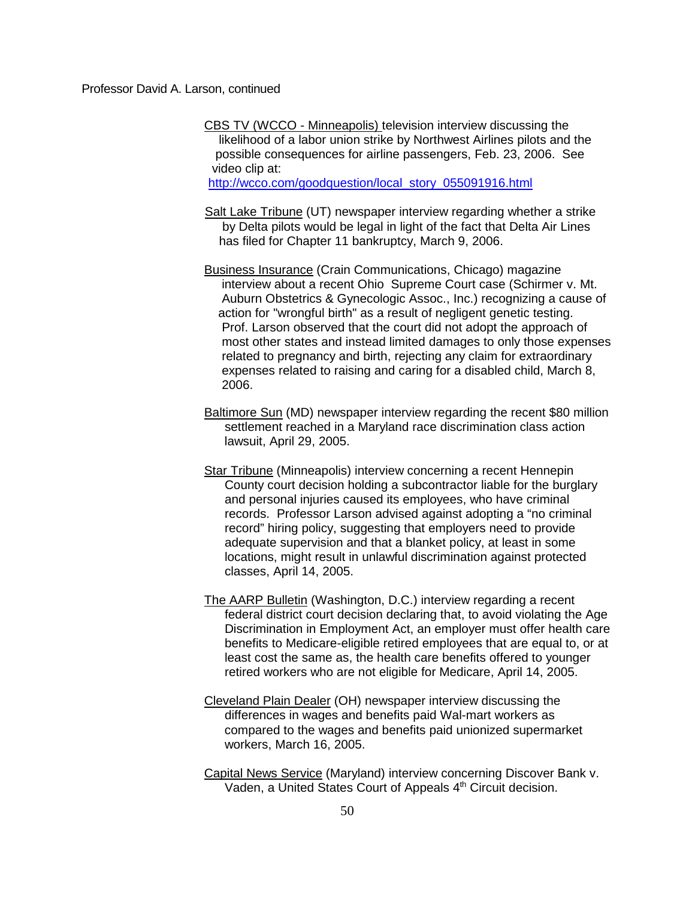CBS TV (WCCO - Minneapolis) television interview discussing the likelihood of a labor union strike by Northwest Airlines pilots and the possible consequences for airline passengers, Feb. 23, 2006. See video clip at:

[http://wcco.com/goodquestion/local\\_story\\_055091916.html](http://wcco.com/goodquestion/local_story_055091916.html)

- Salt Lake Tribune (UT) newspaper interview regarding whether a strike by Delta pilots would be legal in light of the fact that Delta Air Lines has filed for Chapter 11 bankruptcy, March 9, 2006.
- Business Insurance (Crain Communications, Chicago) magazine interview about a recent Ohio Supreme Court case (Schirmer v. Mt. Auburn Obstetrics & Gynecologic Assoc., Inc.) recognizing a cause of action for "wrongful birth" as a result of negligent genetic testing. Prof. Larson observed that the court did not adopt the approach of most other states and instead limited damages to only those expenses related to pregnancy and birth, rejecting any claim for extraordinary expenses related to raising and caring for a disabled child, March 8, 2006.
- Baltimore Sun (MD) newspaper interview regarding the recent \$80 million settlement reached in a Maryland race discrimination class action lawsuit, April 29, 2005.
- Star Tribune (Minneapolis) interview concerning a recent Hennepin County court decision holding a subcontractor liable for the burglary and personal injuries caused its employees, who have criminal records. Professor Larson advised against adopting a "no criminal record" hiring policy, suggesting that employers need to provide adequate supervision and that a blanket policy, at least in some locations, might result in unlawful discrimination against protected classes, April 14, 2005.
- The AARP Bulletin (Washington, D.C.) interview regarding a recent federal district court decision declaring that, to avoid violating the Age Discrimination in Employment Act, an employer must offer health care benefits to Medicare-eligible retired employees that are equal to, or at least cost the same as, the health care benefits offered to younger retired workers who are not eligible for Medicare, April 14, 2005.
- Cleveland Plain Dealer (OH) newspaper interview discussing the differences in wages and benefits paid Wal-mart workers as compared to the wages and benefits paid unionized supermarket workers, March 16, 2005.
- Capital News Service (Maryland) interview concerning Discover Bank v. Vaden, a United States Court of Appeals 4<sup>th</sup> Circuit decision.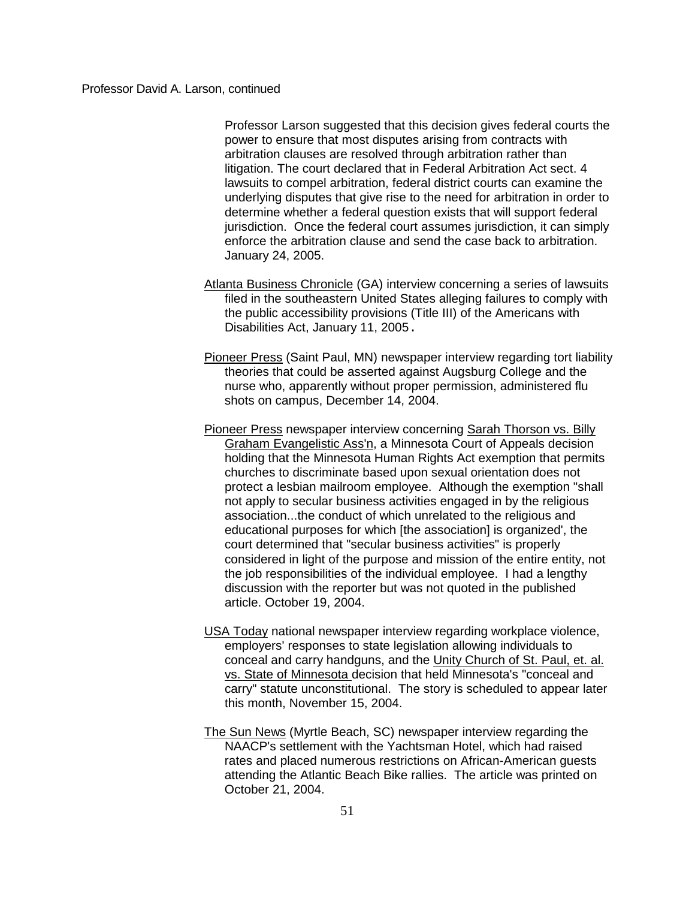Professor Larson suggested that this decision gives federal courts the power to ensure that most disputes arising from contracts with arbitration clauses are resolved through arbitration rather than litigation. The court declared that in Federal Arbitration Act sect. 4 lawsuits to compel arbitration, federal district courts can examine the underlying disputes that give rise to the need for arbitration in order to determine whether a federal question exists that will support federal jurisdiction. Once the federal court assumes jurisdiction, it can simply enforce the arbitration clause and send the case back to arbitration. January 24, 2005.

- Atlanta Business Chronicle (GA) interview concerning a series of lawsuits filed in the southeastern United States alleging failures to comply with the public accessibility provisions (Title III) of the Americans with Disabilities Act, January 11, 2005.
- Pioneer Press (Saint Paul, MN) newspaper interview regarding tort liability theories that could be asserted against Augsburg College and the nurse who, apparently without proper permission, administered flu shots on campus, December 14, 2004.
- Pioneer Press newspaper interview concerning Sarah Thorson vs. Billy Graham Evangelistic Ass'n, a Minnesota Court of Appeals decision holding that the Minnesota Human Rights Act exemption that permits churches to discriminate based upon sexual orientation does not protect a lesbian mailroom employee. Although the exemption "shall not apply to secular business activities engaged in by the religious association...the conduct of which unrelated to the religious and educational purposes for which [the association] is organized', the court determined that "secular business activities" is properly considered in light of the purpose and mission of the entire entity, not the job responsibilities of the individual employee. I had a lengthy discussion with the reporter but was not quoted in the published article. October 19, 2004.
- USA Today national newspaper interview regarding workplace violence, employers' responses to state legislation allowing individuals to conceal and carry handguns, and the Unity Church of St. Paul, et. al. vs. State of Minnesota decision that held Minnesota's "conceal and carry" statute unconstitutional. The story is scheduled to appear later this month, November 15, 2004.
- The Sun News (Myrtle Beach, SC) newspaper interview regarding the NAACP's settlement with the Yachtsman Hotel, which had raised rates and placed numerous restrictions on African-American guests attending the Atlantic Beach Bike rallies. The article was printed on October 21, 2004.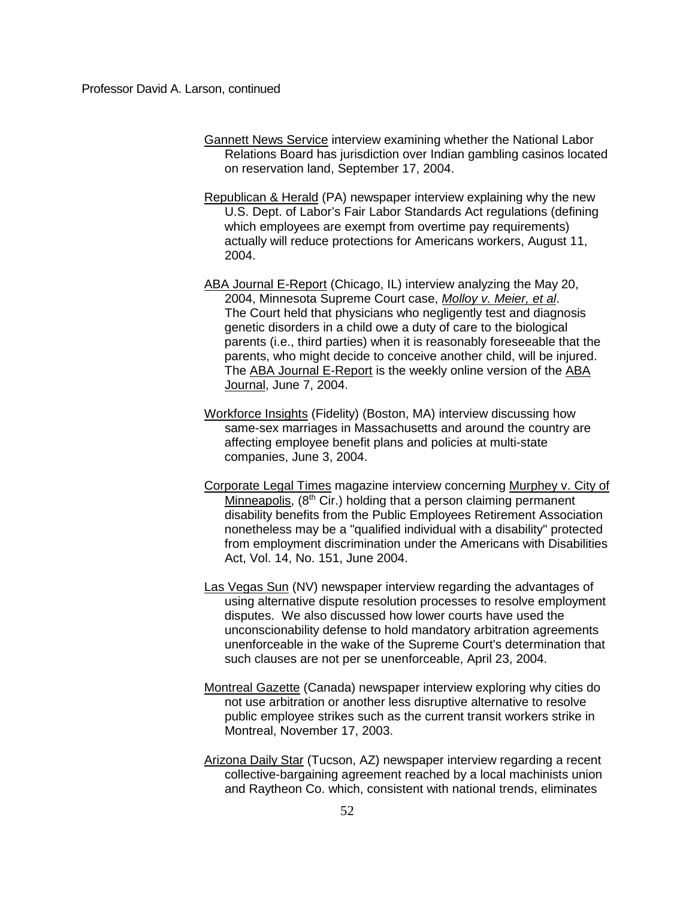- Gannett News Service interview examining whether the National Labor Relations Board has jurisdiction over Indian gambling casinos located on reservation land, September 17, 2004.
- Republican & Herald (PA) newspaper interview explaining why the new U.S. Dept. of Labor's Fair Labor Standards Act regulations (defining which employees are exempt from overtime pay requirements) actually will reduce protections for Americans workers, August 11, 2004.
- ABA Journal E-Report (Chicago, IL) interview analyzing the May 20, 2004, Minnesota Supreme Court case, *Molloy v. Meier, et al*. The Court held that physicians who negligently test and diagnosis genetic disorders in a child owe a duty of care to the biological parents (i.e., third parties) when it is reasonably foreseeable that the parents, who might decide to conceive another child, will be injured. The ABA Journal E-Report is the weekly online version of the ABA Journal, June 7, 2004.
- Workforce Insights (Fidelity) (Boston, MA) interview discussing how same-sex marriages in Massachusetts and around the country are affecting employee benefit plans and policies at multi-state companies, June 3, 2004.
- Corporate Legal Times magazine interview concerning Murphey v. City of Minneapolis,  $(8<sup>th</sup> Cir.)$  holding that a person claiming permanent disability benefits from the Public Employees Retirement Association nonetheless may be a "qualified individual with a disability" protected from employment discrimination under the Americans with Disabilities Act, Vol. 14, No. 151, June 2004.
- Las Vegas Sun (NV) newspaper interview regarding the advantages of using alternative dispute resolution processes to resolve employment disputes. We also discussed how lower courts have used the unconscionability defense to hold mandatory arbitration agreements unenforceable in the wake of the Supreme Court's determination that such clauses are not per se unenforceable, April 23, 2004.
- Montreal Gazette (Canada) newspaper interview exploring why cities do not use arbitration or another less disruptive alternative to resolve public employee strikes such as the current transit workers strike in Montreal, November 17, 2003.
- Arizona Daily Star (Tucson, AZ) newspaper interview regarding a recent collective-bargaining agreement reached by a local machinists union and Raytheon Co. which, consistent with national trends, eliminates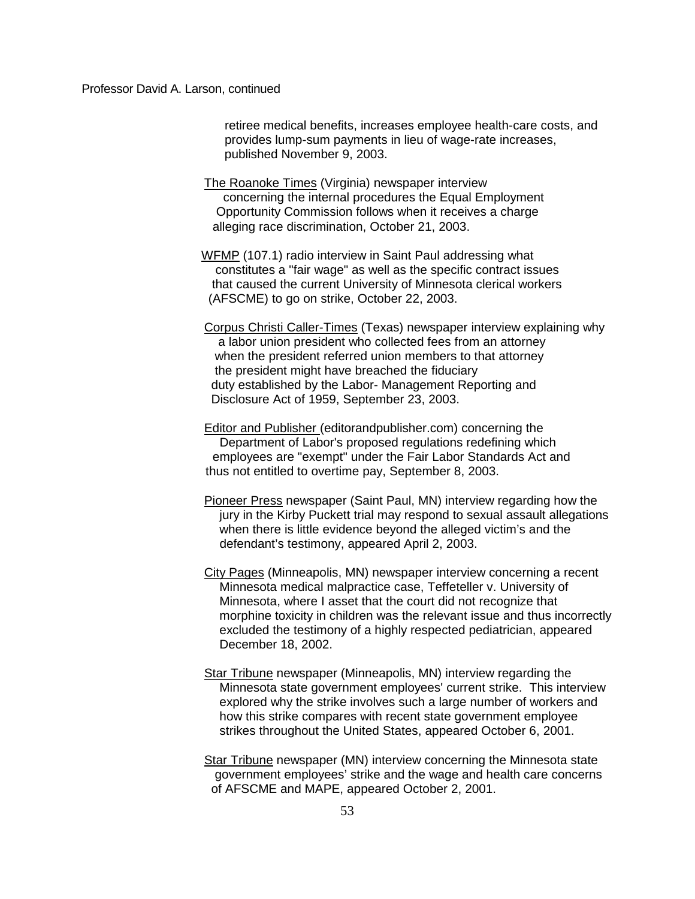retiree medical benefits, increases employee health-care costs, and provides lump-sum payments in lieu of wage-rate increases, published November 9, 2003.

The Roanoke Times (Virginia) newspaper interview concerning the internal procedures the Equal Employment Opportunity Commission follows when it receives a charge alleging race discrimination, October 21, 2003.

 WFMP (107.1) radio interview in Saint Paul addressing what constitutes a "fair wage" as well as the specific contract issues that caused the current University of Minnesota clerical workers (AFSCME) to go on strike, October 22, 2003.

Corpus Christi Caller-Times (Texas) newspaper interview explaining why a labor union president who collected fees from an attorney when the president referred union members to that attorney the president might have breached the fiduciary duty established by the Labor- Management Reporting and Disclosure Act of 1959, September 23, 2003.

Editor and Publisher (editorandpublisher.com) concerning the Department of Labor's proposed regulations redefining which employees are "exempt" under the Fair Labor Standards Act and thus not entitled to overtime pay, September 8, 2003.

- Pioneer Press newspaper (Saint Paul, MN) interview regarding how the jury in the Kirby Puckett trial may respond to sexual assault allegations when there is little evidence beyond the alleged victim's and the defendant's testimony, appeared April 2, 2003.
- City Pages (Minneapolis, MN) newspaper interview concerning a recent Minnesota medical malpractice case, Teffeteller v. University of Minnesota, where I asset that the court did not recognize that morphine toxicity in children was the relevant issue and thus incorrectly excluded the testimony of a highly respected pediatrician, appeared December 18, 2002.
- Star Tribune newspaper (Minneapolis, MN) interview regarding the Minnesota state government employees' current strike. This interview explored why the strike involves such a large number of workers and how this strike compares with recent state government employee strikes throughout the United States, appeared October 6, 2001.
- Star Tribune newspaper (MN) interview concerning the Minnesota state government employees' strike and the wage and health care concerns of AFSCME and MAPE, appeared October 2, 2001.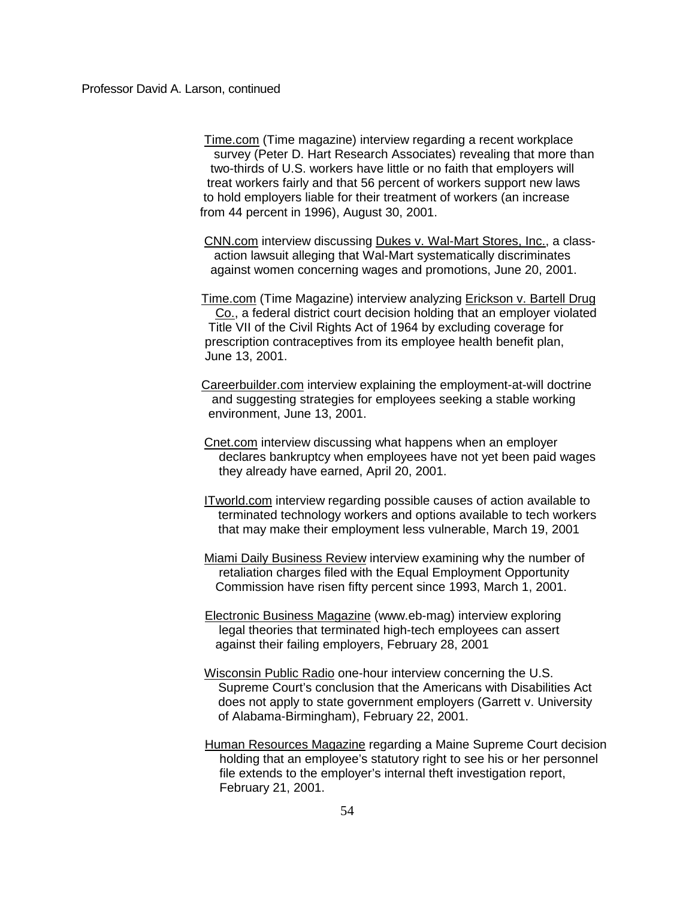Time.com (Time magazine) interview regarding a recent workplace survey (Peter D. Hart Research Associates) revealing that more than two-thirds of U.S. workers have little or no faith that employers will treat workers fairly and that 56 percent of workers support new laws to hold employers liable for their treatment of workers (an increase from 44 percent in 1996), August 30, 2001.

CNN.com interview discussing Dukes v. Wal-Mart Stores, Inc., a class action lawsuit alleging that Wal-Mart systematically discriminates against women concerning wages and promotions, June 20, 2001.

 Time.com (Time Magazine) interview analyzing Erickson v. Bartell Drug Co., a federal district court decision holding that an employer violated Title VII of the Civil Rights Act of 1964 by excluding coverage for prescription contraceptives from its employee health benefit plan, June 13, 2001.

 Careerbuilder.com interview explaining the employment-at-will doctrine and suggesting strategies for employees seeking a stable working environment, June 13, 2001.

Cnet.com interview discussing what happens when an employer declares bankruptcy when employees have not yet been paid wages they already have earned, April 20, 2001.

ITworld.com interview regarding possible causes of action available to terminated technology workers and options available to tech workers that may make their employment less vulnerable, March 19, 2001

Miami Daily Business Review interview examining why the number of retaliation charges filed with the Equal Employment Opportunity Commission have risen fifty percent since 1993, March 1, 2001.

 Electronic Business Magazine (www.eb-mag) interview exploring legal theories that terminated high-tech employees can assert against their failing employers, February 28, 2001

Wisconsin Public Radio one-hour interview concerning the U.S. Supreme Court's conclusion that the Americans with Disabilities Act does not apply to state government employers (Garrett v. University of Alabama-Birmingham), February 22, 2001.

 Human Resources Magazine regarding a Maine Supreme Court decision holding that an employee's statutory right to see his or her personnel file extends to the employer's internal theft investigation report, February 21, 2001.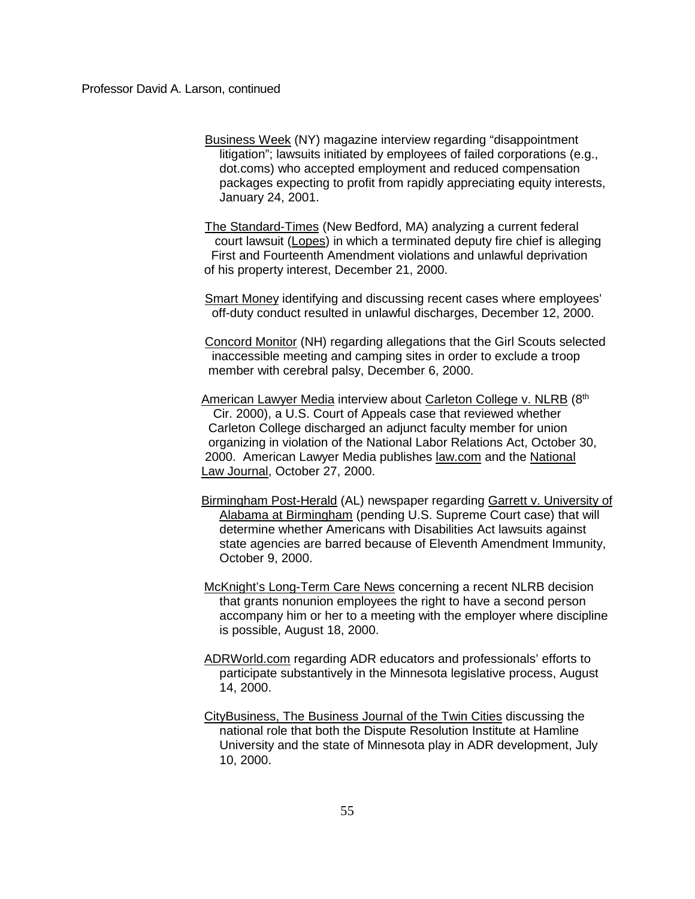Business Week (NY) magazine interview regarding "disappointment litigation"; lawsuits initiated by employees of failed corporations (e.g., dot.coms) who accepted employment and reduced compensation packages expecting to profit from rapidly appreciating equity interests, January 24, 2001.

 The Standard-Times (New Bedford, MA) analyzing a current federal court lawsuit (Lopes) in which a terminated deputy fire chief is alleging First and Fourteenth Amendment violations and unlawful deprivation of his property interest, December 21, 2000.

 Smart Money identifying and discussing recent cases where employees' off-duty conduct resulted in unlawful discharges, December 12, 2000.

 Concord Monitor (NH) regarding allegations that the Girl Scouts selected inaccessible meeting and camping sites in order to exclude a troop member with cerebral palsy, December 6, 2000.

American Lawyer Media interview about Carleton College v. NLRB (8th Cir. 2000), a U.S. Court of Appeals case that reviewed whether Carleton College discharged an adjunct faculty member for union organizing in violation of the National Labor Relations Act, October 30, 2000. American Lawyer Media publishes law.com and the National Law Journal, October 27, 2000.

 Birmingham Post-Herald (AL) newspaper regarding Garrett v. University of Alabama at Birmingham (pending U.S. Supreme Court case) that will determine whether Americans with Disabilities Act lawsuits against state agencies are barred because of Eleventh Amendment Immunity, October 9, 2000.

 McKnight's Long-Term Care News concerning a recent NLRB decision that grants nonunion employees the right to have a second person accompany him or her to a meeting with the employer where discipline is possible, August 18, 2000.

ADRWorld.com regarding ADR educators and professionals' efforts to participate substantively in the Minnesota legislative process, August 14, 2000.

CityBusiness, The Business Journal of the Twin Cities discussing the national role that both the Dispute Resolution Institute at Hamline University and the state of Minnesota play in ADR development, July 10, 2000.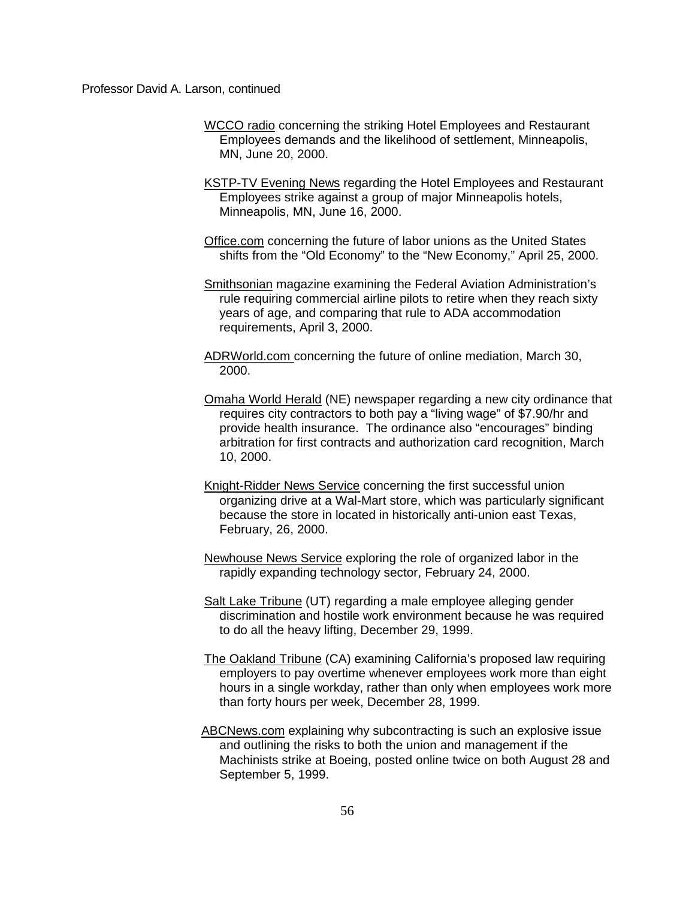- WCCO radio concerning the striking Hotel Employees and Restaurant Employees demands and the likelihood of settlement, Minneapolis, MN, June 20, 2000.
- KSTP-TV Evening News regarding the Hotel Employees and Restaurant Employees strike against a group of major Minneapolis hotels, Minneapolis, MN, June 16, 2000.
- Office.com concerning the future of labor unions as the United States shifts from the "Old Economy" to the "New Economy," April 25, 2000.
- Smithsonian magazine examining the Federal Aviation Administration's rule requiring commercial airline pilots to retire when they reach sixty years of age, and comparing that rule to ADA accommodation requirements, April 3, 2000.
- ADRWorld.com concerning the future of online mediation, March 30, 2000.
- Omaha World Herald (NE) newspaper regarding a new city ordinance that requires city contractors to both pay a "living wage" of \$7.90/hr and provide health insurance. The ordinance also "encourages" binding arbitration for first contracts and authorization card recognition, March 10, 2000.
- Knight-Ridder News Service concerning the first successful union organizing drive at a Wal-Mart store, which was particularly significant because the store in located in historically anti-union east Texas, February, 26, 2000.
- Newhouse News Service exploring the role of organized labor in the rapidly expanding technology sector, February 24, 2000.
- Salt Lake Tribune (UT) regarding a male employee alleging gender discrimination and hostile work environment because he was required to do all the heavy lifting, December 29, 1999.
- The Oakland Tribune (CA) examining California's proposed law requiring employers to pay overtime whenever employees work more than eight hours in a single workday, rather than only when employees work more than forty hours per week, December 28, 1999.
- ABCNews.com explaining why subcontracting is such an explosive issue and outlining the risks to both the union and management if the Machinists strike at Boeing, posted online twice on both August 28 and September 5, 1999.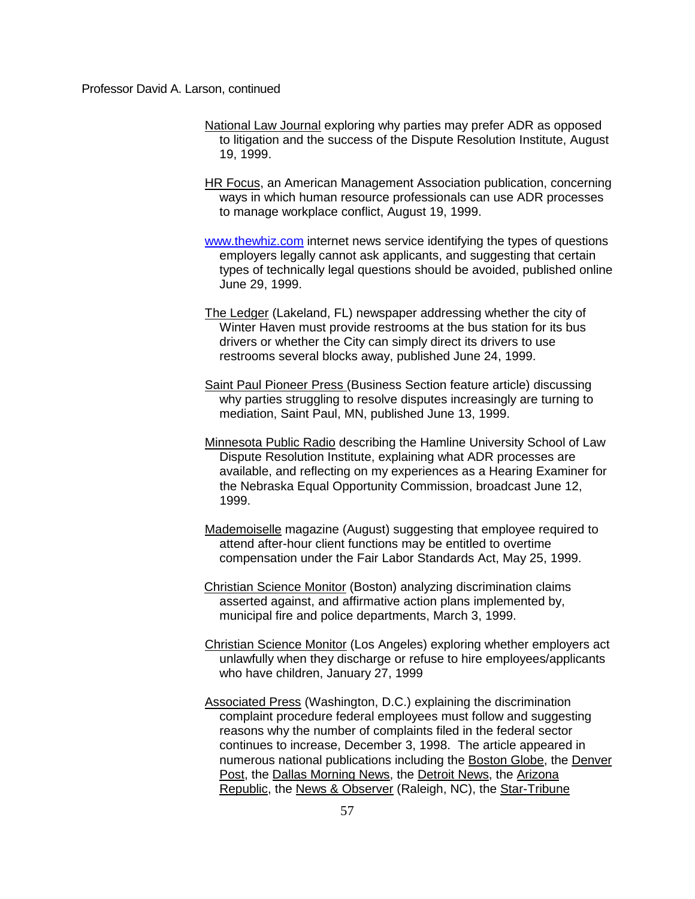- National Law Journal exploring why parties may prefer ADR as opposed to litigation and the success of the Dispute Resolution Institute, August 19, 1999.
- HR Focus, an American Management Association publication, concerning ways in which human resource professionals can use ADR processes to manage workplace conflict, August 19, 1999.
- [www.thewhiz.com](http://www.thewhiz.com/) internet news service identifying the types of questions employers legally cannot ask applicants, and suggesting that certain types of technically legal questions should be avoided, published online June 29, 1999.
- The Ledger (Lakeland, FL) newspaper addressing whether the city of Winter Haven must provide restrooms at the bus station for its bus drivers or whether the City can simply direct its drivers to use restrooms several blocks away, published June 24, 1999.
- Saint Paul Pioneer Press (Business Section feature article) discussing why parties struggling to resolve disputes increasingly are turning to mediation, Saint Paul, MN, published June 13, 1999.
- Minnesota Public Radio describing the Hamline University School of Law Dispute Resolution Institute, explaining what ADR processes are available, and reflecting on my experiences as a Hearing Examiner for the Nebraska Equal Opportunity Commission, broadcast June 12, 1999.
- Mademoiselle magazine (August) suggesting that employee required to attend after-hour client functions may be entitled to overtime compensation under the Fair Labor Standards Act, May 25, 1999.
- Christian Science Monitor (Boston) analyzing discrimination claims asserted against, and affirmative action plans implemented by, municipal fire and police departments, March 3, 1999.
- Christian Science Monitor (Los Angeles) exploring whether employers act unlawfully when they discharge or refuse to hire employees/applicants who have children, January 27, 1999
- Associated Press (Washington, D.C.) explaining the discrimination complaint procedure federal employees must follow and suggesting reasons why the number of complaints filed in the federal sector continues to increase, December 3, 1998. The article appeared in numerous national publications including the Boston Globe, the Denver Post, the Dallas Morning News, the Detroit News, the Arizona Republic, the News & Observer (Raleigh, NC), the Star-Tribune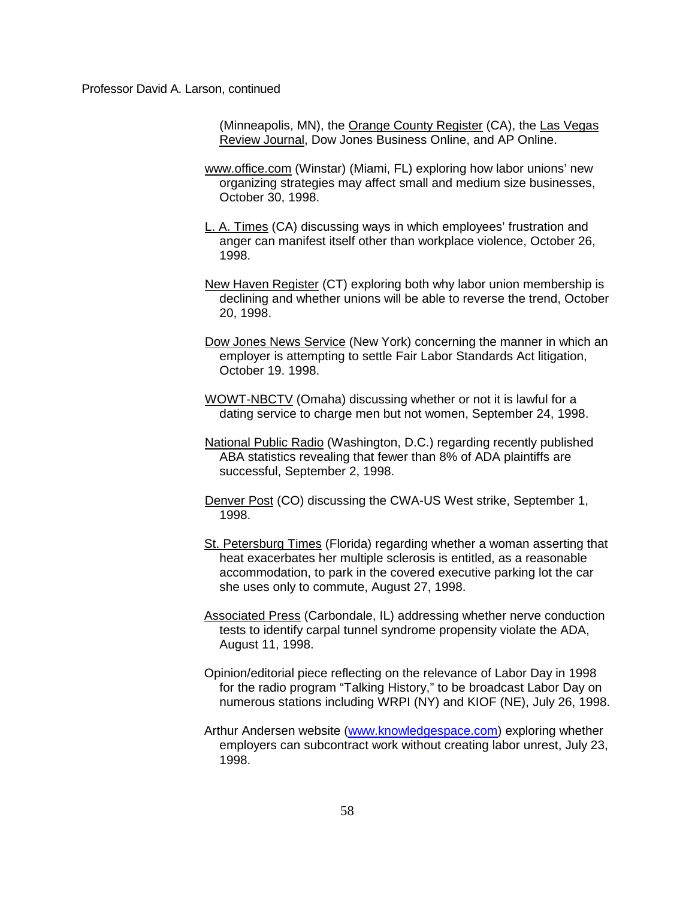(Minneapolis, MN), the Orange County Register (CA), the Las Vegas Review Journal, Dow Jones Business Online, and AP Online.

- www.office.com (Winstar) (Miami, FL) exploring how labor unions' new organizing strategies may affect small and medium size businesses, October 30, 1998.
- L. A. Times (CA) discussing ways in which employees' frustration and anger can manifest itself other than workplace violence, October 26, 1998.
- New Haven Register (CT) exploring both why labor union membership is declining and whether unions will be able to reverse the trend, October 20, 1998.
- Dow Jones News Service (New York) concerning the manner in which an employer is attempting to settle Fair Labor Standards Act litigation, October 19. 1998.
- WOWT-NBCTV (Omaha) discussing whether or not it is lawful for a dating service to charge men but not women, September 24, 1998.
- National Public Radio (Washington, D.C.) regarding recently published ABA statistics revealing that fewer than 8% of ADA plaintiffs are successful, September 2, 1998.
- Denver Post (CO) discussing the CWA-US West strike, September 1, 1998.
- St. Petersburg Times (Florida) regarding whether a woman asserting that heat exacerbates her multiple sclerosis is entitled, as a reasonable accommodation, to park in the covered executive parking lot the car she uses only to commute, August 27, 1998.
- Associated Press (Carbondale, IL) addressing whether nerve conduction tests to identify carpal tunnel syndrome propensity violate the ADA, August 11, 1998.
- Opinion/editorial piece reflecting on the relevance of Labor Day in 1998 for the radio program "Talking History," to be broadcast Labor Day on numerous stations including WRPI (NY) and KIOF (NE), July 26, 1998.
- Arthur Andersen website [\(www.knowledgespace.com\)](http://www.knowledgespace.com/) exploring whether employers can subcontract work without creating labor unrest, July 23, 1998.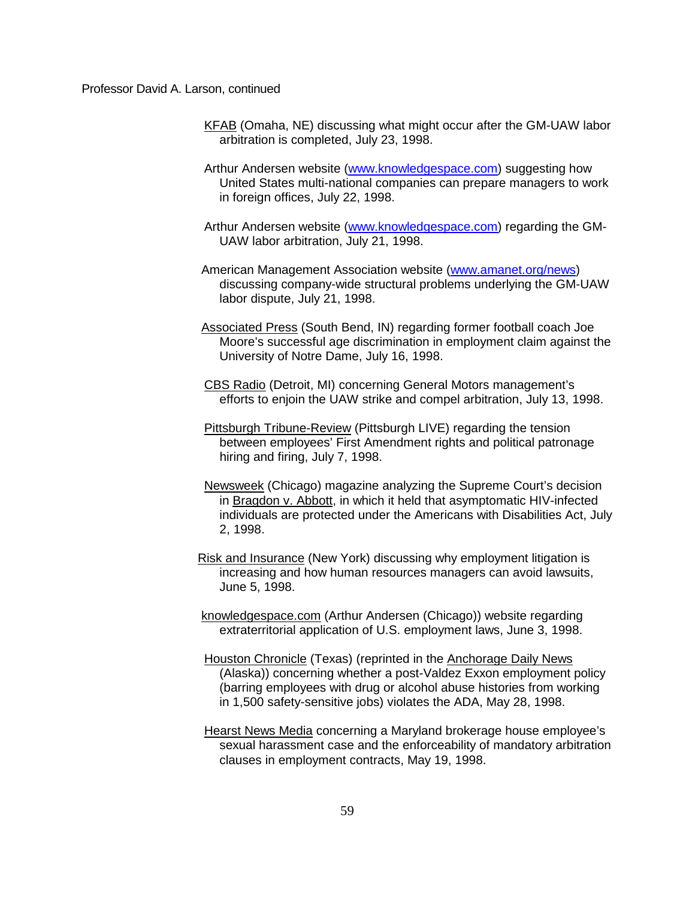- KFAB (Omaha, NE) discussing what might occur after the GM-UAW labor arbitration is completed, July 23, 1998.
- Arthur Andersen website [\(www.knowledgespace.com\)](http://www.knowledgespace.com/) suggesting how United States multi-national companies can prepare managers to work in foreign offices, July 22, 1998.
- Arthur Andersen website [\(www.knowledgespace.com\)](http://www.knowledgespace.com/) regarding the GM-UAW labor arbitration, July 21, 1998.
- American Management Association website [\(www.amanet.org/news\)](http://www.amanet.org/news) discussing company-wide structural problems underlying the GM-UAW labor dispute, July 21, 1998.
- Associated Press (South Bend, IN) regarding former football coach Joe Moore's successful age discrimination in employment claim against the University of Notre Dame, July 16, 1998.
- CBS Radio (Detroit, MI) concerning General Motors management's efforts to enjoin the UAW strike and compel arbitration, July 13, 1998.
- Pittsburgh Tribune-Review (Pittsburgh LIVE) regarding the tension between employees' First Amendment rights and political patronage hiring and firing, July 7, 1998.
- Newsweek (Chicago) magazine analyzing the Supreme Court's decision in Bragdon v. Abbott, in which it held that asymptomatic HIV-infected individuals are protected under the Americans with Disabilities Act, July 2, 1998.
- Risk and Insurance (New York) discussing why employment litigation is increasing and how human resources managers can avoid lawsuits, June 5, 1998.
- knowledgespace.com (Arthur Andersen (Chicago)) website regarding extraterritorial application of U.S. employment laws, June 3, 1998.
- Houston Chronicle (Texas) (reprinted in the Anchorage Daily News (Alaska)) concerning whether a post-Valdez Exxon employment policy (barring employees with drug or alcohol abuse histories from working in 1,500 safety-sensitive jobs) violates the ADA, May 28, 1998.
- Hearst News Media concerning a Maryland brokerage house employee's sexual harassment case and the enforceability of mandatory arbitration clauses in employment contracts, May 19, 1998.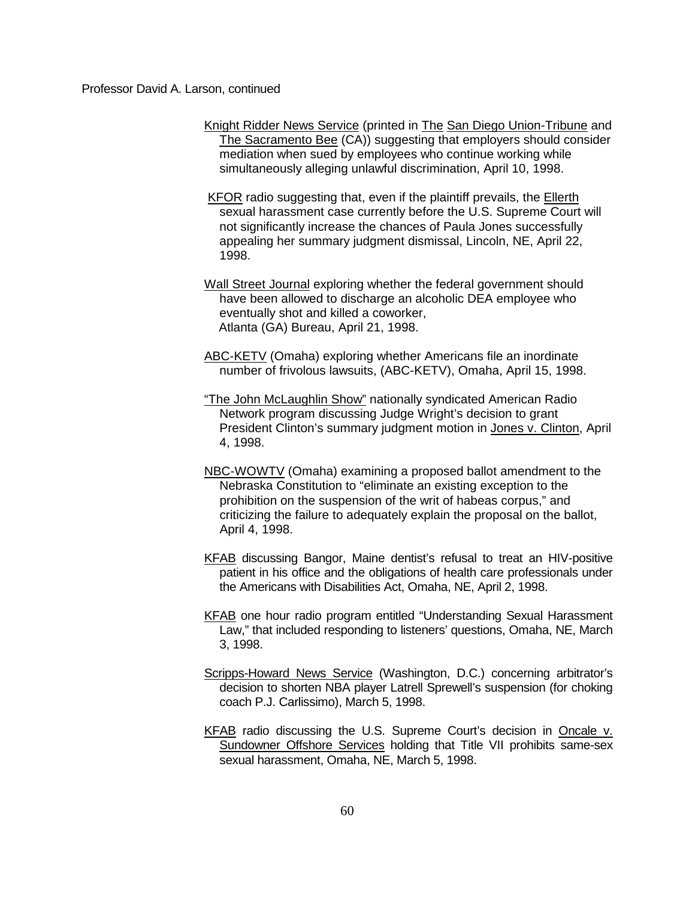- Knight Ridder News Service (printed in The San Diego Union-Tribune and The Sacramento Bee (CA)) suggesting that employers should consider mediation when sued by employees who continue working while simultaneously alleging unlawful discrimination, April 10, 1998.
- KFOR radio suggesting that, even if the plaintiff prevails, the Ellerth sexual harassment case currently before the U.S. Supreme Court will not significantly increase the chances of Paula Jones successfully appealing her summary judgment dismissal, Lincoln, NE, April 22, 1998.
- Wall Street Journal exploring whether the federal government should have been allowed to discharge an alcoholic DEA employee who eventually shot and killed a coworker, Atlanta (GA) Bureau, April 21, 1998.
- ABC-KETV (Omaha) exploring whether Americans file an inordinate number of frivolous lawsuits, (ABC-KETV), Omaha, April 15, 1998.
- "The John McLaughlin Show" nationally syndicated American Radio Network program discussing Judge Wright's decision to grant President Clinton's summary judgment motion in Jones v. Clinton, April 4, 1998.
- NBC-WOWTV (Omaha) examining a proposed ballot amendment to the Nebraska Constitution to "eliminate an existing exception to the prohibition on the suspension of the writ of habeas corpus," and criticizing the failure to adequately explain the proposal on the ballot, April 4, 1998.
- KFAB discussing Bangor, Maine dentist's refusal to treat an HIV-positive patient in his office and the obligations of health care professionals under the Americans with Disabilities Act, Omaha, NE, April 2, 1998.
- KFAB one hour radio program entitled "Understanding Sexual Harassment Law," that included responding to listeners' questions, Omaha, NE, March 3, 1998.
- Scripps-Howard News Service (Washington, D.C.) concerning arbitrator's decision to shorten NBA player Latrell Sprewell's suspension (for choking coach P.J. Carlissimo), March 5, 1998.
- KFAB radio discussing the U.S. Supreme Court's decision in Oncale v. Sundowner Offshore Services holding that Title VII prohibits same-sex sexual harassment, Omaha, NE, March 5, 1998.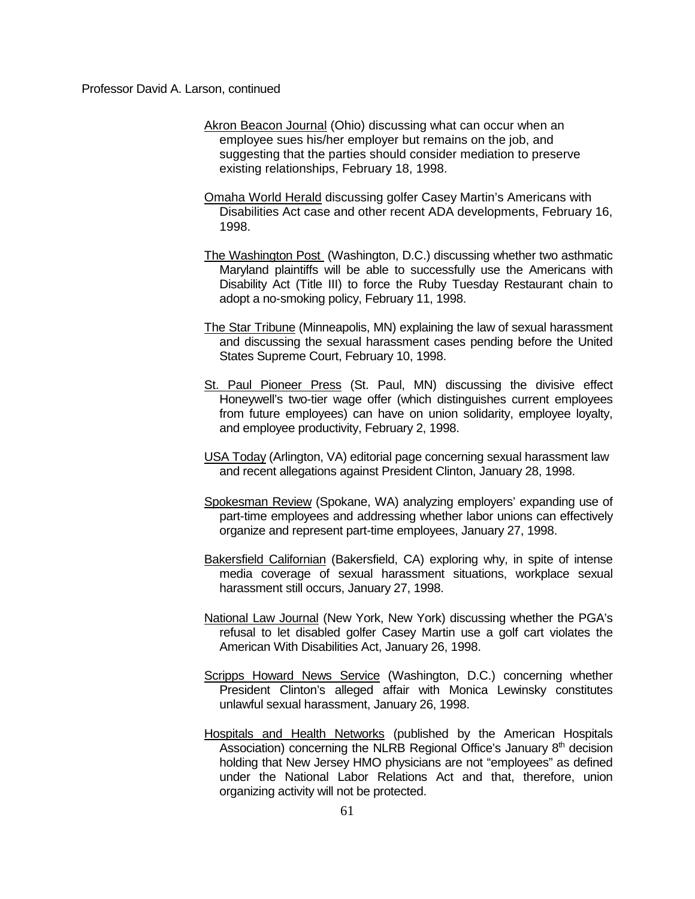- Akron Beacon Journal (Ohio) discussing what can occur when an employee sues his/her employer but remains on the job, and suggesting that the parties should consider mediation to preserve existing relationships, February 18, 1998.
- Omaha World Herald discussing golfer Casey Martin's Americans with Disabilities Act case and other recent ADA developments, February 16, 1998.
- The Washington Post (Washington, D.C.) discussing whether two asthmatic Maryland plaintiffs will be able to successfully use the Americans with Disability Act (Title III) to force the Ruby Tuesday Restaurant chain to adopt a no-smoking policy, February 11, 1998.
- The Star Tribune (Minneapolis, MN) explaining the law of sexual harassment and discussing the sexual harassment cases pending before the United States Supreme Court, February 10, 1998.
- St. Paul Pioneer Press (St. Paul, MN) discussing the divisive effect Honeywell's two-tier wage offer (which distinguishes current employees from future employees) can have on union solidarity, employee loyalty, and employee productivity, February 2, 1998.
- USA Today (Arlington, VA) editorial page concerning sexual harassment law and recent allegations against President Clinton, January 28, 1998.
- Spokesman Review (Spokane, WA) analyzing employers' expanding use of part-time employees and addressing whether labor unions can effectively organize and represent part-time employees, January 27, 1998.
- Bakersfield Californian (Bakersfield, CA) exploring why, in spite of intense media coverage of sexual harassment situations, workplace sexual harassment still occurs, January 27, 1998.
- National Law Journal (New York, New York) discussing whether the PGA's refusal to let disabled golfer Casey Martin use a golf cart violates the American With Disabilities Act, January 26, 1998.
- Scripps Howard News Service (Washington, D.C.) concerning whether President Clinton's alleged affair with Monica Lewinsky constitutes unlawful sexual harassment, January 26, 1998.
- Hospitals and Health Networks (published by the American Hospitals Association) concerning the NLRB Regional Office's January 8<sup>th</sup> decision holding that New Jersey HMO physicians are not "employees" as defined under the National Labor Relations Act and that, therefore, union organizing activity will not be protected.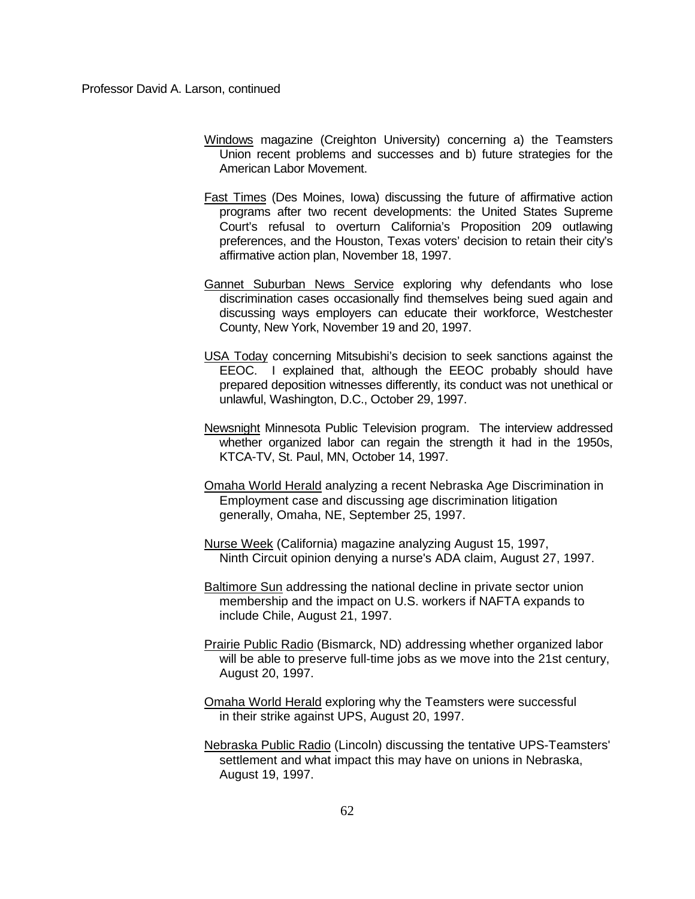- Windows magazine (Creighton University) concerning a) the Teamsters Union recent problems and successes and b) future strategies for the American Labor Movement.
- Fast Times (Des Moines, Iowa) discussing the future of affirmative action programs after two recent developments: the United States Supreme Court's refusal to overturn California's Proposition 209 outlawing preferences, and the Houston, Texas voters' decision to retain their city's affirmative action plan, November 18, 1997.
- Gannet Suburban News Service exploring why defendants who lose discrimination cases occasionally find themselves being sued again and discussing ways employers can educate their workforce, Westchester County, New York, November 19 and 20, 1997.
- USA Today concerning Mitsubishi's decision to seek sanctions against the EEOC. I explained that, although the EEOC probably should have prepared deposition witnesses differently, its conduct was not unethical or unlawful, Washington, D.C., October 29, 1997.
- Newsnight Minnesota Public Television program. The interview addressed whether organized labor can regain the strength it had in the 1950s, KTCA-TV, St. Paul, MN, October 14, 1997.
- Omaha World Herald analyzing a recent Nebraska Age Discrimination in Employment case and discussing age discrimination litigation generally, Omaha, NE, September 25, 1997.
- Nurse Week (California) magazine analyzing August 15, 1997, Ninth Circuit opinion denying a nurse's ADA claim, August 27, 1997.
- Baltimore Sun addressing the national decline in private sector union membership and the impact on U.S. workers if NAFTA expands to include Chile, August 21, 1997.
- Prairie Public Radio (Bismarck, ND) addressing whether organized labor will be able to preserve full-time jobs as we move into the 21st century, August 20, 1997.
- Omaha World Herald exploring why the Teamsters were successful in their strike against UPS, August 20, 1997.
- Nebraska Public Radio (Lincoln) discussing the tentative UPS-Teamsters' settlement and what impact this may have on unions in Nebraska, August 19, 1997.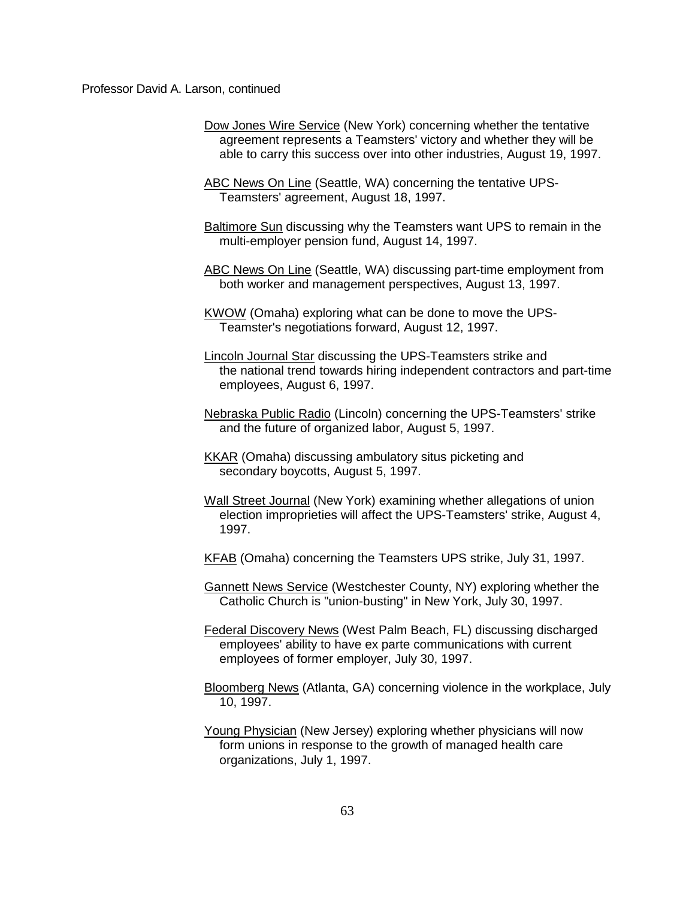- Dow Jones Wire Service (New York) concerning whether the tentative agreement represents a Teamsters' victory and whether they will be able to carry this success over into other industries, August 19, 1997.
- ABC News On Line (Seattle, WA) concerning the tentative UPS-Teamsters' agreement, August 18, 1997.
- Baltimore Sun discussing why the Teamsters want UPS to remain in the multi-employer pension fund, August 14, 1997.
- ABC News On Line (Seattle, WA) discussing part-time employment from both worker and management perspectives, August 13, 1997.
- KWOW (Omaha) exploring what can be done to move the UPS-Teamster's negotiations forward, August 12, 1997.
- Lincoln Journal Star discussing the UPS-Teamsters strike and the national trend towards hiring independent contractors and part-time employees, August 6, 1997.
- Nebraska Public Radio (Lincoln) concerning the UPS-Teamsters' strike and the future of organized labor, August 5, 1997.
- KKAR (Omaha) discussing ambulatory situs picketing and secondary boycotts, August 5, 1997.
- Wall Street Journal (New York) examining whether allegations of union election improprieties will affect the UPS-Teamsters' strike, August 4, 1997.
- KFAB (Omaha) concerning the Teamsters UPS strike, July 31, 1997.
- Gannett News Service (Westchester County, NY) exploring whether the Catholic Church is "union-busting" in New York, July 30, 1997.
- Federal Discovery News (West Palm Beach, FL) discussing discharged employees' ability to have ex parte communications with current employees of former employer, July 30, 1997.
- Bloomberg News (Atlanta, GA) concerning violence in the workplace, July 10, 1997.
- Young Physician (New Jersey) exploring whether physicians will now form unions in response to the growth of managed health care organizations, July 1, 1997.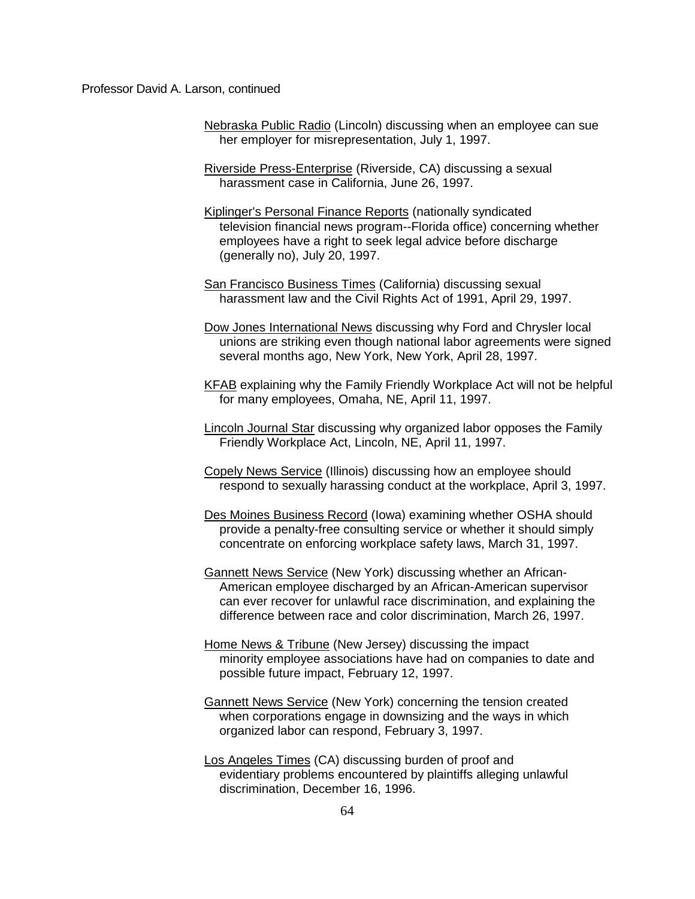- Nebraska Public Radio (Lincoln) discussing when an employee can sue her employer for misrepresentation, July 1, 1997.
- Riverside Press-Enterprise (Riverside, CA) discussing a sexual harassment case in California, June 26, 1997.
- Kiplinger's Personal Finance Reports (nationally syndicated television financial news program--Florida office) concerning whether employees have a right to seek legal advice before discharge (generally no), July 20, 1997.
- San Francisco Business Times (California) discussing sexual harassment law and the Civil Rights Act of 1991, April 29, 1997.
- Dow Jones International News discussing why Ford and Chrysler local unions are striking even though national labor agreements were signed several months ago, New York, New York, April 28, 1997.
- KFAB explaining why the Family Friendly Workplace Act will not be helpful for many employees, Omaha, NE, April 11, 1997.
- Lincoln Journal Star discussing why organized labor opposes the Family Friendly Workplace Act, Lincoln, NE, April 11, 1997.
- Copely News Service (Illinois) discussing how an employee should respond to sexually harassing conduct at the workplace, April 3, 1997.
- Des Moines Business Record (Iowa) examining whether OSHA should provide a penalty-free consulting service or whether it should simply concentrate on enforcing workplace safety laws, March 31, 1997.
- Gannett News Service (New York) discussing whether an African-American employee discharged by an African-American supervisor can ever recover for unlawful race discrimination, and explaining the difference between race and color discrimination, March 26, 1997.
- Home News & Tribune (New Jersey) discussing the impact minority employee associations have had on companies to date and possible future impact, February 12, 1997.
- Gannett News Service (New York) concerning the tension created when corporations engage in downsizing and the ways in which organized labor can respond, February 3, 1997.
- Los Angeles Times (CA) discussing burden of proof and evidentiary problems encountered by plaintiffs alleging unlawful discrimination, December 16, 1996.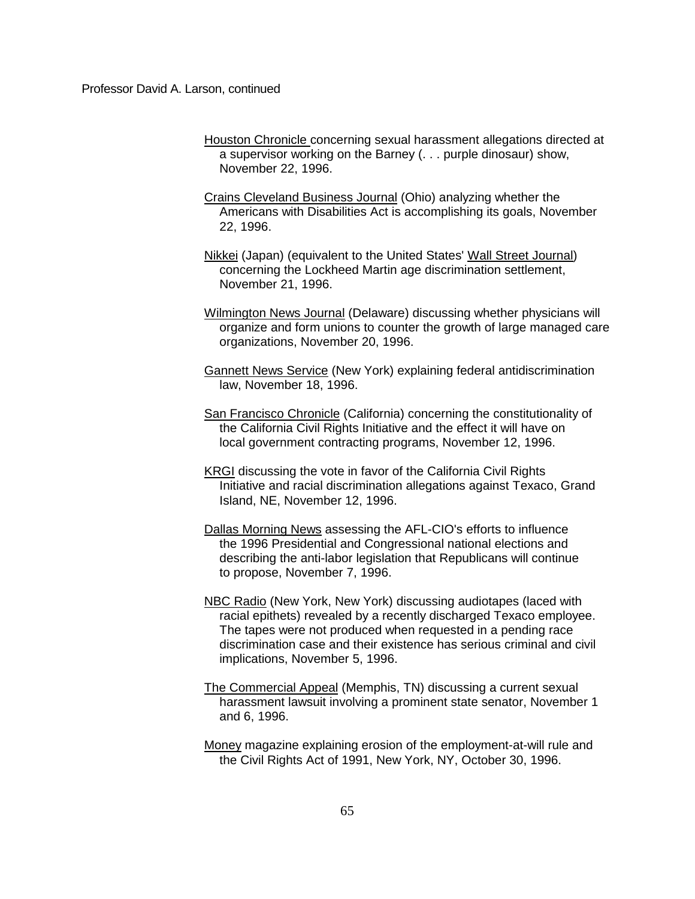- Houston Chronicle concerning sexual harassment allegations directed at a supervisor working on the Barney (. . . purple dinosaur) show, November 22, 1996.
- Crains Cleveland Business Journal (Ohio) analyzing whether the Americans with Disabilities Act is accomplishing its goals, November 22, 1996.
- Nikkei (Japan) (equivalent to the United States' Wall Street Journal) concerning the Lockheed Martin age discrimination settlement, November 21, 1996.
- Wilmington News Journal (Delaware) discussing whether physicians will organize and form unions to counter the growth of large managed care organizations, November 20, 1996.
- Gannett News Service (New York) explaining federal antidiscrimination law, November 18, 1996.
- San Francisco Chronicle (California) concerning the constitutionality of the California Civil Rights Initiative and the effect it will have on local government contracting programs, November 12, 1996.
- KRGI discussing the vote in favor of the California Civil Rights Initiative and racial discrimination allegations against Texaco, Grand Island, NE, November 12, 1996.
- Dallas Morning News assessing the AFL-CIO's efforts to influence the 1996 Presidential and Congressional national elections and describing the anti-labor legislation that Republicans will continue to propose, November 7, 1996.
- NBC Radio (New York, New York) discussing audiotapes (laced with racial epithets) revealed by a recently discharged Texaco employee. The tapes were not produced when requested in a pending race discrimination case and their existence has serious criminal and civil implications, November 5, 1996.
- The Commercial Appeal (Memphis, TN) discussing a current sexual harassment lawsuit involving a prominent state senator, November 1 and 6, 1996.
- Money magazine explaining erosion of the employment-at-will rule and the Civil Rights Act of 1991, New York, NY, October 30, 1996.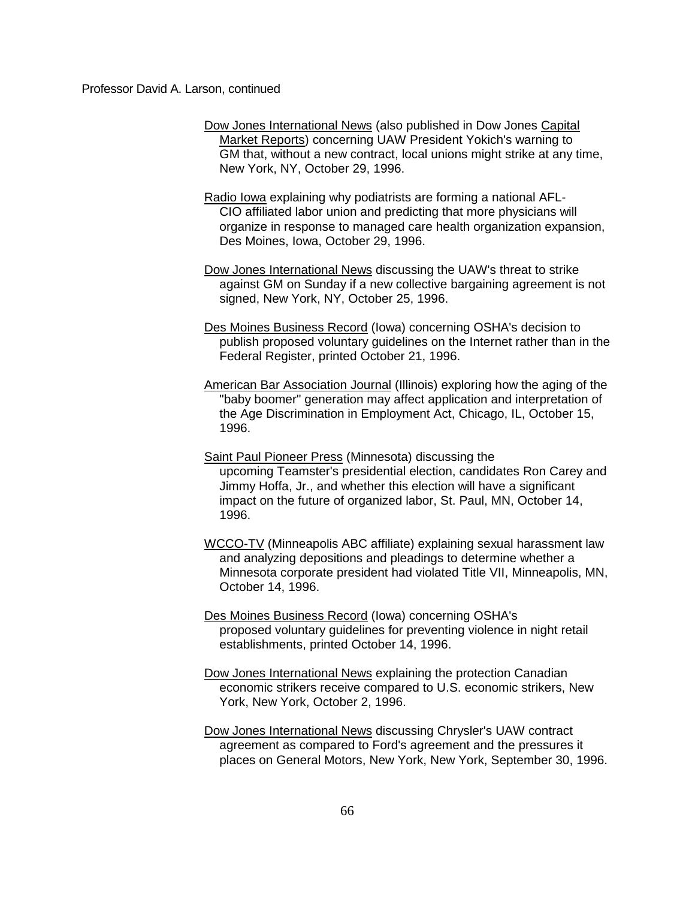- Dow Jones International News (also published in Dow Jones Capital Market Reports) concerning UAW President Yokich's warning to GM that, without a new contract, local unions might strike at any time, New York, NY, October 29, 1996.
- Radio Iowa explaining why podiatrists are forming a national AFL-CIO affiliated labor union and predicting that more physicians will organize in response to managed care health organization expansion, Des Moines, Iowa, October 29, 1996.
- Dow Jones International News discussing the UAW's threat to strike against GM on Sunday if a new collective bargaining agreement is not signed, New York, NY, October 25, 1996.
- Des Moines Business Record (Iowa) concerning OSHA's decision to publish proposed voluntary guidelines on the Internet rather than in the Federal Register, printed October 21, 1996.
- American Bar Association Journal (Illinois) exploring how the aging of the "baby boomer" generation may affect application and interpretation of the Age Discrimination in Employment Act, Chicago, IL, October 15, 1996.
- Saint Paul Pioneer Press (Minnesota) discussing the upcoming Teamster's presidential election, candidates Ron Carey and Jimmy Hoffa, Jr., and whether this election will have a significant impact on the future of organized labor, St. Paul, MN, October 14, 1996.
- WCCO-TV (Minneapolis ABC affiliate) explaining sexual harassment law and analyzing depositions and pleadings to determine whether a Minnesota corporate president had violated Title VII, Minneapolis, MN, October 14, 1996.
- Des Moines Business Record (Iowa) concerning OSHA's proposed voluntary guidelines for preventing violence in night retail establishments, printed October 14, 1996.
- Dow Jones International News explaining the protection Canadian economic strikers receive compared to U.S. economic strikers, New York, New York, October 2, 1996.
- Dow Jones International News discussing Chrysler's UAW contract agreement as compared to Ford's agreement and the pressures it places on General Motors, New York, New York, September 30, 1996.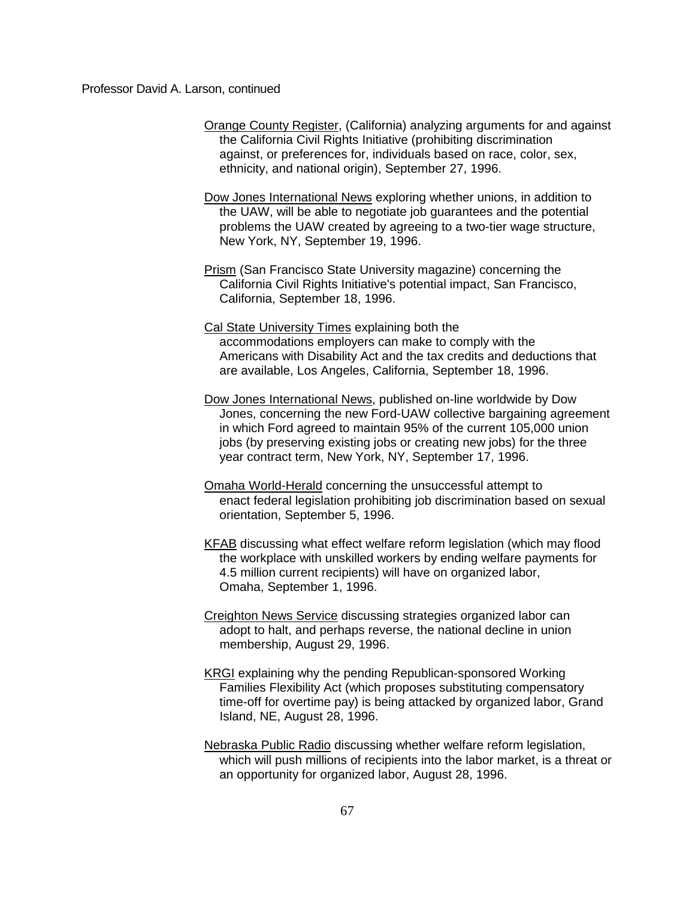- Orange County Register, (California) analyzing arguments for and against the California Civil Rights Initiative (prohibiting discrimination against, or preferences for, individuals based on race, color, sex, ethnicity, and national origin), September 27, 1996.
- Dow Jones International News exploring whether unions, in addition to the UAW, will be able to negotiate job guarantees and the potential problems the UAW created by agreeing to a two-tier wage structure, New York, NY, September 19, 1996.
- Prism (San Francisco State University magazine) concerning the California Civil Rights Initiative's potential impact, San Francisco, California, September 18, 1996.
- Cal State University Times explaining both the accommodations employers can make to comply with the Americans with Disability Act and the tax credits and deductions that are available, Los Angeles, California, September 18, 1996.
- Dow Jones International News, published on-line worldwide by Dow Jones, concerning the new Ford-UAW collective bargaining agreement in which Ford agreed to maintain 95% of the current 105,000 union jobs (by preserving existing jobs or creating new jobs) for the three year contract term, New York, NY, September 17, 1996.
- Omaha World-Herald concerning the unsuccessful attempt to enact federal legislation prohibiting job discrimination based on sexual orientation, September 5, 1996.
- KFAB discussing what effect welfare reform legislation (which may flood the workplace with unskilled workers by ending welfare payments for 4.5 million current recipients) will have on organized labor, Omaha, September 1, 1996.
- Creighton News Service discussing strategies organized labor can adopt to halt, and perhaps reverse, the national decline in union membership, August 29, 1996.
- KRGI explaining why the pending Republican-sponsored Working Families Flexibility Act (which proposes substituting compensatory time-off for overtime pay) is being attacked by organized labor, Grand Island, NE, August 28, 1996.
- Nebraska Public Radio discussing whether welfare reform legislation, which will push millions of recipients into the labor market, is a threat or an opportunity for organized labor, August 28, 1996.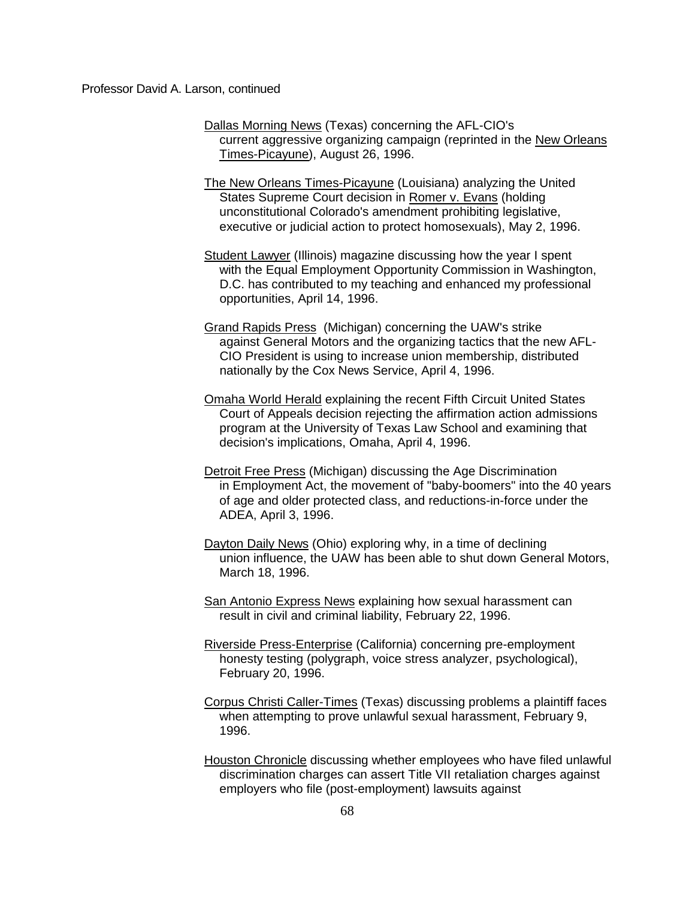- Dallas Morning News (Texas) concerning the AFL-CIO's current aggressive organizing campaign (reprinted in the New Orleans Times-Picayune), August 26, 1996.
- The New Orleans Times-Picayune (Louisiana) analyzing the United States Supreme Court decision in Romer v. Evans (holding unconstitutional Colorado's amendment prohibiting legislative, executive or judicial action to protect homosexuals), May 2, 1996.
- Student Lawyer (Illinois) magazine discussing how the year I spent with the Equal Employment Opportunity Commission in Washington, D.C. has contributed to my teaching and enhanced my professional opportunities, April 14, 1996.
- Grand Rapids Press (Michigan) concerning the UAW's strike against General Motors and the organizing tactics that the new AFL-CIO President is using to increase union membership, distributed nationally by the Cox News Service, April 4, 1996.
- Omaha World Herald explaining the recent Fifth Circuit United States Court of Appeals decision rejecting the affirmation action admissions program at the University of Texas Law School and examining that decision's implications, Omaha, April 4, 1996.
- Detroit Free Press (Michigan) discussing the Age Discrimination in Employment Act, the movement of "baby-boomers" into the 40 years of age and older protected class, and reductions-in-force under the ADEA, April 3, 1996.
- Dayton Daily News (Ohio) exploring why, in a time of declining union influence, the UAW has been able to shut down General Motors, March 18, 1996.
- San Antonio Express News explaining how sexual harassment can result in civil and criminal liability, February 22, 1996.
- Riverside Press-Enterprise (California) concerning pre-employment honesty testing (polygraph, voice stress analyzer, psychological), February 20, 1996.
- Corpus Christi Caller-Times (Texas) discussing problems a plaintiff faces when attempting to prove unlawful sexual harassment, February 9, 1996.
- Houston Chronicle discussing whether employees who have filed unlawful discrimination charges can assert Title VII retaliation charges against employers who file (post-employment) lawsuits against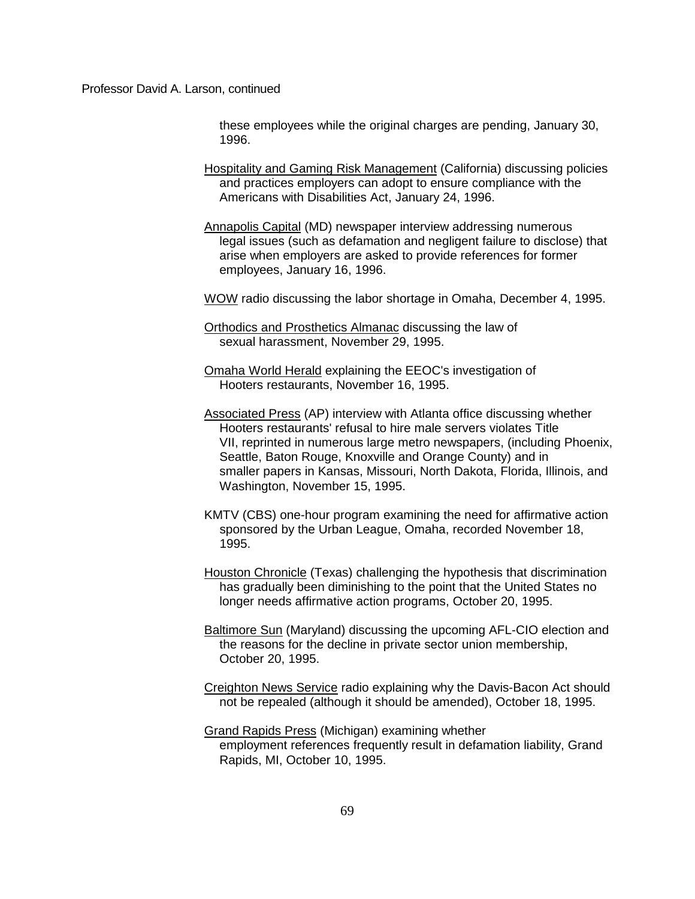these employees while the original charges are pending, January 30, 1996.

- Hospitality and Gaming Risk Management (California) discussing policies and practices employers can adopt to ensure compliance with the Americans with Disabilities Act, January 24, 1996.
- Annapolis Capital (MD) newspaper interview addressing numerous legal issues (such as defamation and negligent failure to disclose) that arise when employers are asked to provide references for former employees, January 16, 1996.

WOW radio discussing the labor shortage in Omaha, December 4, 1995.

- Orthodics and Prosthetics Almanac discussing the law of sexual harassment, November 29, 1995.
- Omaha World Herald explaining the EEOC's investigation of Hooters restaurants, November 16, 1995.
- Associated Press (AP) interview with Atlanta office discussing whether Hooters restaurants' refusal to hire male servers violates Title VII, reprinted in numerous large metro newspapers, (including Phoenix, Seattle, Baton Rouge, Knoxville and Orange County) and in smaller papers in Kansas, Missouri, North Dakota, Florida, Illinois, and Washington, November 15, 1995.
- KMTV (CBS) one-hour program examining the need for affirmative action sponsored by the Urban League, Omaha, recorded November 18, 1995.
- Houston Chronicle (Texas) challenging the hypothesis that discrimination has gradually been diminishing to the point that the United States no longer needs affirmative action programs, October 20, 1995.
- Baltimore Sun (Maryland) discussing the upcoming AFL-CIO election and the reasons for the decline in private sector union membership, October 20, 1995.
- Creighton News Service radio explaining why the Davis-Bacon Act should not be repealed (although it should be amended), October 18, 1995.
- Grand Rapids Press (Michigan) examining whether employment references frequently result in defamation liability, Grand Rapids, MI, October 10, 1995.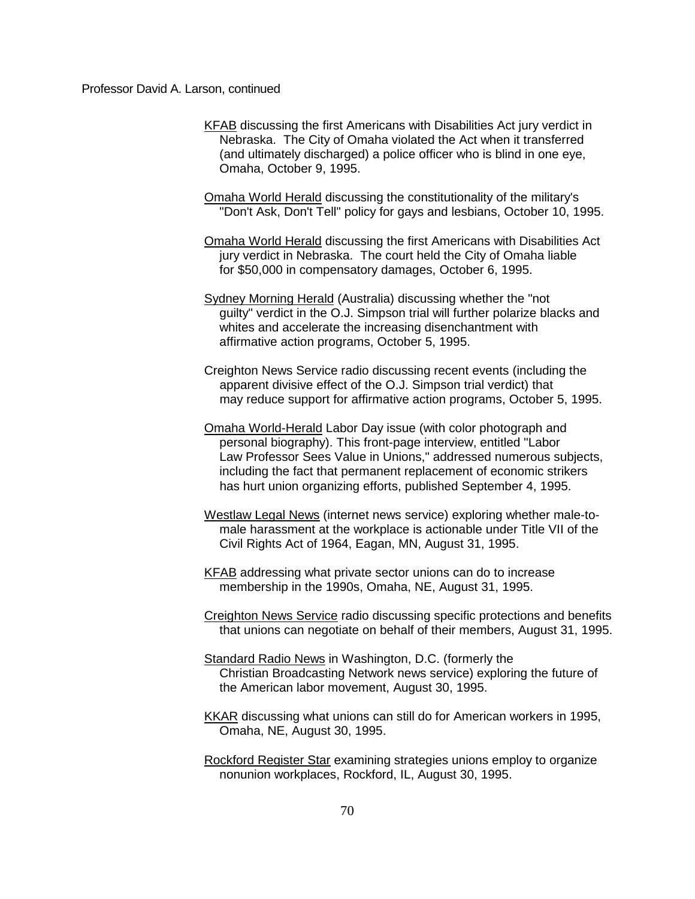KFAB discussing the first Americans with Disabilities Act jury verdict in Nebraska. The City of Omaha violated the Act when it transferred (and ultimately discharged) a police officer who is blind in one eye, Omaha, October 9, 1995.

Omaha World Herald discussing the constitutionality of the military's "Don't Ask, Don't Tell" policy for gays and lesbians, October 10, 1995.

Omaha World Herald discussing the first Americans with Disabilities Act jury verdict in Nebraska. The court held the City of Omaha liable for \$50,000 in compensatory damages, October 6, 1995.

Sydney Morning Herald (Australia) discussing whether the "not guilty" verdict in the O.J. Simpson trial will further polarize blacks and whites and accelerate the increasing disenchantment with affirmative action programs, October 5, 1995.

Creighton News Service radio discussing recent events (including the apparent divisive effect of the O.J. Simpson trial verdict) that may reduce support for affirmative action programs, October 5, 1995.

- Omaha World-Herald Labor Day issue (with color photograph and personal biography). This front-page interview, entitled "Labor Law Professor Sees Value in Unions," addressed numerous subjects, including the fact that permanent replacement of economic strikers has hurt union organizing efforts, published September 4, 1995.
- Westlaw Legal News (internet news service) exploring whether male-tomale harassment at the workplace is actionable under Title VII of the Civil Rights Act of 1964, Eagan, MN, August 31, 1995.
- KFAB addressing what private sector unions can do to increase membership in the 1990s, Omaha, NE, August 31, 1995.

Creighton News Service radio discussing specific protections and benefits that unions can negotiate on behalf of their members, August 31, 1995.

- Standard Radio News in Washington, D.C. (formerly the Christian Broadcasting Network news service) exploring the future of the American labor movement, August 30, 1995.
- KKAR discussing what unions can still do for American workers in 1995, Omaha, NE, August 30, 1995.
- Rockford Register Star examining strategies unions employ to organize nonunion workplaces, Rockford, IL, August 30, 1995.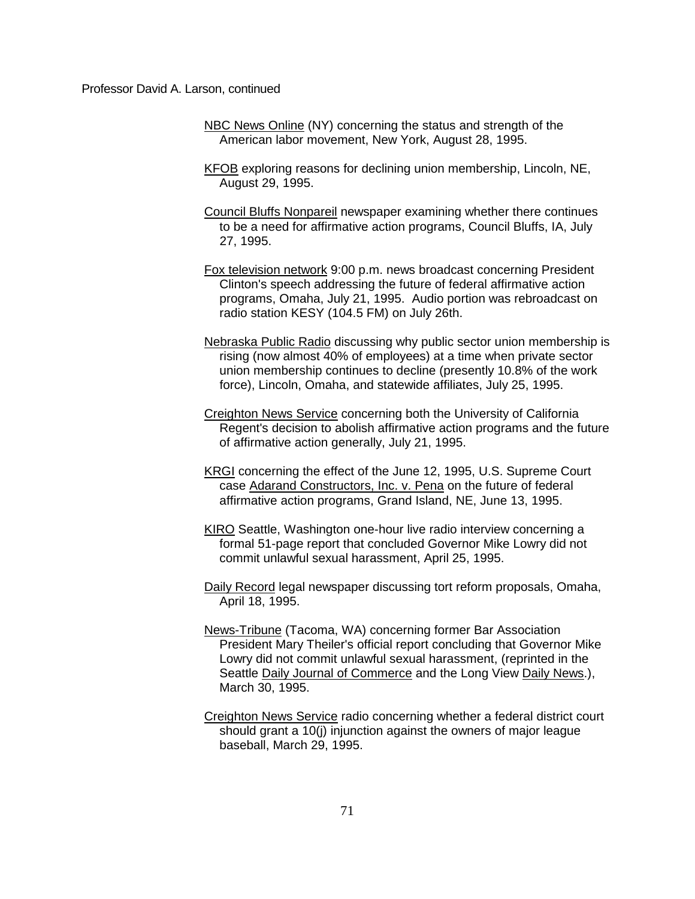- NBC News Online (NY) concerning the status and strength of the American labor movement, New York, August 28, 1995.
- KFOB exploring reasons for declining union membership, Lincoln, NE, August 29, 1995.
- Council Bluffs Nonpareil newspaper examining whether there continues to be a need for affirmative action programs, Council Bluffs, IA, July 27, 1995.
- Fox television network 9:00 p.m. news broadcast concerning President Clinton's speech addressing the future of federal affirmative action programs, Omaha, July 21, 1995. Audio portion was rebroadcast on radio station KESY (104.5 FM) on July 26th.
- Nebraska Public Radio discussing why public sector union membership is rising (now almost 40% of employees) at a time when private sector union membership continues to decline (presently 10.8% of the work force), Lincoln, Omaha, and statewide affiliates, July 25, 1995.
- Creighton News Service concerning both the University of California Regent's decision to abolish affirmative action programs and the future of affirmative action generally, July 21, 1995.
- KRGI concerning the effect of the June 12, 1995, U.S. Supreme Court case Adarand Constructors, Inc. v. Pena on the future of federal affirmative action programs, Grand Island, NE, June 13, 1995.
- KIRO Seattle, Washington one-hour live radio interview concerning a formal 51-page report that concluded Governor Mike Lowry did not commit unlawful sexual harassment, April 25, 1995.
- Daily Record legal newspaper discussing tort reform proposals, Omaha, April 18, 1995.
- News-Tribune (Tacoma, WA) concerning former Bar Association President Mary Theiler's official report concluding that Governor Mike Lowry did not commit unlawful sexual harassment, (reprinted in the Seattle Daily Journal of Commerce and the Long View Daily News.), March 30, 1995.
- Creighton News Service radio concerning whether a federal district court should grant a 10(j) injunction against the owners of major league baseball, March 29, 1995.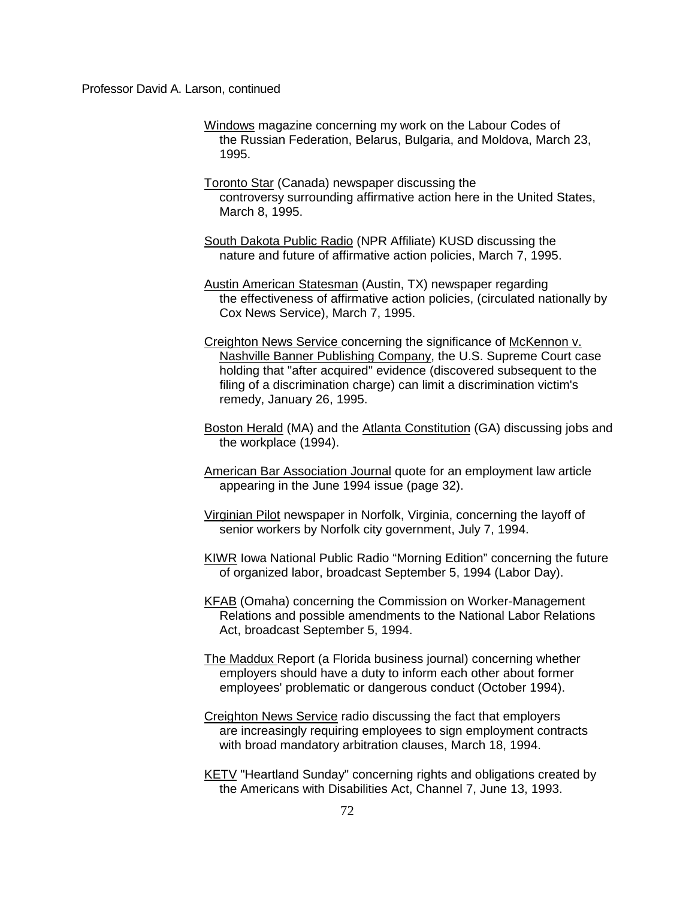- Windows magazine concerning my work on the Labour Codes of the Russian Federation, Belarus, Bulgaria, and Moldova, March 23, 1995.
- Toronto Star (Canada) newspaper discussing the controversy surrounding affirmative action here in the United States, March 8, 1995.
- South Dakota Public Radio (NPR Affiliate) KUSD discussing the nature and future of affirmative action policies, March 7, 1995.
- Austin American Statesman (Austin, TX) newspaper regarding the effectiveness of affirmative action policies, (circulated nationally by Cox News Service), March 7, 1995.
- Creighton News Service concerning the significance of McKennon v. Nashville Banner Publishing Company, the U.S. Supreme Court case holding that "after acquired" evidence (discovered subsequent to the filing of a discrimination charge) can limit a discrimination victim's remedy, January 26, 1995.
- Boston Herald (MA) and the Atlanta Constitution (GA) discussing jobs and the workplace (1994).
- American Bar Association Journal quote for an employment law article appearing in the June 1994 issue (page 32).
- Virginian Pilot newspaper in Norfolk, Virginia, concerning the layoff of senior workers by Norfolk city government, July 7, 1994.
- KIWR Iowa National Public Radio "Morning Edition" concerning the future of organized labor, broadcast September 5, 1994 (Labor Day).
- KFAB (Omaha) concerning the Commission on Worker-Management Relations and possible amendments to the National Labor Relations Act, broadcast September 5, 1994.
- The Maddux Report (a Florida business journal) concerning whether employers should have a duty to inform each other about former employees' problematic or dangerous conduct (October 1994).
- Creighton News Service radio discussing the fact that employers are increasingly requiring employees to sign employment contracts with broad mandatory arbitration clauses, March 18, 1994.
- KETV "Heartland Sunday" concerning rights and obligations created by the Americans with Disabilities Act, Channel 7, June 13, 1993.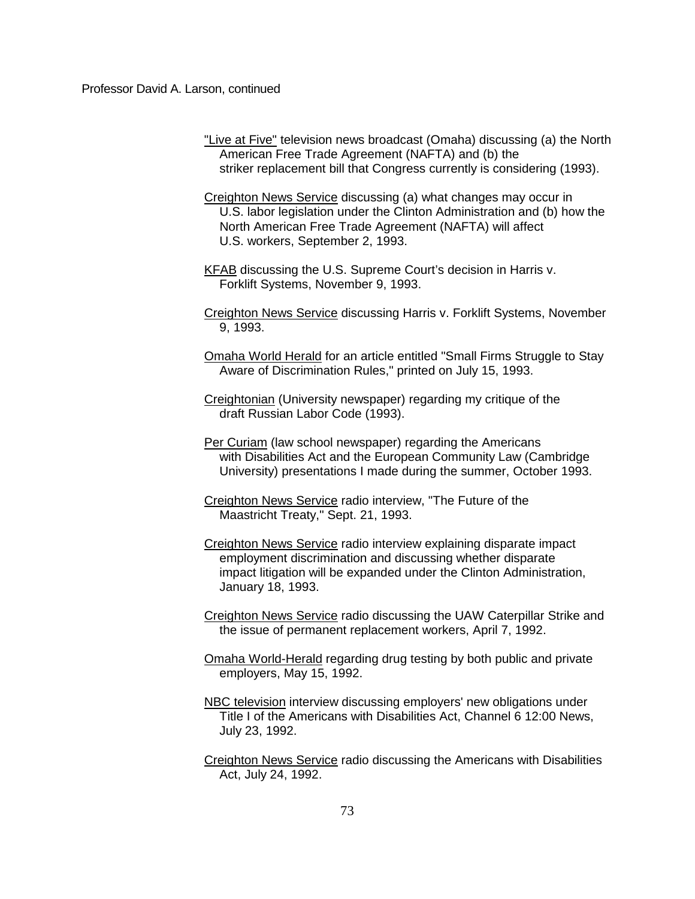- "Live at Five" television news broadcast (Omaha) discussing (a) the North American Free Trade Agreement (NAFTA) and (b) the striker replacement bill that Congress currently is considering (1993).
- Creighton News Service discussing (a) what changes may occur in U.S. labor legislation under the Clinton Administration and (b) how the North American Free Trade Agreement (NAFTA) will affect U.S. workers, September 2, 1993.
- KFAB discussing the U.S. Supreme Court's decision in Harris v. Forklift Systems, November 9, 1993.
- Creighton News Service discussing Harris v. Forklift Systems, November 9, 1993.
- Omaha World Herald for an article entitled "Small Firms Struggle to Stay Aware of Discrimination Rules," printed on July 15, 1993.
- Creightonian (University newspaper) regarding my critique of the draft Russian Labor Code (1993).
- Per Curiam (law school newspaper) regarding the Americans with Disabilities Act and the European Community Law (Cambridge University) presentations I made during the summer, October 1993.
- Creighton News Service radio interview, "The Future of the Maastricht Treaty," Sept. 21, 1993.
- Creighton News Service radio interview explaining disparate impact employment discrimination and discussing whether disparate impact litigation will be expanded under the Clinton Administration, January 18, 1993.
- Creighton News Service radio discussing the UAW Caterpillar Strike and the issue of permanent replacement workers, April 7, 1992.
- Omaha World-Herald regarding drug testing by both public and private employers, May 15, 1992.
- NBC television interview discussing employers' new obligations under Title I of the Americans with Disabilities Act, Channel 6 12:00 News, July 23, 1992.
- Creighton News Service radio discussing the Americans with Disabilities Act, July 24, 1992.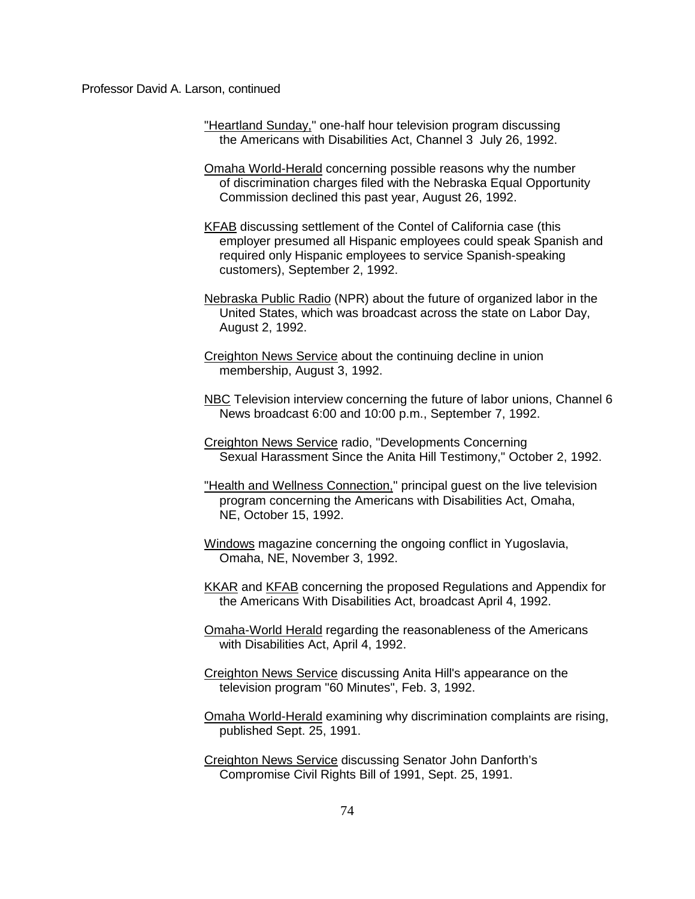- "Heartland Sunday," one-half hour television program discussing the Americans with Disabilities Act, Channel 3 July 26, 1992.
- Omaha World-Herald concerning possible reasons why the number of discrimination charges filed with the Nebraska Equal Opportunity Commission declined this past year, August 26, 1992.
- KFAB discussing settlement of the Contel of California case (this employer presumed all Hispanic employees could speak Spanish and required only Hispanic employees to service Spanish-speaking customers), September 2, 1992.
- Nebraska Public Radio (NPR) about the future of organized labor in the United States, which was broadcast across the state on Labor Day, August 2, 1992.
- Creighton News Service about the continuing decline in union membership, August 3, 1992.
- NBC Television interview concerning the future of labor unions, Channel 6 News broadcast 6:00 and 10:00 p.m., September 7, 1992.
- Creighton News Service radio, "Developments Concerning Sexual Harassment Since the Anita Hill Testimony," October 2, 1992.
- "Health and Wellness Connection." principal guest on the live television program concerning the Americans with Disabilities Act, Omaha, NE, October 15, 1992.
- Windows magazine concerning the ongoing conflict in Yugoslavia, Omaha, NE, November 3, 1992.
- KKAR and KFAB concerning the proposed Regulations and Appendix for the Americans With Disabilities Act, broadcast April 4, 1992.
- Omaha-World Herald regarding the reasonableness of the Americans with Disabilities Act, April 4, 1992.
- Creighton News Service discussing Anita Hill's appearance on the television program "60 Minutes", Feb. 3, 1992.
- Omaha World-Herald examining why discrimination complaints are rising, published Sept. 25, 1991.
- Creighton News Service discussing Senator John Danforth's Compromise Civil Rights Bill of 1991, Sept. 25, 1991.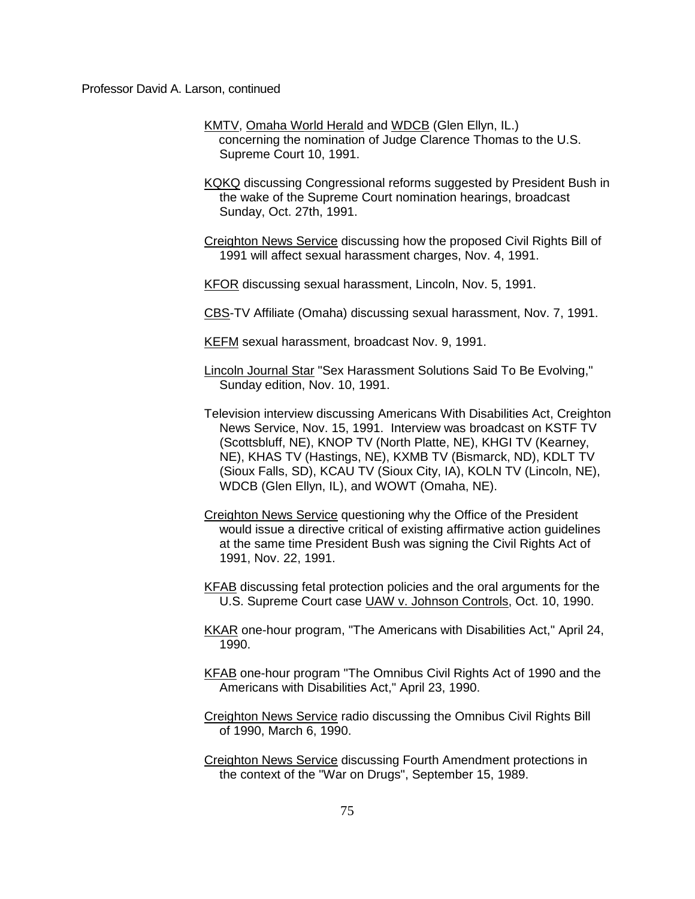- KMTV, Omaha World Herald and WDCB (Glen Ellyn, IL.) concerning the nomination of Judge Clarence Thomas to the U.S. Supreme Court 10, 1991.
- KQKQ discussing Congressional reforms suggested by President Bush in the wake of the Supreme Court nomination hearings, broadcast Sunday, Oct. 27th, 1991.
- Creighton News Service discussing how the proposed Civil Rights Bill of 1991 will affect sexual harassment charges, Nov. 4, 1991.
- KFOR discussing sexual harassment, Lincoln, Nov. 5, 1991.
- CBS-TV Affiliate (Omaha) discussing sexual harassment, Nov. 7, 1991.
- KEFM sexual harassment, broadcast Nov. 9, 1991.
- Lincoln Journal Star "Sex Harassment Solutions Said To Be Evolving," Sunday edition, Nov. 10, 1991.
- Television interview discussing Americans With Disabilities Act, Creighton News Service, Nov. 15, 1991. Interview was broadcast on KSTF TV (Scottsbluff, NE), KNOP TV (North Platte, NE), KHGI TV (Kearney, NE), KHAS TV (Hastings, NE), KXMB TV (Bismarck, ND), KDLT TV (Sioux Falls, SD), KCAU TV (Sioux City, IA), KOLN TV (Lincoln, NE), WDCB (Glen Ellyn, IL), and WOWT (Omaha, NE).
- Creighton News Service questioning why the Office of the President would issue a directive critical of existing affirmative action guidelines at the same time President Bush was signing the Civil Rights Act of 1991, Nov. 22, 1991.
- KFAB discussing fetal protection policies and the oral arguments for the U.S. Supreme Court case UAW v. Johnson Controls, Oct. 10, 1990.
- KKAR one-hour program, "The Americans with Disabilities Act," April 24, 1990.
- KFAB one-hour program "The Omnibus Civil Rights Act of 1990 and the Americans with Disabilities Act," April 23, 1990.
- Creighton News Service radio discussing the Omnibus Civil Rights Bill of 1990, March 6, 1990.
- Creighton News Service discussing Fourth Amendment protections in the context of the "War on Drugs", September 15, 1989.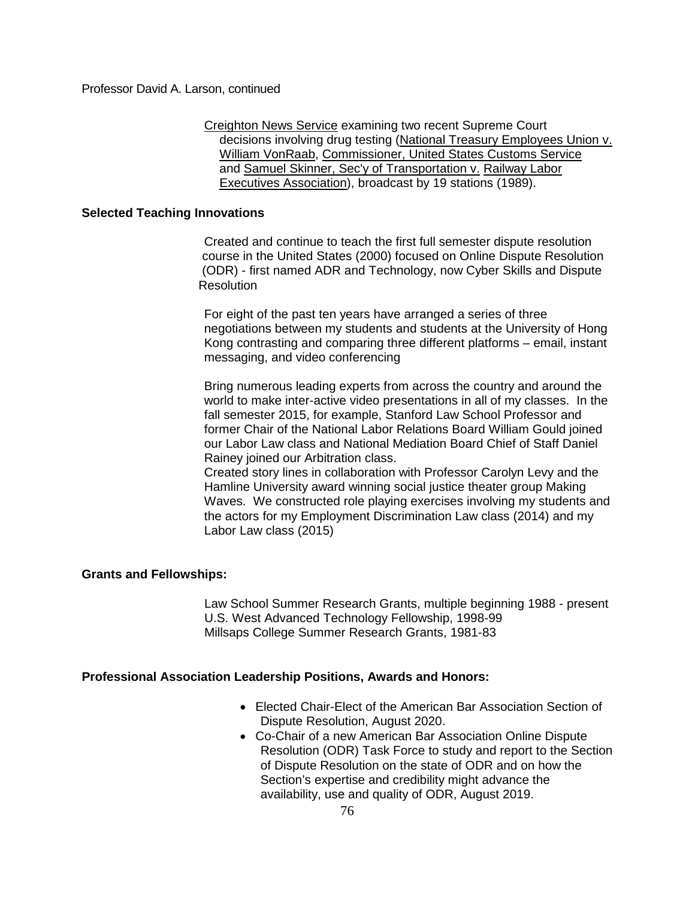Creighton News Service examining two recent Supreme Court decisions involving drug testing (National Treasury Employees Union v. William VonRaab, Commissioner, United States Customs Service and Samuel Skinner, Sec'y of Transportation v. Railway Labor Executives Association), broadcast by 19 stations (1989).

# **Selected Teaching Innovations**

Created and continue to teach the first full semester dispute resolution course in the United States (2000) focused on Online Dispute Resolution (ODR) - first named ADR and Technology, now Cyber Skills and Dispute **Resolution** 

For eight of the past ten years have arranged a series of three negotiations between my students and students at the University of Hong Kong contrasting and comparing three different platforms – email, instant messaging, and video conferencing

Bring numerous leading experts from across the country and around the world to make inter-active video presentations in all of my classes. In the fall semester 2015, for example, Stanford Law School Professor and former Chair of the National Labor Relations Board William Gould joined our Labor Law class and National Mediation Board Chief of Staff Daniel Rainey joined our Arbitration class.

Created story lines in collaboration with Professor Carolyn Levy and the Hamline University award winning social justice theater group Making Waves. We constructed role playing exercises involving my students and the actors for my Employment Discrimination Law class (2014) and my Labor Law class (2015)

## **Grants and Fellowships:**

Law School Summer Research Grants, multiple beginning 1988 - present U.S. West Advanced Technology Fellowship, 1998-99 Millsaps College Summer Research Grants, 1981-83

## **Professional Association Leadership Positions, Awards and Honors:**

- Elected Chair-Elect of the American Bar Association Section of Dispute Resolution, August 2020.
- Co-Chair of a new American Bar Association Online Dispute Resolution (ODR) Task Force to study and report to the Section of Dispute Resolution on the state of ODR and on how the Section's expertise and credibility might advance the availability, use and quality of ODR, August 2019.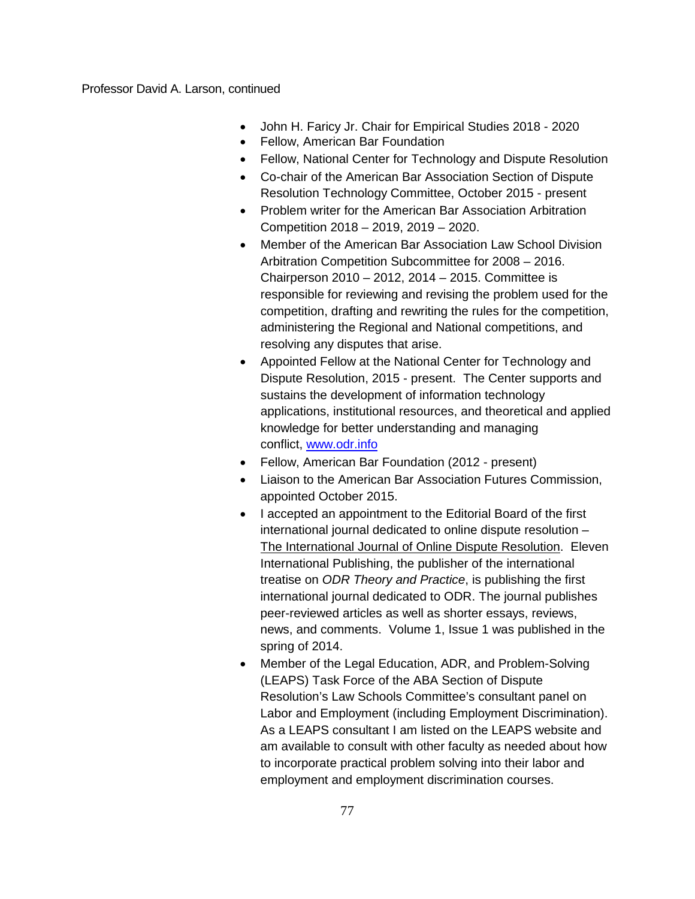- John H. Faricy Jr. Chair for Empirical Studies 2018 2020
- Fellow, American Bar Foundation
- Fellow, National Center for Technology and Dispute Resolution
- Co-chair of the American Bar Association Section of Dispute Resolution Technology Committee, October 2015 - present
- Problem writer for the American Bar Association Arbitration Competition 2018 – 2019, 2019 – 2020.
- Member of the American Bar Association Law School Division Arbitration Competition Subcommittee for 2008 – 2016. Chairperson 2010 – 2012, 2014 – 2015. Committee is responsible for reviewing and revising the problem used for the competition, drafting and rewriting the rules for the competition, administering the Regional and National competitions, and resolving any disputes that arise.
- Appointed Fellow at the National Center for Technology and Dispute Resolution, 2015 - present. The Center supports and sustains the development of information technology applications, institutional resources, and theoretical and applied knowledge for better understanding and managing conflict, [www.odr.info](http://www.odr.info/)
- Fellow, American Bar Foundation (2012 present)
- Liaison to the American Bar Association Futures Commission, appointed October 2015.
- I accepted an appointment to the Editorial Board of the first international journal dedicated to online dispute resolution – The International Journal of Online Dispute Resolution. Eleven International Publishing, the publisher of the international treatise on *ODR Theory and Practice*, is publishing the first international journal dedicated to ODR. The journal publishes peer-reviewed articles as well as shorter essays, reviews, news, and comments. Volume 1, Issue 1 was published in the spring of 2014.
- Member of the Legal Education, ADR, and Problem-Solving (LEAPS) Task Force of the ABA Section of Dispute Resolution's Law Schools Committee's consultant panel on Labor and Employment (including Employment Discrimination). As a LEAPS consultant I am listed on the LEAPS website and am available to consult with other faculty as needed about how to incorporate practical problem solving into their labor and employment and employment discrimination courses.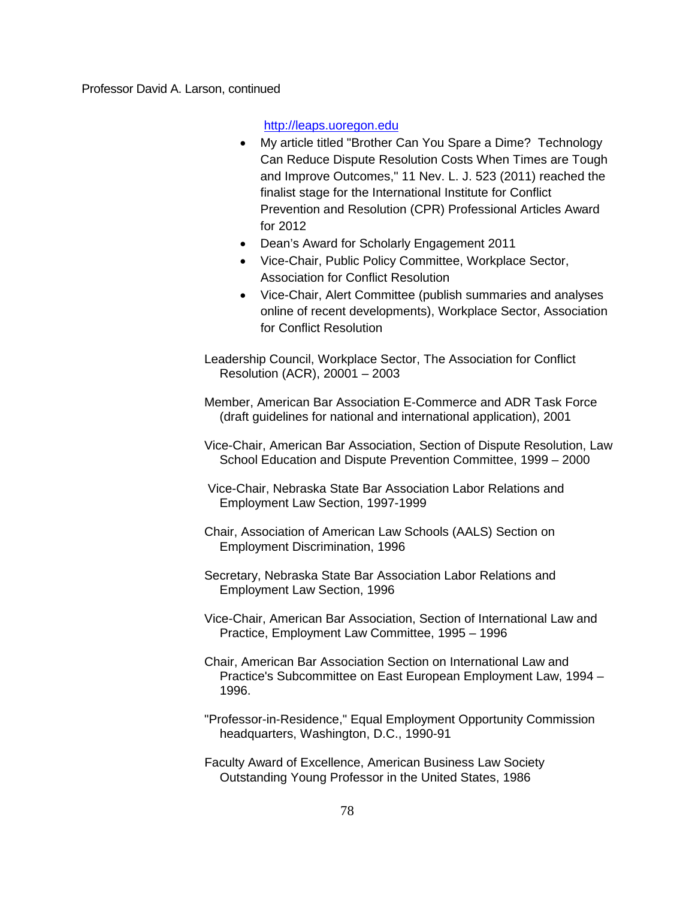[http://leaps.uoregon.edu](http://leaps.uoregon.edu/)

- My article titled "Brother Can You Spare a Dime? Technology Can Reduce Dispute Resolution Costs When Times are Tough and Improve Outcomes," 11 Nev. L. J. 523 (2011) reached the finalist stage for the International Institute for Conflict Prevention and Resolution (CPR) Professional Articles Award for 2012
- Dean's Award for Scholarly Engagement 2011
- Vice-Chair, Public Policy Committee, Workplace Sector, Association for Conflict Resolution
- Vice-Chair, Alert Committee (publish summaries and analyses online of recent developments), Workplace Sector, Association for Conflict Resolution

Leadership Council, Workplace Sector, The Association for Conflict Resolution (ACR), 20001 – 2003

Member, American Bar Association E-Commerce and ADR Task Force (draft guidelines for national and international application), 2001

Vice-Chair, American Bar Association, Section of Dispute Resolution, Law School Education and Dispute Prevention Committee, 1999 – 2000

Vice-Chair, Nebraska State Bar Association Labor Relations and Employment Law Section, 1997-1999

- Chair, Association of American Law Schools (AALS) Section on Employment Discrimination, 1996
- Secretary, Nebraska State Bar Association Labor Relations and Employment Law Section, 1996
- Vice-Chair, American Bar Association, Section of International Law and Practice, Employment Law Committee, 1995 – 1996
- Chair, American Bar Association Section on International Law and Practice's Subcommittee on East European Employment Law, 1994 – 1996.

"Professor-in-Residence," Equal Employment Opportunity Commission headquarters, Washington, D.C., 1990-91

Faculty Award of Excellence, American Business Law Society Outstanding Young Professor in the United States, 1986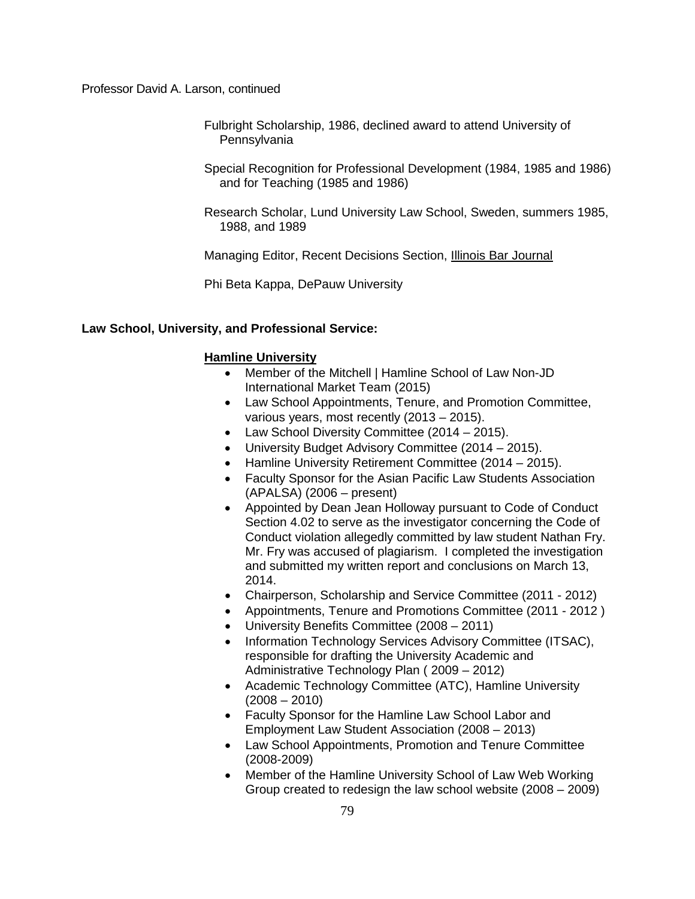- Fulbright Scholarship, 1986, declined award to attend University of **Pennsylvania**
- Special Recognition for Professional Development (1984, 1985 and 1986) and for Teaching (1985 and 1986)
- Research Scholar, Lund University Law School, Sweden, summers 1985, 1988, and 1989

Managing Editor, Recent Decisions Section, Illinois Bar Journal

Phi Beta Kappa, DePauw University

#### **Law School, University, and Professional Service:**

#### **Hamline University**

- Member of the Mitchell | Hamline School of Law Non-JD International Market Team (2015)
- Law School Appointments, Tenure, and Promotion Committee, various years, most recently (2013 – 2015).
- Law School Diversity Committee (2014 2015).
- University Budget Advisory Committee (2014 2015).
- Hamline University Retirement Committee (2014 2015).
- Faculty Sponsor for the Asian Pacific Law Students Association (APALSA) (2006 – present)
- Appointed by Dean Jean Holloway pursuant to Code of Conduct Section 4.02 to serve as the investigator concerning the Code of Conduct violation allegedly committed by law student Nathan Fry. Mr. Fry was accused of plagiarism. I completed the investigation and submitted my written report and conclusions on March 13, 2014.
- Chairperson, Scholarship and Service Committee (2011 2012)
- Appointments, Tenure and Promotions Committee (2011 2012 )
- University Benefits Committee (2008 2011)
- Information Technology Services Advisory Committee (ITSAC), responsible for drafting the University Academic and Administrative Technology Plan ( 2009 – 2012)
- Academic Technology Committee (ATC), Hamline University  $(2008 - 2010)$
- Faculty Sponsor for the Hamline Law School Labor and Employment Law Student Association (2008 – 2013)
- Law School Appointments, Promotion and Tenure Committee (2008-2009)
- Member of the Hamline University School of Law Web Working Group created to redesign the law school website (2008 – 2009)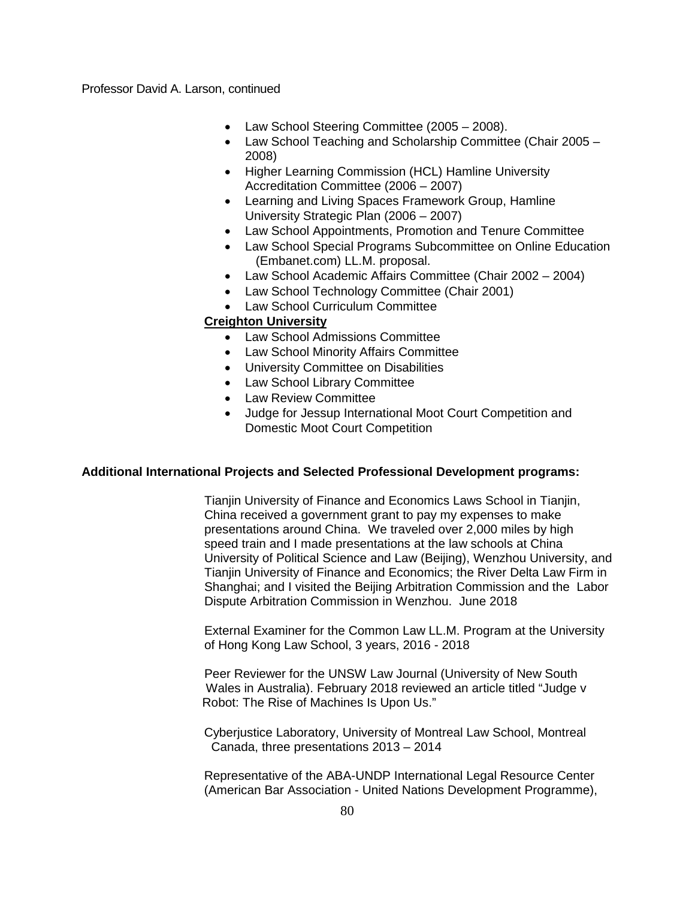- Law School Steering Committee (2005 2008).
- Law School Teaching and Scholarship Committee (Chair 2005 2008)
- Higher Learning Commission (HCL) Hamline University Accreditation Committee (2006 – 2007)
- Learning and Living Spaces Framework Group, Hamline University Strategic Plan (2006 – 2007)
- Law School Appointments, Promotion and Tenure Committee
- Law School Special Programs Subcommittee on Online Education (Embanet.com) LL.M. proposal.
- Law School Academic Affairs Committee (Chair 2002 2004)
- Law School Technology Committee (Chair 2001)
- Law School Curriculum Committee

# **Creighton University**

- Law School Admissions Committee
- Law School Minority Affairs Committee
- University Committee on Disabilities
- Law School Library Committee
- Law Review Committee
- Judge for Jessup International Moot Court Competition and Domestic Moot Court Competition

# **Additional International Projects and Selected Professional Development programs:**

Tianjin University of Finance and Economics Laws School in Tianjin, China received a government grant to pay my expenses to make presentations around China. We traveled over 2,000 miles by high speed train and I made presentations at the law schools at China University of Political Science and Law (Beijing), Wenzhou University, and Tianjin University of Finance and Economics; the River Delta Law Firm in Shanghai; and I visited the Beijing Arbitration Commission and the Labor Dispute Arbitration Commission in Wenzhou. June 2018

External Examiner for the Common Law LL.M. Program at the University of Hong Kong Law School, 3 years, 2016 - 2018

Peer Reviewer for the UNSW Law Journal (University of New South Wales in Australia). February 2018 reviewed an article titled "Judge v Robot: The Rise of Machines Is Upon Us."

Cyberjustice Laboratory, University of Montreal Law School, Montreal Canada, three presentations 2013 – 2014

Representative of the ABA-UNDP International Legal Resource Center (American Bar Association - United Nations Development Programme),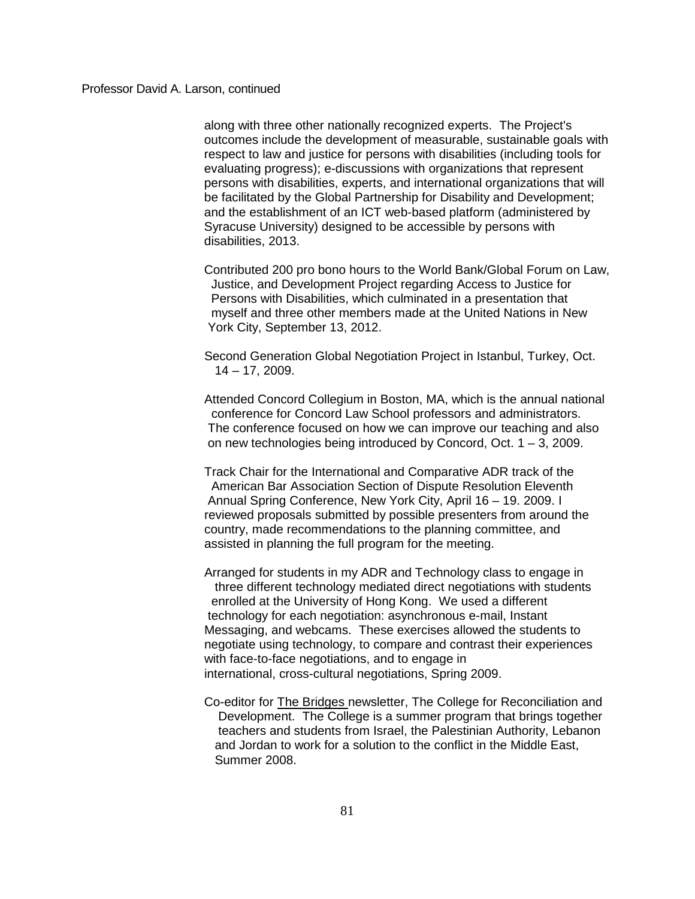along with three other nationally recognized experts. The Project's outcomes include the development of measurable, sustainable goals with respect to law and justice for persons with disabilities (including tools for evaluating progress); e-discussions with organizations that represent persons with disabilities, experts, and international organizations that will be facilitated by the Global Partnership for Disability and Development; and the establishment of an ICT web-based platform (administered by Syracuse University) designed to be accessible by persons with disabilities, 2013.

Contributed 200 pro bono hours to the World Bank/Global Forum on Law, Justice, and Development Project regarding Access to Justice for Persons with Disabilities, which culminated in a presentation that myself and three other members made at the United Nations in New York City, September 13, 2012.

Second Generation Global Negotiation Project in Istanbul, Turkey, Oct. 14 – 17, 2009.

Attended Concord Collegium in Boston, MA, which is the annual national conference for Concord Law School professors and administrators. The conference focused on how we can improve our teaching and also on new technologies being introduced by Concord, Oct. 1 – 3, 2009.

Track Chair for the International and Comparative ADR track of the American Bar Association Section of Dispute Resolution Eleventh Annual Spring Conference, New York City, April 16 – 19. 2009. I reviewed proposals submitted by possible presenters from around the country, made recommendations to the planning committee, and assisted in planning the full program for the meeting.

Arranged for students in my ADR and Technology class to engage in three different technology mediated direct negotiations with students enrolled at the University of Hong Kong. We used a different technology for each negotiation: asynchronous e-mail, Instant Messaging, and webcams. These exercises allowed the students to negotiate using technology, to compare and contrast their experiences with face-to-face negotiations, and to engage in international, cross-cultural negotiations, Spring 2009.

Co-editor for The Bridges newsletter, The College for Reconciliation and Development. The College is a summer program that brings together teachers and students from Israel, the Palestinian Authority, Lebanon and Jordan to work for a solution to the conflict in the Middle East, Summer 2008.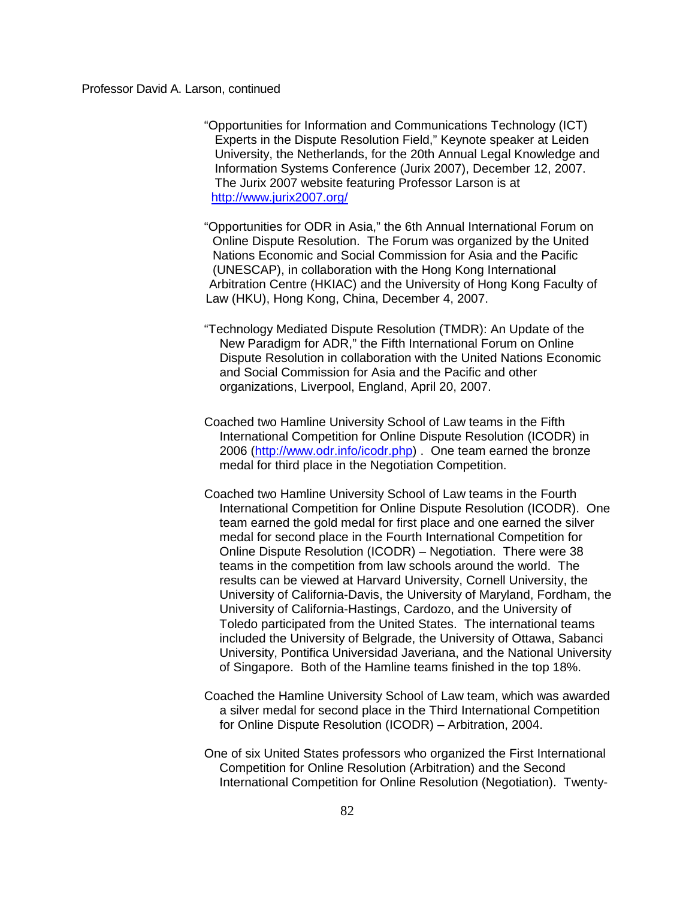"Opportunities for Information and Communications Technology (ICT) Experts in the Dispute Resolution Field," Keynote speaker at Leiden University, the Netherlands, for the 20th Annual Legal Knowledge and Information Systems Conference (Jurix 2007), December 12, 2007. The Jurix 2007 website featuring Professor Larson is at <http://www.jurix2007.org/>

"Opportunities for ODR in Asia," the 6th Annual International Forum on Online Dispute Resolution. The Forum was organized by the United Nations Economic and Social Commission for Asia and the Pacific (UNESCAP), in collaboration with the Hong Kong International Arbitration Centre (HKIAC) and the University of Hong Kong Faculty of Law (HKU), Hong Kong, China, December 4, 2007.

- "Technology Mediated Dispute Resolution (TMDR): An Update of the New Paradigm for ADR," the Fifth International Forum on Online Dispute Resolution in collaboration with the United Nations Economic and Social Commission for Asia and the Pacific and other organizations, Liverpool, England, April 20, 2007.
- Coached two Hamline University School of Law teams in the Fifth International Competition for Online Dispute Resolution (ICODR) in 2006 [\(http://www.odr.info/icodr.php\)](http://www.odr.info/icodr.php) . One team earned the bronze medal for third place in the Negotiation Competition.
- Coached two Hamline University School of Law teams in the Fourth International Competition for Online Dispute Resolution (ICODR). One team earned the gold medal for first place and one earned the silver medal for second place in the Fourth International Competition for Online Dispute Resolution (ICODR) – Negotiation. There were 38 teams in the competition from law schools around the world. The results can be viewed at Harvard University, Cornell University, the University of California-Davis, the University of Maryland, Fordham, the University of California-Hastings, Cardozo, and the University of Toledo participated from the United States. The international teams included the University of Belgrade, the University of Ottawa, Sabanci University, Pontifica Universidad Javeriana, and the National University of Singapore. Both of the Hamline teams finished in the top 18%.
- Coached the Hamline University School of Law team, which was awarded a silver medal for second place in the Third International Competition for Online Dispute Resolution (ICODR) – Arbitration, 2004.
- One of six United States professors who organized the First International Competition for Online Resolution (Arbitration) and the Second International Competition for Online Resolution (Negotiation). Twenty-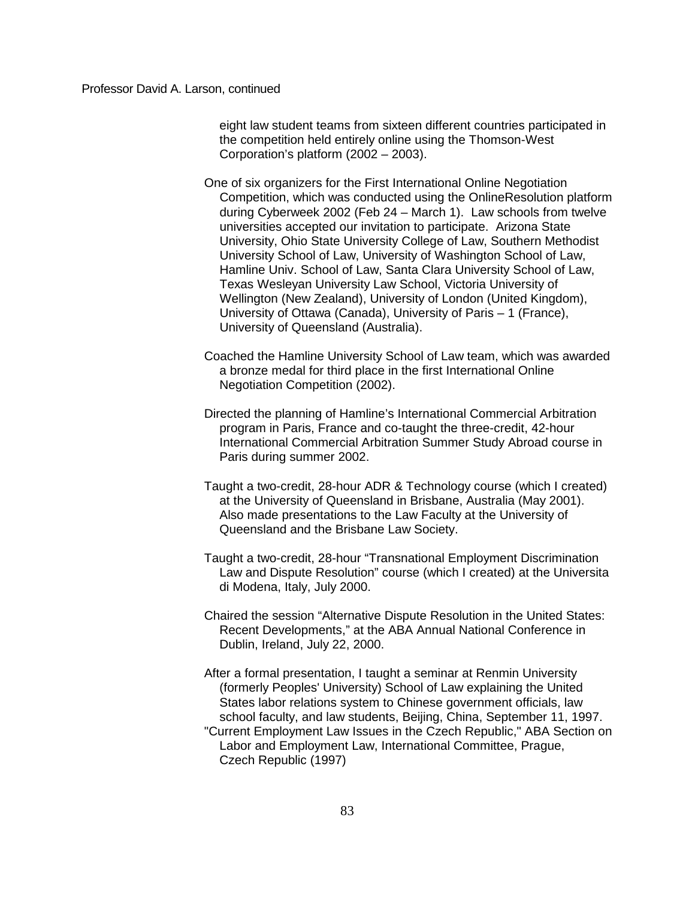eight law student teams from sixteen different countries participated in the competition held entirely online using the Thomson-West Corporation's platform (2002 – 2003).

- One of six organizers for the First International Online Negotiation Competition, which was conducted using the OnlineResolution platform during Cyberweek 2002 (Feb 24 – March 1). Law schools from twelve universities accepted our invitation to participate. Arizona State University, Ohio State University College of Law, Southern Methodist University School of Law, University of Washington School of Law, Hamline Univ. School of Law, Santa Clara University School of Law, Texas Wesleyan University Law School, Victoria University of Wellington (New Zealand), University of London (United Kingdom), University of Ottawa (Canada), University of Paris – 1 (France), University of Queensland (Australia).
- Coached the Hamline University School of Law team, which was awarded a bronze medal for third place in the first International Online Negotiation Competition (2002).
- Directed the planning of Hamline's International Commercial Arbitration program in Paris, France and co-taught the three-credit, 42-hour International Commercial Arbitration Summer Study Abroad course in Paris during summer 2002.
- Taught a two-credit, 28-hour ADR & Technology course (which I created) at the University of Queensland in Brisbane, Australia (May 2001). Also made presentations to the Law Faculty at the University of Queensland and the Brisbane Law Society.
- Taught a two-credit, 28-hour "Transnational Employment Discrimination Law and Dispute Resolution" course (which I created) at the Universita di Modena, Italy, July 2000.
- Chaired the session "Alternative Dispute Resolution in the United States: Recent Developments," at the ABA Annual National Conference in Dublin, Ireland, July 22, 2000.
- After a formal presentation, I taught a seminar at Renmin University (formerly Peoples' University) School of Law explaining the United States labor relations system to Chinese government officials, law school faculty, and law students, Beijing, China, September 11, 1997. "Current Employment Law Issues in the Czech Republic," ABA Section on Labor and Employment Law, International Committee, Prague, Czech Republic (1997)